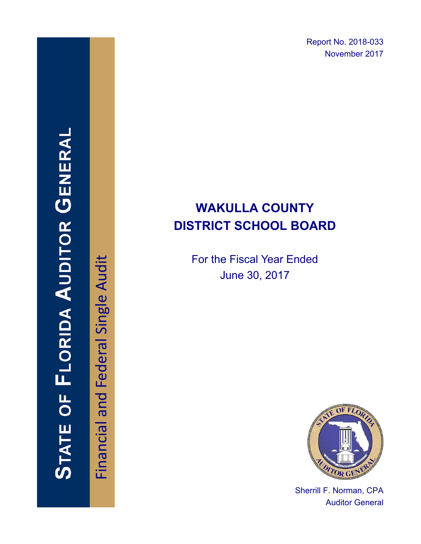Report No. 2018-033 November 2017

# **WAKULLA COUNTY DISTRICT SCHOOL BOARD**

For the Fiscal Year Ended June 30, 2017



Sherrill F. Norman, CPA Auditor General

Financial and Federal Single Audit Financial and Federal Single Audit

**STATE OF FLORIDA AUDITOR GENERAI**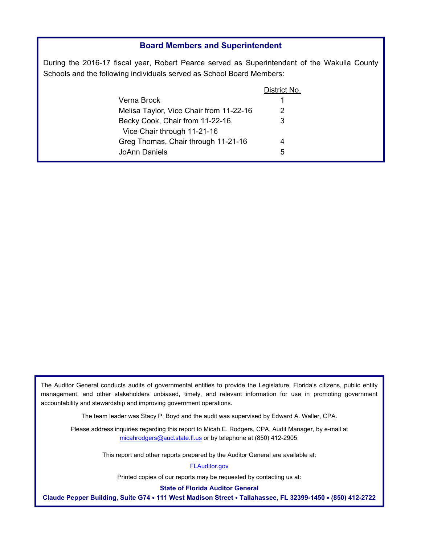#### **Board Members and Superintendent**

During the 2016-17 fiscal year, Robert Pearce served as Superintendent of the Wakulla County Schools and the following individuals served as School Board Members:

|                                         | District No. |
|-----------------------------------------|--------------|
| Verna Brock                             |              |
| Melisa Taylor, Vice Chair from 11-22-16 | 2            |
| Becky Cook, Chair from 11-22-16,        | 3            |
| Vice Chair through 11-21-16             |              |
| Greg Thomas, Chair through 11-21-16     | 4            |
| JoAnn Daniels                           | 5            |
|                                         |              |

The Auditor General conducts audits of governmental entities to provide the Legislature, Florida's citizens, public entity management, and other stakeholders unbiased, timely, and relevant information for use in promoting government accountability and stewardship and improving government operations.

The team leader was Stacy P. Boyd and the audit was supervised by Edward A. Waller, CPA.

Please address inquiries regarding this report to Micah E. Rodgers, CPA, Audit Manager, by e-mail at micahrodgers@aud.state.fl.us or by telephone at (850) 412-2905.

This report and other reports prepared by the Auditor General are available at:

[FLAuditor.gov](https://flauditor.gov)

Printed copies of our reports may be requested by contacting us at:

**State of Florida Auditor General** 

**Claude Pepper Building, Suite G74** ∙ **111 West Madison Street** ∙ **Tallahassee, FL 32399-1450** ∙ (**850) 412-2722**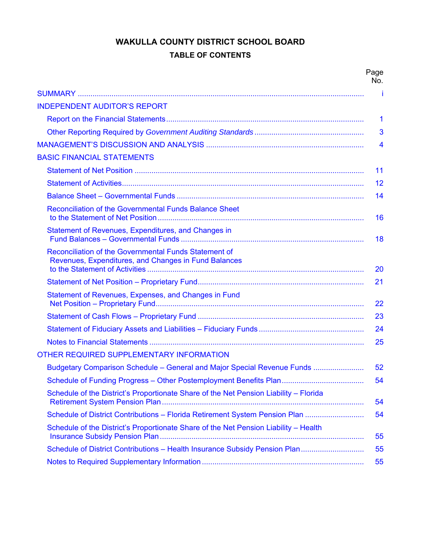## **WAKULLA COUNTY DISTRICT SCHOOL BOARD TABLE OF CONTENTS**

|                                                                                                               | Page<br>No.          |
|---------------------------------------------------------------------------------------------------------------|----------------------|
|                                                                                                               | - 1                  |
| <b>INDEPENDENT AUDITOR'S REPORT</b>                                                                           |                      |
|                                                                                                               | $\blacktriangleleft$ |
|                                                                                                               | 3                    |
|                                                                                                               | $\overline{4}$       |
| <b>BASIC FINANCIAL STATEMENTS</b>                                                                             |                      |
|                                                                                                               | 11                   |
|                                                                                                               | 12                   |
|                                                                                                               | 14                   |
| <b>Reconciliation of the Governmental Funds Balance Sheet</b>                                                 | 16                   |
| Statement of Revenues, Expenditures, and Changes in                                                           | 18                   |
| Reconciliation of the Governmental Funds Statement of<br>Revenues, Expenditures, and Changes in Fund Balances | 20                   |
|                                                                                                               | 21                   |
| Statement of Revenues, Expenses, and Changes in Fund                                                          | 22                   |
|                                                                                                               | 23                   |
|                                                                                                               | 24                   |
|                                                                                                               | 25                   |
| OTHER REQUIRED SUPPLEMENTARY INFORMATION                                                                      |                      |
| Budgetary Comparison Schedule – General and Major Special Revenue Funds                                       | 52                   |
| Schedule of Funding Progress - Other Postemployment Benefits Plan                                             | 54                   |
| Schedule of the District's Proportionate Share of the Net Pension Liability - Florida                         | 54                   |
| Schedule of District Contributions - Florida Retirement System Pension Plan                                   | 54                   |
| Schedule of the District's Proportionate Share of the Net Pension Liability - Health                          | 55                   |
| Schedule of District Contributions - Health Insurance Subsidy Pension Plan                                    | 55                   |
|                                                                                                               | 55                   |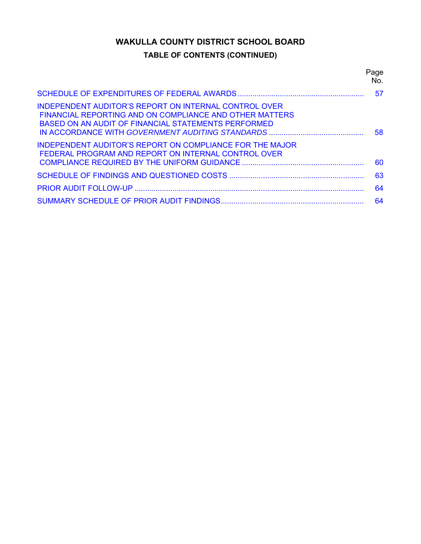## **WAKULLA COUNTY DISTRICT SCHOOL BOARD**

## **TABLE OF CONTENTS (CONTINUED)**

|                                                                                                                                                                                       | Page<br>No. |
|---------------------------------------------------------------------------------------------------------------------------------------------------------------------------------------|-------------|
|                                                                                                                                                                                       | 57          |
| <b>INDEPENDENT AUDITOR'S REPORT ON INTERNAL CONTROL OVER</b><br><b>FINANCIAL REPORTING AND ON COMPLIANCE AND OTHER MATTERS</b><br>BASED ON AN AUDIT OF FINANCIAL STATEMENTS PERFORMED | 58          |
| INDEPENDENT AUDITOR'S REPORT ON COMPLIANCE FOR THE MAJOR<br>FEDERAL PROGRAM AND REPORT ON INTERNAL CONTROL OVER                                                                       |             |
|                                                                                                                                                                                       | 60          |
|                                                                                                                                                                                       | 63          |
|                                                                                                                                                                                       | 64          |
|                                                                                                                                                                                       | 64          |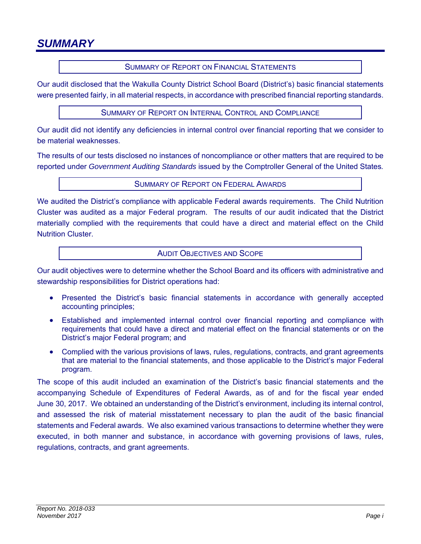#### SUMMARY OF REPORT ON FINANCIAL STATEMENTS

<span id="page-4-0"></span>Our audit disclosed that the Wakulla County District School Board (District's) basic financial statements were presented fairly, in all material respects, in accordance with prescribed financial reporting standards.

SUMMARY OF REPORT ON INTERNAL CONTROL AND COMPLIANCE

Our audit did not identify any deficiencies in internal control over financial reporting that we consider to be material weaknesses.

The results of our tests disclosed no instances of noncompliance or other matters that are required to be reported under *Government Auditing Standards* issued by the Comptroller General of the United States*.* 

#### SUMMARY OF REPORT ON FEDERAL AWARDS

We audited the District's compliance with applicable Federal awards requirements. The Child Nutrition Cluster was audited as a major Federal program. The results of our audit indicated that the District materially complied with the requirements that could have a direct and material effect on the Child Nutrition Cluster.

#### AUDIT OBJECTIVES AND SCOPE

Our audit objectives were to determine whether the School Board and its officers with administrative and stewardship responsibilities for District operations had:

- Presented the District's basic financial statements in accordance with generally accepted accounting principles;
- Established and implemented internal control over financial reporting and compliance with requirements that could have a direct and material effect on the financial statements or on the District's major Federal program; and
- Complied with the various provisions of laws, rules, regulations, contracts, and grant agreements that are material to the financial statements, and those applicable to the District's major Federal program.

The scope of this audit included an examination of the District's basic financial statements and the accompanying Schedule of Expenditures of Federal Awards, as of and for the fiscal year ended June 30, 2017. We obtained an understanding of the District's environment, including its internal control, and assessed the risk of material misstatement necessary to plan the audit of the basic financial statements and Federal awards. We also examined various transactions to determine whether they were executed, in both manner and substance, in accordance with governing provisions of laws, rules, regulations, contracts, and grant agreements.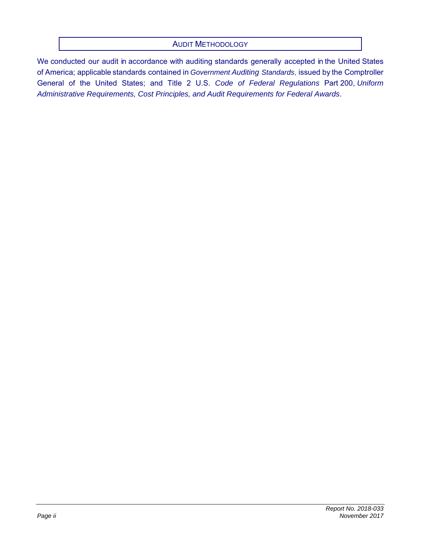#### AUDIT METHODOLOGY

We conducted our audit in accordance with auditing standards generally accepted in the United States of America; applicable standards contained in *Government Auditing Standards*, issued by the Comptroller General of the United States; and Title 2 U.S. *Code of Federal Regulations* Part 200, *Uniform Administrative Requirements, Cost Principles, and Audit Requirements for Federal Awards*.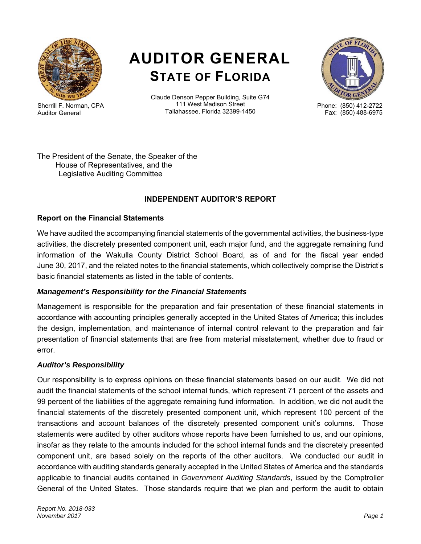<span id="page-6-0"></span>

Sherrill F. Norman, CPA Auditor General

# **AUDITOR GENERAL STATE OF FLORIDA**

Claude Denson Pepper Building, Suite G74 111 West Madison Street Tallahassee, Florida 32399-1450



Phone: (850) 412-2722 Fax: (850) 488-6975

The President of the Senate, the Speaker of the House of Representatives, and the Legislative Auditing Committee

#### **INDEPENDENT AUDITOR'S REPORT**

#### **Report on the Financial Statements**

We have audited the accompanying financial statements of the governmental activities, the business-type activities, the discretely presented component unit, each major fund, and the aggregate remaining fund information of the Wakulla County District School Board, as of and for the fiscal year ended June 30, 2017, and the related notes to the financial statements, which collectively comprise the District's basic financial statements as listed in the table of contents.

#### *Management's Responsibility for the Financial Statements*

Management is responsible for the preparation and fair presentation of these financial statements in accordance with accounting principles generally accepted in the United States of America; this includes the design, implementation, and maintenance of internal control relevant to the preparation and fair presentation of financial statements that are free from material misstatement, whether due to fraud or error.

#### *Auditor's Responsibility*

Our responsibility is to express opinions on these financial statements based on our audit. We did not audit the financial statements of the school internal funds, which represent 71 percent of the assets and 99 percent of the liabilities of the aggregate remaining fund information. In addition, we did not audit the financial statements of the discretely presented component unit, which represent 100 percent of the transactions and account balances of the discretely presented component unit's columns. Those statements were audited by other auditors whose reports have been furnished to us, and our opinions, insofar as they relate to the amounts included for the school internal funds and the discretely presented component unit, are based solely on the reports of the other auditors. We conducted our audit in accordance with auditing standards generally accepted in the United States of America and the standards applicable to financial audits contained in *Government Auditing Standards*, issued by the Comptroller General of the United States. Those standards require that we plan and perform the audit to obtain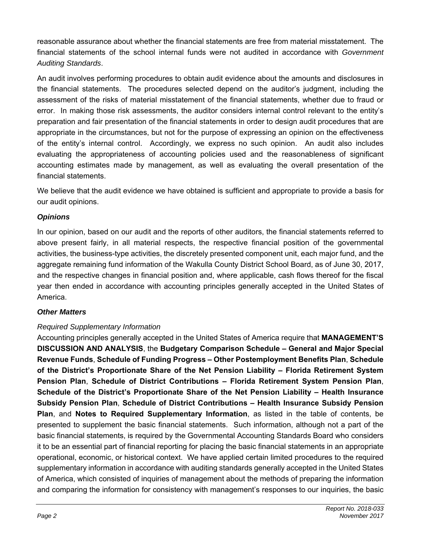reasonable assurance about whether the financial statements are free from material misstatement. The financial statements of the school internal funds were not audited in accordance with *Government Auditing Standards*.

An audit involves performing procedures to obtain audit evidence about the amounts and disclosures in the financial statements. The procedures selected depend on the auditor's judgment, including the assessment of the risks of material misstatement of the financial statements, whether due to fraud or error. In making those risk assessments, the auditor considers internal control relevant to the entity's preparation and fair presentation of the financial statements in order to design audit procedures that are appropriate in the circumstances, but not for the purpose of expressing an opinion on the effectiveness of the entity's internal control. Accordingly, we express no such opinion. An audit also includes evaluating the appropriateness of accounting policies used and the reasonableness of significant accounting estimates made by management, as well as evaluating the overall presentation of the financial statements.

We believe that the audit evidence we have obtained is sufficient and appropriate to provide a basis for our audit opinions.

#### *Opinions*

In our opinion, based on our audit and the reports of other auditors, the financial statements referred to above present fairly, in all material respects, the respective financial position of the governmental activities, the business-type activities, the discretely presented component unit, each major fund, and the aggregate remaining fund information of the Wakulla County District School Board, as of June 30, 2017, and the respective changes in financial position and, where applicable, cash flows thereof for the fiscal year then ended in accordance with accounting principles generally accepted in the United States of America.

#### *Other Matters*

#### *Required Supplementary Information*

Accounting principles generally accepted in the United States of America require that **MANAGEMENT'S DISCUSSION AND ANALYSIS**, the **Budgetary Comparison Schedule – General and Major Special Revenue Funds**, **Schedule of Funding Progress – Other Postemployment Benefits Plan**, **Schedule of the District's Proportionate Share of the Net Pension Liability – Florida Retirement System Pension Plan**, **Schedule of District Contributions – Florida Retirement System Pension Plan**, **Schedule of the District's Proportionate Share of the Net Pension Liability – Health Insurance Subsidy Pension Plan**, **Schedule of District Contributions – Health Insurance Subsidy Pension Plan**, and **Notes to Required Supplementary Information**, as listed in the table of contents, be presented to supplement the basic financial statements. Such information, although not a part of the basic financial statements, is required by the Governmental Accounting Standards Board who considers it to be an essential part of financial reporting for placing the basic financial statements in an appropriate operational, economic, or historical context. We have applied certain limited procedures to the required supplementary information in accordance with auditing standards generally accepted in the United States of America, which consisted of inquiries of management about the methods of preparing the information and comparing the information for consistency with management's responses to our inquiries, the basic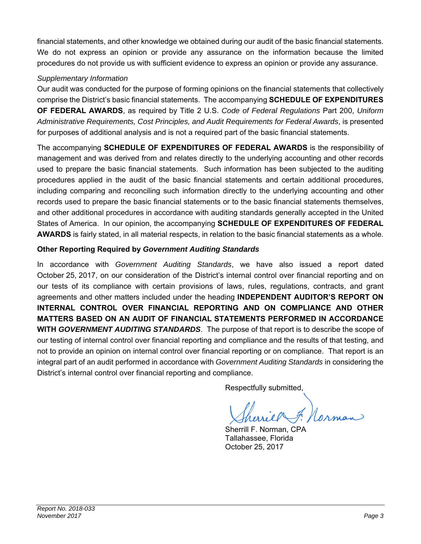<span id="page-8-0"></span>financial statements, and other knowledge we obtained during our audit of the basic financial statements. We do not express an opinion or provide any assurance on the information because the limited procedures do not provide us with sufficient evidence to express an opinion or provide any assurance.

#### *Supplementary Information*

Our audit was conducted for the purpose of forming opinions on the financial statements that collectively comprise the District's basic financial statements. The accompanying **SCHEDULE OF EXPENDITURES OF FEDERAL AWARDS**, as required by Title 2 U.S. *Code of Federal Regulations* Part 200, *Uniform Administrative Requirements, Cost Principles, and Audit Requirements for Federal Awards*, is presented for purposes of additional analysis and is not a required part of the basic financial statements.

The accompanying **SCHEDULE OF EXPENDITURES OF FEDERAL AWARDS** is the responsibility of management and was derived from and relates directly to the underlying accounting and other records used to prepare the basic financial statements. Such information has been subjected to the auditing procedures applied in the audit of the basic financial statements and certain additional procedures, including comparing and reconciling such information directly to the underlying accounting and other records used to prepare the basic financial statements or to the basic financial statements themselves, and other additional procedures in accordance with auditing standards generally accepted in the United States of America. In our opinion, the accompanying **SCHEDULE OF EXPENDITURES OF FEDERAL AWARDS** is fairly stated, in all material respects, in relation to the basic financial statements as a whole.

#### **Other Reporting Required by** *Government Auditing Standards*

In accordance with *Government Auditing Standards*, we have also issued a report dated October 25, 2017, on our consideration of the District's internal control over financial reporting and on our tests of its compliance with certain provisions of laws, rules, regulations, contracts, and grant agreements and other matters included under the heading **INDEPENDENT AUDITOR'S REPORT ON INTERNAL CONTROL OVER FINANCIAL REPORTING AND ON COMPLIANCE AND OTHER MATTERS BASED ON AN AUDIT OF FINANCIAL STATEMENTS PERFORMED IN ACCORDANCE WITH** *GOVERNMENT AUDITING STANDARDS*. The purpose of that report is to describe the scope of our testing of internal control over financial reporting and compliance and the results of that testing, and not to provide an opinion on internal control over financial reporting or on compliance. That report is an integral part of an audit performed in accordance with *Government Auditing Standards* in considering the District's internal control over financial reporting and compliance.

Respectfully submitted,

Sherrill F. Norman, CPA Tallahassee, Florida October 25, 2017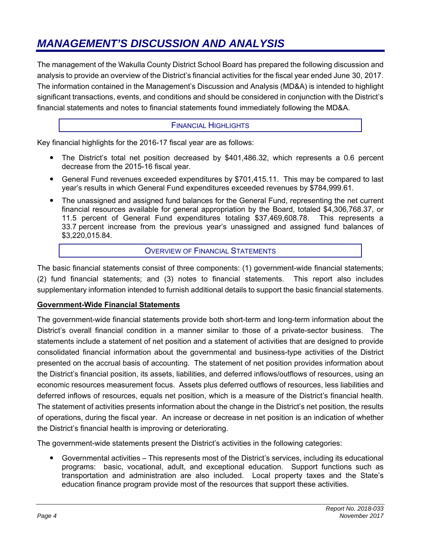# <span id="page-9-0"></span>*MANAGEMENT'S DISCUSSION AND ANALYSIS*

The management of the Wakulla County District School Board has prepared the following discussion and analysis to provide an overview of the District's financial activities for the fiscal year ended June 30, 2017. The information contained in the Management's Discussion and Analysis (MD&A) is intended to highlight significant transactions, events, and conditions and should be considered in conjunction with the District's financial statements and notes to financial statements found immediately following the MD&A.

#### FINANCIAL HIGHLIGHTS

Key financial highlights for the 2016-17 fiscal year are as follows:

- The District's total net position decreased by \$401,486.32, which represents a 0.6 percent decrease from the 2015-16 fiscal year.
- General Fund revenues exceeded expenditures by \$701,415.11. This may be compared to last year's results in which General Fund expenditures exceeded revenues by \$784,999.61.
- The unassigned and assigned fund balances for the General Fund, representing the net current financial resources available for general appropriation by the Board, totaled \$4,306,768.37, or 11.5 percent of General Fund expenditures totaling \$37,469,608.78. This represents a 33.7 percent increase from the previous year's unassigned and assigned fund balances of \$3,220,015.84.

#### OVERVIEW OF FINANCIAL STATEMENTS

The basic financial statements consist of three components: (1) government-wide financial statements; (2) fund financial statements; and (3) notes to financial statements. This report also includes supplementary information intended to furnish additional details to support the basic financial statements.

#### **Government-Wide Financial Statements**

The government-wide financial statements provide both short-term and long-term information about the District's overall financial condition in a manner similar to those of a private-sector business. The statements include a statement of net position and a statement of activities that are designed to provide consolidated financial information about the governmental and business-type activities of the District presented on the accrual basis of accounting. The statement of net position provides information about the District's financial position, its assets, liabilities, and deferred inflows/outflows of resources, using an economic resources measurement focus. Assets plus deferred outflows of resources, less liabilities and deferred inflows of resources, equals net position, which is a measure of the District's financial health. The statement of activities presents information about the change in the District's net position, the results of operations, during the fiscal year. An increase or decrease in net position is an indication of whether the District's financial health is improving or deteriorating.

The government-wide statements present the District's activities in the following categories:

 Governmental activities – This represents most of the District's services, including its educational programs: basic, vocational, adult, and exceptional education. Support functions such as transportation and administration are also included. Local property taxes and the State's education finance program provide most of the resources that support these activities.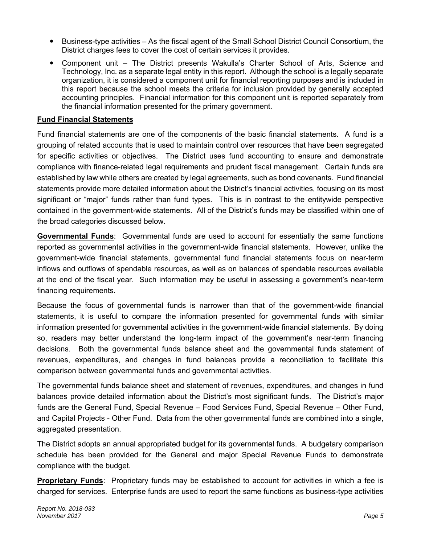- Business-type activities As the fiscal agent of the Small School District Council Consortium, the District charges fees to cover the cost of certain services it provides.
- Component unit The District presents Wakulla's Charter School of Arts, Science and Technology, Inc. as a separate legal entity in this report. Although the school is a legally separate organization, it is considered a component unit for financial reporting purposes and is included in this report because the school meets the criteria for inclusion provided by generally accepted accounting principles. Financial information for this component unit is reported separately from the financial information presented for the primary government.

#### **Fund Financial Statements**

Fund financial statements are one of the components of the basic financial statements. A fund is a grouping of related accounts that is used to maintain control over resources that have been segregated for specific activities or objectives. The District uses fund accounting to ensure and demonstrate compliance with finance-related legal requirements and prudent fiscal management. Certain funds are established by law while others are created by legal agreements, such as bond covenants. Fund financial statements provide more detailed information about the District's financial activities, focusing on its most significant or "major" funds rather than fund types. This is in contrast to the entitywide perspective contained in the government-wide statements. All of the District's funds may be classified within one of the broad categories discussed below.

**Governmental Funds**: Governmental funds are used to account for essentially the same functions reported as governmental activities in the government-wide financial statements. However, unlike the government-wide financial statements, governmental fund financial statements focus on near-term inflows and outflows of spendable resources, as well as on balances of spendable resources available at the end of the fiscal year. Such information may be useful in assessing a government's near-term financing requirements.

Because the focus of governmental funds is narrower than that of the government-wide financial statements, it is useful to compare the information presented for governmental funds with similar information presented for governmental activities in the government-wide financial statements. By doing so, readers may better understand the long-term impact of the government's near-term financing decisions. Both the governmental funds balance sheet and the governmental funds statement of revenues, expenditures, and changes in fund balances provide a reconciliation to facilitate this comparison between governmental funds and governmental activities.

The governmental funds balance sheet and statement of revenues, expenditures, and changes in fund balances provide detailed information about the District's most significant funds. The District's major funds are the General Fund, Special Revenue – Food Services Fund, Special Revenue – Other Fund, and Capital Projects - Other Fund. Data from the other governmental funds are combined into a single, aggregated presentation.

The District adopts an annual appropriated budget for its governmental funds. A budgetary comparison schedule has been provided for the General and major Special Revenue Funds to demonstrate compliance with the budget.

**Proprietary Funds**: Proprietary funds may be established to account for activities in which a fee is charged for services. Enterprise funds are used to report the same functions as business-type activities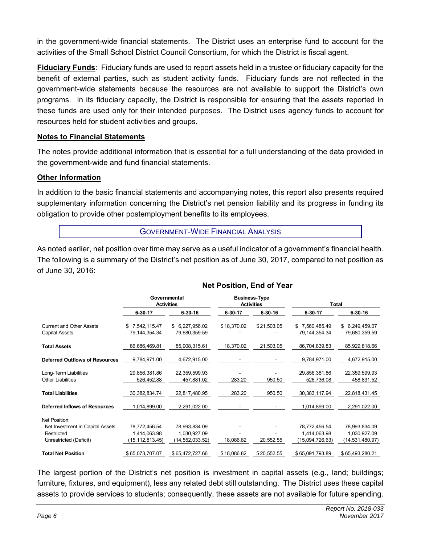in the government-wide financial statements. The District uses an enterprise fund to account for the activities of the Small School District Council Consortium, for which the District is fiscal agent.

**Fiduciary Funds**: Fiduciary funds are used to report assets held in a trustee or fiduciary capacity for the benefit of external parties, such as student activity funds. Fiduciary funds are not reflected in the government-wide statements because the resources are not available to support the District's own programs. In its fiduciary capacity, the District is responsible for ensuring that the assets reported in these funds are used only for their intended purposes. The District uses agency funds to account for resources held for student activities and groups.

#### **Notes to Financial Statements**

The notes provide additional information that is essential for a full understanding of the data provided in the government-wide and fund financial statements.

#### **Other Information**

In addition to the basic financial statements and accompanying notes, this report also presents required supplementary information concerning the District's net pension liability and its progress in funding its obligation to provide other postemployment benefits to its employees.

GOVERNMENT-WIDE FINANCIAL ANALYSIS

As noted earlier, net position over time may serve as a useful indicator of a government's financial health. The following is a summary of the District's net position as of June 30, 2017, compared to net position as of June 30, 2016:

|                                                                 | Governmental<br><b>Activities</b>  |                                 |               | <b>Business-Type</b><br><b>Activities</b> | Total                              |                                  |  |  |
|-----------------------------------------------------------------|------------------------------------|---------------------------------|---------------|-------------------------------------------|------------------------------------|----------------------------------|--|--|
|                                                                 | 6-30-17                            | $6 - 30 - 16$                   | $6 - 30 - 17$ | $6 - 30 - 16$                             | $6 - 30 - 17$                      | $6 - 30 - 16$                    |  |  |
| <b>Current and Other Assets</b><br><b>Capital Assets</b>        | \$7,542,115.47<br>79, 144, 354. 34 | \$6,227,956.02<br>79,680,359.59 | \$18,370.02   | \$21,503.05                               | \$7,560,485.49<br>79, 144, 354. 34 | \$ 6,249,459.07<br>79,680,359.59 |  |  |
| <b>Total Assets</b>                                             | 86,686,469.81                      | 85,908,315.61                   | 18,370.02     | 21,503.05                                 | 86,704,839.83                      | 85,929,818.66                    |  |  |
| <b>Deferred Outflows of Resources</b>                           | 9,784,971.00                       | 4,672,915.00                    |               |                                           | 9,784,971.00                       | 4,672,915.00                     |  |  |
| Long-Term Liabilities<br><b>Other Liabilities</b>               | 29,856,381.86<br>526,452.88        | 22,359,599.93<br>457,881.02     | 283.20        | 950.50                                    | 29,856,381.86<br>526,736.08        | 22,359,599.93<br>458,831.52      |  |  |
| <b>Total Liabilities</b>                                        | 30, 382, 834. 74                   | 22,817,480.95                   | 283.20        | 950.50                                    | 30, 383, 117.94                    | 22,818,431.45                    |  |  |
| <b>Deferred Inflows of Resources</b>                            | 1,014,899.00                       | 2,291,022.00                    |               |                                           | 1,014,899.00                       | 2,291,022.00                     |  |  |
| Net Position:<br>Net Investment in Capital Assets<br>Restricted | 78,772,456.54<br>1,414,063.98      | 78,993,834.09<br>1,030,927.09   |               |                                           | 78,772,456.54<br>1,414,063.98      | 78,993,834.09<br>1,030,927.09    |  |  |
| Unrestricted (Deficit)                                          | 15, 112, 813.45                    | (14,552,033.52)                 | 18,086.82     | 20,552.55                                 | (15,094,726.63)                    | (14,531,480.97)                  |  |  |
| <b>Total Net Position</b>                                       | \$65,073,707.07                    | \$65,472,727.66                 | \$18,086.82   | \$20,552.55                               | \$65,091,793.89                    | \$65,493,280.21                  |  |  |

#### **Net Position, End of Year**

The largest portion of the District's net position is investment in capital assets (e.g., land; buildings; furniture, fixtures, and equipment), less any related debt still outstanding. The District uses these capital assets to provide services to students; consequently, these assets are not available for future spending.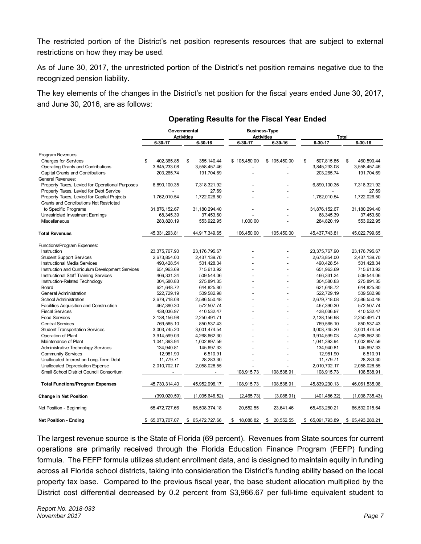The restricted portion of the District's net position represents resources that are subject to external restrictions on how they may be used.

As of June 30, 2017, the unrestricted portion of the District's net position remains negative due to the recognized pension liability.

The key elements of the changes in the District's net position for the fiscal years ended June 30, 2017, and June 30, 2016, are as follows:

|                                                 | Governmental<br><b>Activities</b> |                   | <b>Activities</b> | <b>Business-Type</b> | <b>Total</b>     |                  |  |
|-------------------------------------------------|-----------------------------------|-------------------|-------------------|----------------------|------------------|------------------|--|
|                                                 | 6-30-17                           | 6-30-16           | 6-30-17           | $6 - 30 - 16$        | 6-30-17          | $6 - 30 - 16$    |  |
|                                                 |                                   |                   |                   |                      |                  |                  |  |
| Program Revenues:                               |                                   |                   |                   |                      |                  |                  |  |
| <b>Charges for Services</b>                     | \$<br>402,365.85                  | \$<br>355, 140.44 | \$105,450.00      | \$105,450.00         | \$<br>507,815.85 | \$<br>460,590.44 |  |
| Operating Grants and Contributions              | 3,845,233.08                      | 3,558,457.46      |                   |                      | 3,845,233.08     | 3,558,457.46     |  |
| Capital Grants and Contributions                | 203, 265.74                       | 191,704.69        |                   |                      | 203,265.74       | 191,704.69       |  |
| General Revenues:                               |                                   |                   |                   |                      |                  |                  |  |
| Property Taxes, Levied for Operational Purposes | 6,890,100.35                      | 7,318,321.92      |                   |                      | 6,890,100.35     | 7,318,321.92     |  |
| Property Taxes, Levied for Debt Service         |                                   | 27.69             |                   |                      |                  | 27.69            |  |
| Property Taxes, Levied for Capital Projects     | 1,762,010.54                      | 1,722,026.50      |                   |                      | 1,762,010.54     | 1,722,026.50     |  |
| Grants and Contributions Not Restricted         |                                   |                   |                   |                      |                  |                  |  |
| to Specific Programs                            | 31,876,152.67                     | 31,180,294.40     |                   |                      | 31,876,152.67    | 31,180,294.40    |  |
| Unrestricted Investment Earnings                | 68,345.39                         | 37,453.60         |                   |                      | 68,345.39        | 37,453.60        |  |
| <b>Miscellaneous</b>                            | 283,820.19                        | 553,922.95        | 1,000.00          |                      | 284,820.19       | 553,922.95       |  |
| <b>Total Revenues</b>                           | 45,331,293.81                     | 44,917,349.65     | 106,450.00        | 105,450.00           | 45,437,743.81    | 45,022,799.65    |  |
|                                                 |                                   |                   |                   |                      |                  |                  |  |
| Functions/Program Expenses:                     |                                   |                   |                   |                      |                  |                  |  |
| Instruction                                     | 23,375,767.90                     | 23, 176, 795.67   |                   |                      | 23,375,767.90    | 23, 176, 795.67  |  |
| <b>Student Support Services</b>                 | 2,673,854.00                      | 2,437,139.70      |                   |                      | 2,673,854.00     | 2,437,139.70     |  |
| <b>Instructional Media Services</b>             | 490,428.54                        | 501,428.34        |                   |                      | 490,428.54       | 501,428.34       |  |
| Instruction and Curriculum Development Services | 651,963.69                        | 715,613.92        |                   |                      | 651,963.69       | 715,613.92       |  |
| <b>Instructional Staff Training Services</b>    | 466,331.34                        | 509,544.06        |                   |                      | 466,331.34       | 509,544.06       |  |
| Instruction-Related Technology                  | 304,580.83                        | 275,891.35        |                   |                      | 304,580.83       | 275,891.35       |  |
| Board                                           | 621,648.72                        | 644,825.80        |                   |                      | 621,648.72       | 644,825.80       |  |
| General Administration                          | 522,729.19                        | 509,582.98        |                   |                      | 522,729.19       | 509,582.98       |  |
| School Administration                           | 2,679,718.08                      | 2,586,550.48      |                   |                      | 2,679,718.08     | 2,586,550.48     |  |
| Facilities Acquisition and Construction         | 467,390.30                        | 572,507.74        |                   |                      | 467,390.30       | 572,507.74       |  |
| <b>Fiscal Services</b>                          | 438,036.97                        | 410,532.47        |                   |                      | 438,036.97       | 410,532.47       |  |
| <b>Food Services</b>                            | 2, 138, 156.98                    | 2,250,491.71      |                   |                      | 2, 138, 156.98   | 2,250,491.71     |  |
| <b>Central Services</b>                         | 769,565.10                        | 850,537.43        |                   |                      | 769,565.10       | 850,537.43       |  |
| <b>Student Transportation Services</b>          | 3,003,745.20                      | 3,001,474.54      |                   |                      | 3,003,745.20     | 3,001,474.54     |  |
| Operation of Plant                              | 3,914,599.03                      | 4,268,662.30      |                   |                      | 3,914,599.03     | 4,268,662.30     |  |
| Maintenance of Plant                            | 1,041,393.94                      | 1,002,897.59      |                   |                      | 1,041,393.94     | 1,002,897.59     |  |
| Administrative Technology Services              | 134,940.81                        | 145,697.33        |                   |                      | 134,940.81       | 145,697.33       |  |
| <b>Community Services</b>                       | 12,981.90                         | 6,510.91          |                   |                      | 12,981.90        | 6,510.91         |  |
| Unallocated Interest on Long-Term Debt          | 11,779.71                         | 28,283.30         |                   |                      | 11,779.71        | 28,283.30        |  |
| <b>Unallocated Depreciation Expense</b>         | 2,010,702.17                      | 2,058,028.55      |                   |                      | 2,010,702.17     | 2,058,028.55     |  |
| Small School District Council Consortium        | $\overline{a}$                    |                   | 108,915.73        | 108,538.91           | 108,915.73       | 108,538.91       |  |
| <b>Total Functions/Program Expenses</b>         | 45,730,314.40                     | 45,952,996.17     | 108,915.73        | 108,538.91           | 45,839,230.13    | 46,061,535.08    |  |
| <b>Change in Net Position</b>                   | (399, 020.59)                     | (1,035,646.52)    | (2,465.73)        | (3,088.91)           | (401, 486.32)    | (1,038,735.43)   |  |
| Net Position - Beginning                        | 65,472,727.66                     | 66,508,374.18     | 20,552.55         | 23,641.46            | 65,493,280.21    | 66,532,015.64    |  |
| <b>Net Position - Ending</b>                    | \$65,073,707.07                   | \$65,472,727.66   | 18,086.82<br>\$   | 20,552.55<br>\$      | \$65,091,793.89  | \$65,493,280.21  |  |
|                                                 |                                   |                   |                   |                      |                  |                  |  |

#### **Operating Results for the Fiscal Year Ended**

The largest revenue source is the State of Florida (69 percent). Revenues from State sources for current operations are primarily received through the Florida Education Finance Program (FEFP) funding formula. The FEFP formula utilizes student enrollment data, and is designed to maintain equity in funding across all Florida school districts, taking into consideration the District's funding ability based on the local property tax base. Compared to the previous fiscal year, the base student allocation multiplied by the District cost differential decreased by 0.2 percent from \$3,966.67 per full-time equivalent student to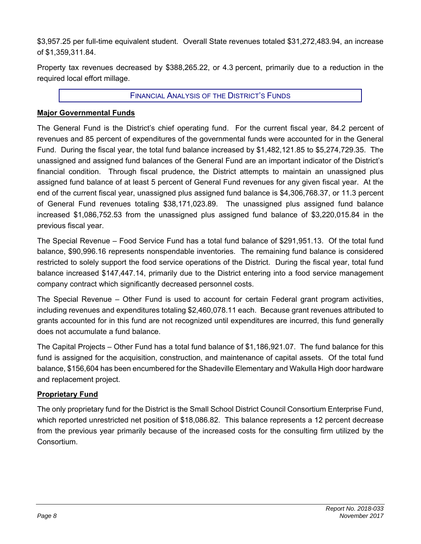\$3,957.25 per full-time equivalent student. Overall State revenues totaled \$31,272,483.94, an increase of \$1,359,311.84.

Property tax revenues decreased by \$388,265.22, or 4.3 percent, primarily due to a reduction in the required local effort millage.

#### FINANCIAL ANALYSIS OF THE DISTRICT'S FUNDS

#### **Major Governmental Funds**

The General Fund is the District's chief operating fund. For the current fiscal year, 84.2 percent of revenues and 85 percent of expenditures of the governmental funds were accounted for in the General Fund. During the fiscal year, the total fund balance increased by \$1,482,121.85 to \$5,274,729.35. The unassigned and assigned fund balances of the General Fund are an important indicator of the District's financial condition. Through fiscal prudence, the District attempts to maintain an unassigned plus assigned fund balance of at least 5 percent of General Fund revenues for any given fiscal year. At the end of the current fiscal year, unassigned plus assigned fund balance is \$4,306,768.37, or 11.3 percent of General Fund revenues totaling \$38,171,023.89. The unassigned plus assigned fund balance increased \$1,086,752.53 from the unassigned plus assigned fund balance of \$3,220,015.84 in the previous fiscal year.

The Special Revenue – Food Service Fund has a total fund balance of \$291,951.13. Of the total fund balance, \$90,996.16 represents nonspendable inventories. The remaining fund balance is considered restricted to solely support the food service operations of the District. During the fiscal year, total fund balance increased \$147,447.14, primarily due to the District entering into a food service management company contract which significantly decreased personnel costs.

The Special Revenue – Other Fund is used to account for certain Federal grant program activities, including revenues and expenditures totaling \$2,460,078.11 each. Because grant revenues attributed to grants accounted for in this fund are not recognized until expenditures are incurred, this fund generally does not accumulate a fund balance.

The Capital Projects – Other Fund has a total fund balance of \$1,186,921.07. The fund balance for this fund is assigned for the acquisition, construction, and maintenance of capital assets. Of the total fund balance, \$156,604 has been encumbered for the Shadeville Elementary and Wakulla High door hardware and replacement project.

#### **Proprietary Fund**

The only proprietary fund for the District is the Small School District Council Consortium Enterprise Fund, which reported unrestricted net position of \$18,086.82. This balance represents a 12 percent decrease from the previous year primarily because of the increased costs for the consulting firm utilized by the Consortium.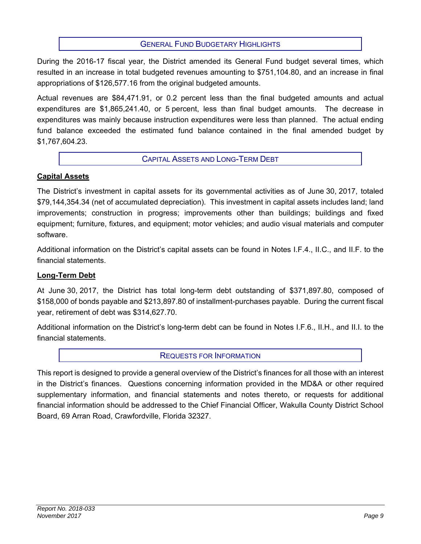#### GENERAL FUND BUDGETARY HIGHLIGHTS

During the 2016-17 fiscal year, the District amended its General Fund budget several times, which resulted in an increase in total budgeted revenues amounting to \$751,104.80, and an increase in final appropriations of \$126,577.16 from the original budgeted amounts.

Actual revenues are \$84,471.91, or 0.2 percent less than the final budgeted amounts and actual expenditures are \$1,865,241.40, or 5 percent, less than final budget amounts. The decrease in expenditures was mainly because instruction expenditures were less than planned. The actual ending fund balance exceeded the estimated fund balance contained in the final amended budget by \$1,767,604.23.

#### CAPITAL ASSETS AND LONG-TERM DEBT

#### **Capital Assets**

The District's investment in capital assets for its governmental activities as of June 30, 2017, totaled \$79,144,354.34 (net of accumulated depreciation). This investment in capital assets includes land; land improvements; construction in progress; improvements other than buildings; buildings and fixed equipment; furniture, fixtures, and equipment; motor vehicles; and audio visual materials and computer software.

Additional information on the District's capital assets can be found in Notes I.F.4., II.C., and II.F. to the financial statements.

#### **Long-Term Debt**

At June 30, 2017, the District has total long-term debt outstanding of \$371,897.80, composed of \$158,000 of bonds payable and \$213,897.80 of installment-purchases payable. During the current fiscal year, retirement of debt was \$314,627.70.

Additional information on the District's long-term debt can be found in Notes I.F.6., II.H., and II.I. to the financial statements.

#### REQUESTS FOR INFORMATION

This report is designed to provide a general overview of the District's finances for all those with an interest in the District's finances. Questions concerning information provided in the MD&A or other required supplementary information, and financial statements and notes thereto, or requests for additional financial information should be addressed to the Chief Financial Officer, Wakulla County District School Board, 69 Arran Road, Crawfordville, Florida 32327.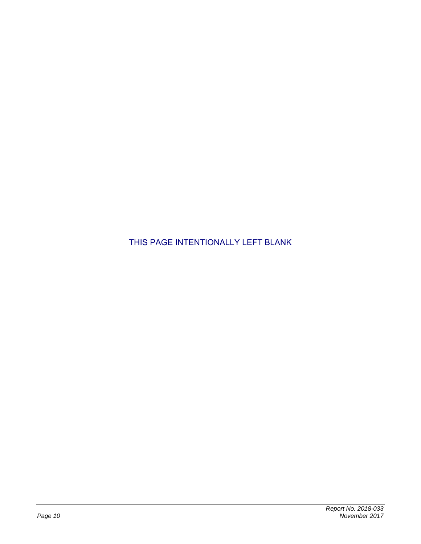THIS PAGE INTENTIONALLY LEFT BLANK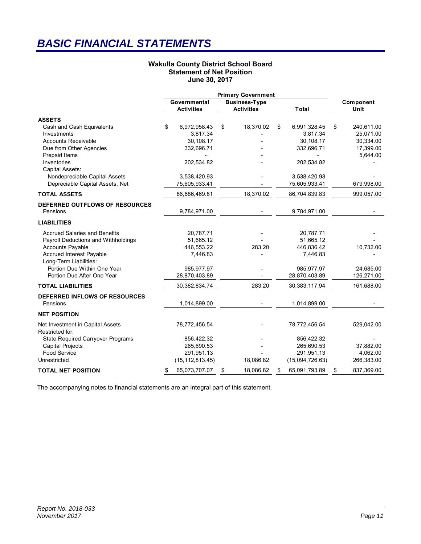# <span id="page-16-0"></span>*BASIC FINANCIAL STATEMENTS*

#### **Wakulla County District School Board Statement of Net Position June 30, 2017**

|                                                     | <b>Primary Government</b>         |                   |                                           |                          |              |                 |                   |            |
|-----------------------------------------------------|-----------------------------------|-------------------|-------------------------------------------|--------------------------|--------------|-----------------|-------------------|------------|
|                                                     | Governmental<br><b>Activities</b> |                   | <b>Business-Type</b><br><b>Activities</b> |                          | <b>Total</b> |                 | Component<br>Unit |            |
| <b>ASSETS</b>                                       |                                   |                   |                                           |                          |              |                 |                   |            |
| Cash and Cash Equivalents                           | \$                                | 6,972,958.43      | \$                                        | 18,370.02                | \$           | 6,991,328.45    | \$                | 240,611.00 |
| Investments                                         |                                   | 3.817.34          |                                           |                          |              | 3,817.34        |                   | 25,071.00  |
| <b>Accounts Receivable</b>                          |                                   | 30,108.17         |                                           |                          |              | 30,108.17       |                   | 30,334.00  |
| Due from Other Agencies                             |                                   | 332,696.71        |                                           |                          |              | 332,696.71      |                   | 17,399.00  |
| Prepaid Items                                       |                                   |                   |                                           |                          |              |                 |                   | 5,644.00   |
| Inventories                                         |                                   | 202,534.82        |                                           |                          |              | 202,534.82      |                   |            |
| Capital Assets:                                     |                                   |                   |                                           |                          |              |                 |                   |            |
| Nondepreciable Capital Assets                       |                                   | 3,538,420.93      |                                           |                          |              | 3,538,420.93    |                   |            |
| Depreciable Capital Assets, Net                     |                                   | 75,605,933.41     |                                           |                          |              | 75,605,933.41   |                   | 679,998.00 |
| <b>TOTAL ASSETS</b>                                 |                                   | 86,686,469.81     |                                           | 18,370.02                |              | 86,704,839.83   |                   | 999,057.00 |
| <b>DEFERRED OUTFLOWS OF RESOURCES</b>               |                                   |                   |                                           |                          |              |                 |                   |            |
| Pensions                                            |                                   | 9,784,971.00      |                                           |                          |              | 9,784,971.00    |                   |            |
| <b>LIABILITIES</b>                                  |                                   |                   |                                           |                          |              |                 |                   |            |
| <b>Accrued Salaries and Benefits</b>                |                                   | 20,787.71         |                                           |                          |              | 20,787.71       |                   |            |
| Payroll Deductions and Withholdings                 |                                   | 51,665.12         |                                           |                          |              | 51,665.12       |                   |            |
| <b>Accounts Payable</b>                             |                                   | 446,553.22        |                                           | 283.20                   |              | 446,836.42      |                   | 10,732.00  |
| Accrued Interest Payable                            |                                   | 7,446.83          |                                           |                          |              | 7,446.83        |                   |            |
| Long-Term Liabilities:                              |                                   |                   |                                           |                          |              |                 |                   |            |
| Portion Due Within One Year                         |                                   | 985,977.97        |                                           |                          |              | 985,977.97      |                   | 24,685.00  |
| Portion Due After One Year                          |                                   | 28,870,403.89     |                                           |                          |              | 28,870,403.89   |                   | 126,271.00 |
| <b>TOTAL LIABILITIES</b>                            |                                   | 30,382,834.74     |                                           | 283.20                   |              | 30, 383, 117.94 |                   | 161,688.00 |
| DEFERRED INFLOWS OF RESOURCES                       |                                   |                   |                                           |                          |              |                 |                   |            |
| Pensions                                            |                                   | 1,014,899.00      |                                           | $\overline{\phantom{a}}$ |              | 1,014,899.00    |                   |            |
| <b>NET POSITION</b>                                 |                                   |                   |                                           |                          |              |                 |                   |            |
| Net Investment in Capital Assets<br>Restricted for: |                                   | 78,772,456.54     |                                           |                          |              | 78,772,456.54   |                   | 529,042.00 |
| <b>State Required Carryover Programs</b>            |                                   | 856,422.32        |                                           |                          |              | 856,422.32      |                   |            |
| <b>Capital Projects</b>                             |                                   | 265,690.53        |                                           |                          |              | 265,690.53      |                   | 37,882.00  |
| <b>Food Service</b>                                 |                                   | 291,951.13        |                                           |                          |              | 291,951.13      |                   | 4,062.00   |
| Unrestricted                                        |                                   | (15, 112, 813.45) |                                           | 18,086.82                |              | (15,094,726.63) |                   | 266,383.00 |
| <b>TOTAL NET POSITION</b>                           | \$                                | 65,073,707.07     | \$                                        | 18,086.82                | \$           | 65,091,793.89   | \$                | 837,369.00 |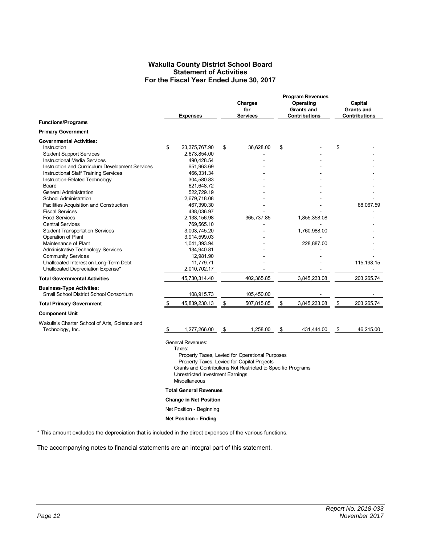#### **Wakulla County District School Board Statement of Activities For the Fiscal Year Ended June 30, 2017**

<span id="page-17-0"></span>

|                                                 |    |                                                                                                                                                                                                                           |    |                                                                                                |    | <b>Program Revenues</b>                                |    |                                                      |  |
|-------------------------------------------------|----|---------------------------------------------------------------------------------------------------------------------------------------------------------------------------------------------------------------------------|----|------------------------------------------------------------------------------------------------|----|--------------------------------------------------------|----|------------------------------------------------------|--|
|                                                 |    | <b>Expenses</b>                                                                                                                                                                                                           |    | Charges<br>for<br><b>Services</b>                                                              |    | Operating<br><b>Grants and</b><br><b>Contributions</b> |    | Capital<br><b>Grants and</b><br><b>Contributions</b> |  |
| <b>Functions/Programs</b>                       |    |                                                                                                                                                                                                                           |    |                                                                                                |    |                                                        |    |                                                      |  |
| <b>Primary Government</b>                       |    |                                                                                                                                                                                                                           |    |                                                                                                |    |                                                        |    |                                                      |  |
| <b>Governmental Activities:</b>                 |    |                                                                                                                                                                                                                           |    |                                                                                                |    |                                                        |    |                                                      |  |
| Instruction                                     | \$ | 23,375,767.90                                                                                                                                                                                                             | \$ | 36,628.00                                                                                      | \$ |                                                        | \$ |                                                      |  |
| <b>Student Support Services</b>                 |    | 2,673,854.00                                                                                                                                                                                                              |    |                                                                                                |    |                                                        |    |                                                      |  |
| <b>Instructional Media Services</b>             |    | 490,428.54                                                                                                                                                                                                                |    |                                                                                                |    |                                                        |    |                                                      |  |
| Instruction and Curriculum Development Services |    | 651,963.69<br>466,331.34                                                                                                                                                                                                  |    |                                                                                                |    |                                                        |    |                                                      |  |
| <b>Instructional Staff Training Services</b>    |    | 304,580.83                                                                                                                                                                                                                |    |                                                                                                |    |                                                        |    |                                                      |  |
| Instruction-Related Technology<br>Board         |    | 621,648.72                                                                                                                                                                                                                |    |                                                                                                |    |                                                        |    |                                                      |  |
| <b>General Administration</b>                   |    | 522,729.19                                                                                                                                                                                                                |    |                                                                                                |    |                                                        |    |                                                      |  |
| School Administration                           |    | 2,679,718.08                                                                                                                                                                                                              |    |                                                                                                |    |                                                        |    |                                                      |  |
| <b>Facilities Acquisition and Construction</b>  |    | 467,390.30                                                                                                                                                                                                                |    |                                                                                                |    |                                                        |    | 88,067.59                                            |  |
| <b>Fiscal Services</b>                          |    | 438,036.97                                                                                                                                                                                                                |    |                                                                                                |    |                                                        |    |                                                      |  |
| <b>Food Services</b>                            |    | 2, 138, 156.98                                                                                                                                                                                                            |    | 365,737.85                                                                                     |    | 1,855,358.08                                           |    |                                                      |  |
| <b>Central Services</b>                         |    | 769,565.10                                                                                                                                                                                                                |    |                                                                                                |    |                                                        |    |                                                      |  |
| <b>Student Transportation Services</b>          |    | 3,003,745.20                                                                                                                                                                                                              |    |                                                                                                |    | 1,760,988.00                                           |    |                                                      |  |
| Operation of Plant                              |    | 3,914,599.03                                                                                                                                                                                                              |    |                                                                                                |    |                                                        |    |                                                      |  |
| Maintenance of Plant                            |    | 1,041,393.94                                                                                                                                                                                                              |    |                                                                                                |    | 228,887.00                                             |    |                                                      |  |
| Administrative Technology Services              |    | 134,940.81                                                                                                                                                                                                                |    |                                                                                                |    |                                                        |    |                                                      |  |
| <b>Community Services</b>                       |    | 12,981.90                                                                                                                                                                                                                 |    |                                                                                                |    |                                                        |    |                                                      |  |
| Unallocated Interest on Long-Term Debt          |    | 11,779.71                                                                                                                                                                                                                 |    |                                                                                                |    |                                                        |    | 115, 198. 15                                         |  |
| Unallocated Depreciation Expense*               |    | 2,010,702.17                                                                                                                                                                                                              |    |                                                                                                |    |                                                        |    |                                                      |  |
| <b>Total Governmental Activities</b>            |    | 45,730,314.40                                                                                                                                                                                                             |    | 402,365.85                                                                                     |    | 3,845,233.08                                           |    | 203,265.74                                           |  |
| <b>Business-Type Activities:</b>                |    |                                                                                                                                                                                                                           |    |                                                                                                |    |                                                        |    |                                                      |  |
| Small School District School Consortium         |    | 108,915.73                                                                                                                                                                                                                |    | 105,450.00                                                                                     |    |                                                        |    |                                                      |  |
| <b>Total Primary Government</b>                 | \$ | 45,839,230.13                                                                                                                                                                                                             | \$ | 507,815.85                                                                                     | \$ | 3,845,233.08                                           | \$ | 203,265.74                                           |  |
| <b>Component Unit</b>                           |    |                                                                                                                                                                                                                           |    |                                                                                                |    |                                                        |    |                                                      |  |
| Wakulla's Charter School of Arts, Science and   |    |                                                                                                                                                                                                                           |    |                                                                                                |    |                                                        |    |                                                      |  |
| Technology, Inc.                                | \$ | 1,277,266.00                                                                                                                                                                                                              | \$ | 1,258.00                                                                                       | \$ | 431,444.00                                             | \$ | 46,215.00                                            |  |
|                                                 |    | <b>General Revenues:</b><br>Taxes:<br>Grants and Contributions Not Restricted to Specific Programs<br>Unrestricted Investment Earnings<br>Miscellaneous<br><b>Total General Revenues</b><br><b>Change in Net Position</b> |    | Property Taxes, Levied for Operational Purposes<br>Property Taxes, Levied for Capital Projects |    |                                                        |    |                                                      |  |
|                                                 |    | Net Position - Beginning                                                                                                                                                                                                  |    |                                                                                                |    |                                                        |    |                                                      |  |
|                                                 |    | <b>Net Position - Ending</b>                                                                                                                                                                                              |    |                                                                                                |    |                                                        |    |                                                      |  |

\* This amount excludes the depreciation that is included in the direct expenses of the various functions.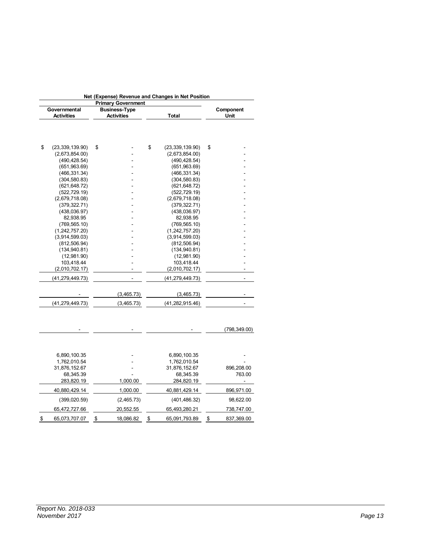|                         | <b>Primary Government</b> | Net (Expense) Revenue and Changes in Net Position |                  |
|-------------------------|---------------------------|---------------------------------------------------|------------------|
| Governmental            | <b>Business-Type</b>      |                                                   | Component        |
| <b>Activities</b>       | <b>Activities</b>         | <b>Total</b>                                      | Unit             |
|                         |                           |                                                   |                  |
| \$<br>(23, 339, 139.90) | \$                        | \$<br>(23, 339, 139.90)                           | \$               |
| (2,673,854.00)          |                           | (2,673,854.00)                                    |                  |
| (490, 428.54)           |                           | (490, 428.54)                                     |                  |
| (651,963.69)            |                           | (651, 963.69)                                     |                  |
| (466, 331.34)           |                           | (466, 331.34)                                     |                  |
| (304, 580.83)           |                           | (304, 580.83)                                     |                  |
| (621, 648.72)           |                           | (621, 648.72)                                     |                  |
| (522, 729.19)           |                           | (522, 729.19)                                     |                  |
| (2,679,718.08)          |                           | (2,679,718.08)                                    |                  |
| (379, 322.71)           |                           | (379, 322.71)                                     |                  |
| (438,036.97)            |                           | (438,036.97)                                      |                  |
| 82,938.95               |                           | 82,938.95                                         |                  |
| (769, 565.10)           |                           | (769, 565, 10)                                    |                  |
| (1,242,757.20)          |                           | (1,242,757.20)                                    |                  |
| (3,914,599.03)          |                           | (3,914,599.03)                                    |                  |
| (812, 506.94)           |                           | (812, 506.94)                                     |                  |
| (134, 940.81)           |                           | (134, 940.81)                                     |                  |
| (12,981.90)             |                           | (12,981.90)                                       |                  |
| 103,418.44              |                           | 103,418.44                                        |                  |
| (2,010,702.17)          |                           | (2,010,702.17)                                    |                  |
| (41, 279, 449.73)       |                           | (41,279,449.73)                                   |                  |
|                         | (3,465.73)                | (3,465.73)                                        |                  |
| (41, 279, 449.73)       | (3,465.73)                | (41, 282, 915.46)                                 |                  |
|                         |                           |                                                   |                  |
|                         |                           |                                                   | (798,349.00)     |
|                         |                           |                                                   |                  |
| 6,890,100.35            |                           | 6,890,100.35                                      |                  |
| 1,762,010.54            |                           | 1,762,010.54                                      |                  |
| 31,876,152.67           |                           | 31,876,152.67                                     | 896,208.00       |
| 68,345.39               |                           | 68,345.39                                         | 763.00           |
| 283,820.19              | 1,000.00                  | 284,820.19                                        |                  |
| 40,880,429.14           | 1,000.00                  | 40,881,429.14                                     | 896,971.00       |
| (399, 020.59)           | (2,465.73)                | (401, 486.32)                                     | 98,622.00        |
| 65,472,727.66           | 20,552.55                 | 65,493,280.21                                     | 738,747.00       |
| \$<br>65,073,707.07     | \$<br>18,086.82           | \$<br>65,091,793.89                               | \$<br>837,369.00 |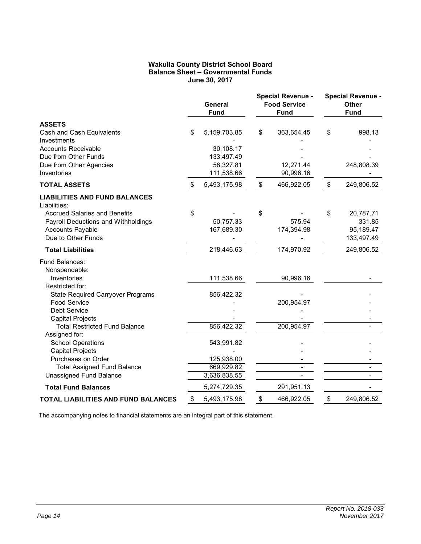#### **Wakulla County District School Board Balance Sheet – Governmental Funds June 30, 2017**

<span id="page-19-0"></span>

|                                                                 |    | General<br><b>Fund</b> |                           | <b>Special Revenue -</b><br><b>Food Service</b><br><b>Fund</b> | <b>Special Revenue -</b><br><b>Other</b><br><b>Fund</b> |                          |  |
|-----------------------------------------------------------------|----|------------------------|---------------------------|----------------------------------------------------------------|---------------------------------------------------------|--------------------------|--|
| <b>ASSETS</b>                                                   |    |                        |                           |                                                                |                                                         |                          |  |
| Cash and Cash Equivalents                                       | \$ | 5, 159, 703.85         | \$                        | 363,654.45                                                     | \$                                                      | 998.13                   |  |
| Investments<br><b>Accounts Receivable</b>                       |    | 30,108.17              |                           |                                                                |                                                         |                          |  |
| Due from Other Funds                                            |    | 133,497.49             |                           |                                                                |                                                         |                          |  |
| Due from Other Agencies                                         |    | 58,327.81              |                           | 12,271.44                                                      |                                                         | 248,808.39               |  |
| Inventories                                                     |    | 111,538.66             |                           | 90,996.16                                                      |                                                         |                          |  |
| <b>TOTAL ASSETS</b>                                             | \$ | 5,493,175.98           | $\boldsymbol{\mathsf{S}}$ | 466,922.05                                                     | $\boldsymbol{\mathsf{S}}$                               | 249,806.52               |  |
| <b>LIABILITIES AND FUND BALANCES</b><br>Liabilities:            |    |                        |                           |                                                                |                                                         |                          |  |
| <b>Accrued Salaries and Benefits</b>                            | \$ |                        | \$                        |                                                                | \$                                                      | 20,787.71                |  |
| Payroll Deductions and Withholdings                             |    | 50,757.33              |                           | 575.94                                                         |                                                         | 331.85                   |  |
| <b>Accounts Payable</b>                                         |    | 167,689.30             |                           | 174,394.98                                                     |                                                         | 95,189.47                |  |
| Due to Other Funds                                              |    |                        |                           |                                                                |                                                         | 133,497.49               |  |
| <b>Total Liabilities</b>                                        |    | 218,446.63             |                           | 174,970.92                                                     |                                                         | 249,806.52               |  |
| Fund Balances:                                                  |    |                        |                           |                                                                |                                                         |                          |  |
| Nonspendable:                                                   |    |                        |                           |                                                                |                                                         |                          |  |
| Inventories                                                     |    | 111,538.66             |                           | 90,996.16                                                      |                                                         |                          |  |
| Restricted for:                                                 |    |                        |                           |                                                                |                                                         |                          |  |
| <b>State Required Carryover Programs</b><br><b>Food Service</b> |    | 856,422.32             |                           | 200,954.97                                                     |                                                         |                          |  |
| Debt Service                                                    |    |                        |                           |                                                                |                                                         |                          |  |
| <b>Capital Projects</b>                                         |    |                        |                           |                                                                |                                                         |                          |  |
| <b>Total Restricted Fund Balance</b>                            |    | 856,422.32             |                           | 200,954.97                                                     |                                                         |                          |  |
| Assigned for:                                                   |    |                        |                           |                                                                |                                                         |                          |  |
| <b>School Operations</b>                                        |    | 543,991.82             |                           |                                                                |                                                         |                          |  |
| <b>Capital Projects</b>                                         |    |                        |                           |                                                                |                                                         |                          |  |
| Purchases on Order                                              |    | 125,938.00             |                           |                                                                |                                                         |                          |  |
| <b>Total Assigned Fund Balance</b>                              |    | 669,929.82             |                           |                                                                |                                                         | $\overline{a}$           |  |
| <b>Unassigned Fund Balance</b>                                  |    | 3,636,838.55           |                           |                                                                |                                                         | $\overline{\phantom{a}}$ |  |
| <b>Total Fund Balances</b>                                      |    | 5,274,729.35           |                           | 291,951.13                                                     |                                                         |                          |  |
| TOTAL LIABILITIES AND FUND BALANCES                             | \$ | 5,493,175.98           | \$                        | 466,922.05                                                     | \$                                                      | 249,806.52               |  |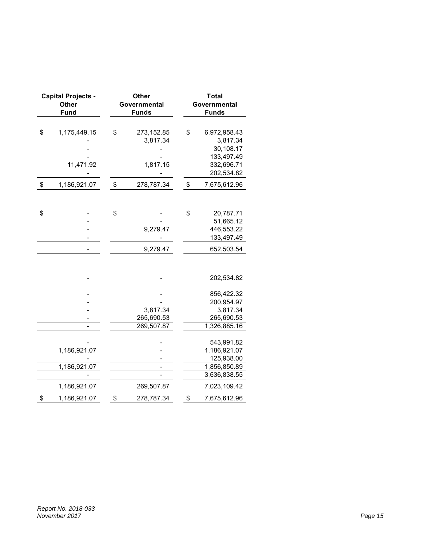| <b>Capital Projects -</b><br><b>Other</b><br><b>Fund</b> | <b>Other</b><br>Governmental<br><b>Funds</b> | <b>Total</b><br>Governmental<br><b>Funds</b> |
|----------------------------------------------------------|----------------------------------------------|----------------------------------------------|
|                                                          |                                              |                                              |
| \$<br>1,175,449.15                                       | \$<br>273,152.85                             | \$<br>6,972,958.43                           |
|                                                          | 3,817.34                                     | 3,817.34                                     |
|                                                          |                                              | 30,108.17                                    |
|                                                          |                                              | 133,497.49                                   |
| 11,471.92                                                | 1,817.15                                     | 332,696.71                                   |
|                                                          |                                              | 202,534.82                                   |
| \$<br>1,186,921.07                                       | \$<br>278,787.34                             | \$<br>7,675,612.96                           |
|                                                          |                                              |                                              |
| \$                                                       | \$                                           | \$<br>20,787.71                              |
|                                                          |                                              | 51,665.12                                    |
|                                                          | 9,279.47                                     | 446,553.22                                   |
|                                                          |                                              | 133,497.49                                   |
|                                                          | 9,279.47                                     | 652,503.54                                   |
|                                                          |                                              |                                              |
|                                                          |                                              | 202,534.82                                   |
|                                                          |                                              | 856,422.32                                   |
|                                                          |                                              | 200,954.97                                   |
|                                                          | 3,817.34                                     | 3,817.34                                     |
|                                                          | 265,690.53                                   | 265,690.53                                   |
|                                                          | 269,507.87                                   | 1,326,885.16                                 |
|                                                          |                                              |                                              |
|                                                          |                                              | 543,991.82                                   |
| 1,186,921.07                                             |                                              | 1,186,921.07                                 |
|                                                          |                                              | 125,938.00                                   |
| 1,186,921.07                                             |                                              | 1,856,850.89                                 |
|                                                          |                                              | 3,636,838.55                                 |
| 1,186,921.07                                             | 269,507.87                                   | 7,023,109.42                                 |
| \$<br>1,186,921.07                                       | \$<br>278,787.34                             | \$<br>7,675,612.96                           |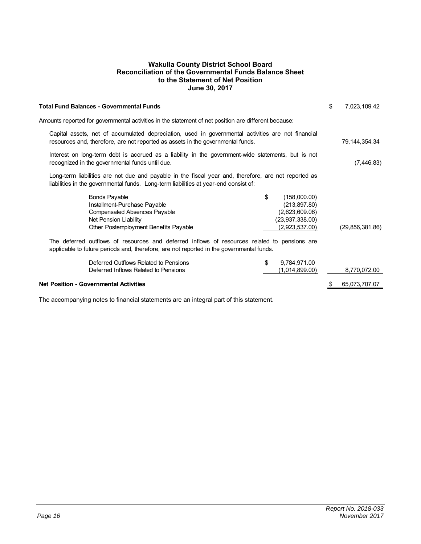#### **Wakulla County District School Board Reconciliation of the Governmental Funds Balance Sheet to the Statement of Net Position June 30, 2017**

<span id="page-21-0"></span>

| <b>Total Fund Balances - Governmental Funds</b>                                                                                                                                              |    | \$<br>7,023,109.42                                                                     |                   |
|----------------------------------------------------------------------------------------------------------------------------------------------------------------------------------------------|----|----------------------------------------------------------------------------------------|-------------------|
| Amounts reported for governmental activities in the statement of net position are different because:                                                                                         |    |                                                                                        |                   |
| Capital assets, net of accumulated depreciation, used in governmental activities are not financial<br>resources and, therefore, are not reported as assets in the governmental funds.        |    |                                                                                        | 79, 144, 354. 34  |
| Interest on long-term debt is accrued as a liability in the government-wide statements, but is not<br>recognized in the governmental funds until due.                                        |    | (7, 446.83)                                                                            |                   |
| Long-term liabilities are not due and payable in the fiscal year and, therefore, are not reported as<br>liabilities in the governmental funds. Long-term liabilities at year-end consist of: |    |                                                                                        |                   |
| <b>Bonds Payable</b><br>Installment-Purchase Payable<br><b>Compensated Absences Payable</b><br>Net Pension Liability<br>Other Postemployment Benefits Payable                                | \$ | (158,000.00)<br>(213, 897.80)<br>(2,623,609.06)<br>(23, 937, 338.00)<br>(2,923,537.00) | (29, 856, 381.86) |
| The deferred outflows of resources and deferred inflows of resources related to pensions are<br>applicable to future periods and, therefore, are not reported in the governmental funds.     |    |                                                                                        |                   |
| Deferred Outflows Related to Pensions<br>Deferred Inflows Related to Pensions                                                                                                                | \$ | 9,784,971.00<br>(1,014,899.00)                                                         | 8,770,072.00      |
| <b>Net Position - Governmental Activities</b>                                                                                                                                                |    |                                                                                        | 65,073,707.07     |
|                                                                                                                                                                                              |    |                                                                                        |                   |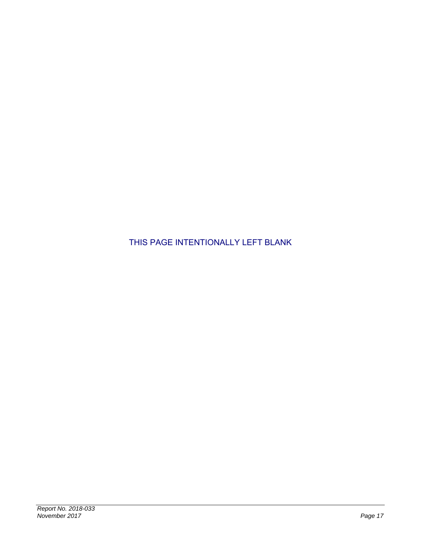THIS PAGE INTENTIONALLY LEFT BLANK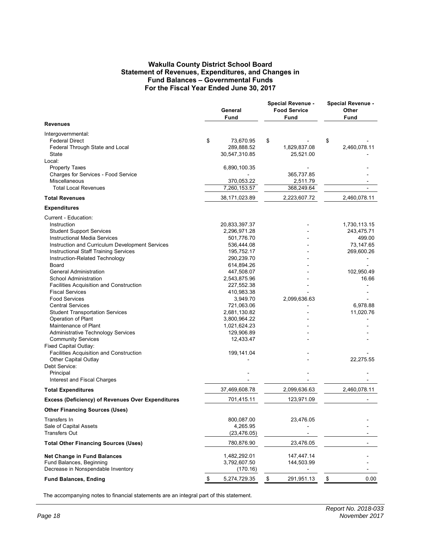#### **Wakulla County District School Board Statement of Revenues, Expenditures, and Changes in Fund Balances – Governmental Funds For the Fiscal Year Ended June 30, 2017**

<span id="page-23-0"></span>

|                                                                                  |    | General<br><b>Fund</b>                   | <b>Special Revenue -</b><br><b>Food Service</b><br><b>Fund</b> | <b>Special Revenue -</b><br>Other<br><b>Fund</b> |              |  |
|----------------------------------------------------------------------------------|----|------------------------------------------|----------------------------------------------------------------|--------------------------------------------------|--------------|--|
| Revenues                                                                         |    |                                          |                                                                |                                                  |              |  |
| Intergovernmental:<br>Federal Direct<br>Federal Through State and Local<br>State | \$ | 73,670.95<br>289,888.52<br>30,547,310.85 | \$<br>1,829,837.08<br>25,521.00                                | \$                                               | 2,460,078.11 |  |
| Local:<br><b>Property Taxes</b>                                                  |    | 6,890,100.35                             |                                                                |                                                  |              |  |
| Charges for Services - Food Service                                              |    |                                          | 365,737.85                                                     |                                                  |              |  |
| Miscellaneous                                                                    |    | 370,053.22                               | 2,511.79                                                       |                                                  |              |  |
| <b>Total Local Revenues</b>                                                      |    | 7,260,153.57                             | 368,249.64                                                     |                                                  |              |  |
| <b>Total Revenues</b>                                                            |    | 38, 171, 023.89                          | 2,223,607.72                                                   |                                                  | 2,460,078.11 |  |
| <b>Expenditures</b>                                                              |    |                                          |                                                                |                                                  |              |  |
| Current - Education:                                                             |    |                                          |                                                                |                                                  |              |  |
| Instruction                                                                      |    | 20,833,397.37                            |                                                                |                                                  | 1,730,113.15 |  |
| <b>Student Support Services</b>                                                  |    | 2,296,971.28                             |                                                                |                                                  | 243,475.71   |  |
| <b>Instructional Media Services</b>                                              |    | 501,776.70                               |                                                                |                                                  | 499.00       |  |
| Instruction and Curriculum Development Services                                  |    | 536,444.08                               |                                                                |                                                  | 73,147.65    |  |
| <b>Instructional Staff Training Services</b>                                     |    | 195,752.17                               |                                                                |                                                  | 269,600.26   |  |
| Instruction-Related Technology<br>Board                                          |    | 290,239.70                               |                                                                |                                                  |              |  |
| <b>General Administration</b>                                                    |    | 614,894.26<br>447,508.07                 |                                                                |                                                  | 102,950.49   |  |
| <b>School Administration</b>                                                     |    | 2,543,875.96                             |                                                                |                                                  | 16.66        |  |
| <b>Facilities Acquisition and Construction</b>                                   |    | 227,552.38                               |                                                                |                                                  |              |  |
| <b>Fiscal Services</b>                                                           |    | 410,983.38                               |                                                                |                                                  |              |  |
| <b>Food Services</b>                                                             |    | 3,949.70                                 | 2,099,636.63                                                   |                                                  |              |  |
| <b>Central Services</b>                                                          |    | 721,063.06                               |                                                                |                                                  | 6,978.88     |  |
| <b>Student Transportation Services</b>                                           |    | 2,681,130.82                             |                                                                |                                                  | 11,020.76    |  |
| Operation of Plant                                                               |    | 3,800,964.22                             |                                                                |                                                  |              |  |
| Maintenance of Plant                                                             |    | 1,021,624.23                             |                                                                |                                                  |              |  |
| <b>Administrative Technology Services</b>                                        |    | 129,906.89                               |                                                                |                                                  |              |  |
| <b>Community Services</b>                                                        |    | 12,433.47                                |                                                                |                                                  |              |  |
| Fixed Capital Outlay:                                                            |    |                                          |                                                                |                                                  |              |  |
| <b>Facilities Acquisition and Construction</b>                                   |    | 199,141.04                               |                                                                |                                                  |              |  |
| <b>Other Capital Outlay</b><br>Debt Service:                                     |    |                                          |                                                                |                                                  | 22,275.55    |  |
| Principal                                                                        |    |                                          |                                                                |                                                  |              |  |
| Interest and Fiscal Charges<br><b>Total Expenditures</b>                         |    | 37,469,608.78                            | 2,099,636.63                                                   |                                                  | 2,460,078.11 |  |
|                                                                                  |    | 701,415.11                               | 123,971.09                                                     |                                                  |              |  |
| <b>Excess (Deficiency) of Revenues Over Expenditures</b>                         |    |                                          |                                                                |                                                  |              |  |
| <b>Other Financing Sources (Uses)</b>                                            |    |                                          |                                                                |                                                  |              |  |
| Transfers In                                                                     |    | 800,087.00                               | 23,476.05                                                      |                                                  |              |  |
| Sale of Capital Assets                                                           |    | 4,265.95                                 |                                                                |                                                  |              |  |
| <b>Transfers Out</b>                                                             |    | (23, 476.05)                             |                                                                |                                                  |              |  |
| <b>Total Other Financing Sources (Uses)</b>                                      |    | 780,876.90                               | 23,476.05                                                      |                                                  |              |  |
| <b>Net Change in Fund Balances</b>                                               |    | 1,482,292.01                             | 147,447.14                                                     |                                                  |              |  |
| Fund Balances, Beginning                                                         |    | 3,792,607.50                             | 144,503.99                                                     |                                                  |              |  |
| Decrease in Nonspendable Inventory                                               |    | (170.16)                                 | $\overline{\phantom{a}}$                                       |                                                  |              |  |
| <b>Fund Balances, Ending</b>                                                     | \$ | 5,274,729.35                             | \$<br>291,951.13                                               | \$                                               | 0.00         |  |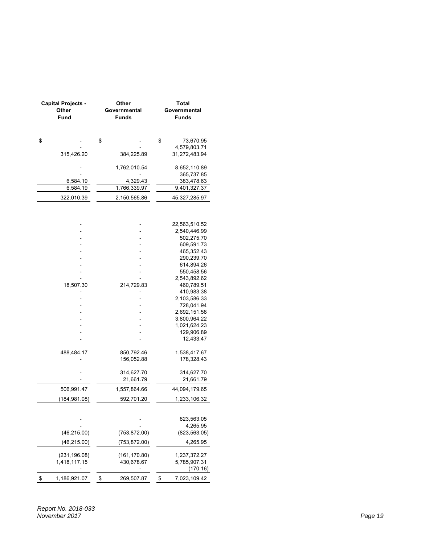| <b>Capital Projects -</b><br>Other<br>Fund | Other<br>Governmental<br><b>Funds</b> | Total<br>Governmental<br><b>Funds</b> |
|--------------------------------------------|---------------------------------------|---------------------------------------|
|                                            |                                       |                                       |
|                                            |                                       |                                       |
| \$                                         | \$                                    | \$<br>73,670.95                       |
|                                            |                                       | 4,579,803.71                          |
| 315,426.20                                 | 384,225.89                            | 31,272,483.94                         |
|                                            | 1,762,010.54                          | 8,652,110.89                          |
|                                            |                                       | 365,737.85                            |
| 6,584.19<br>6,584.19                       | 4,329.43<br>1,766,339.97              | 383,478.63                            |
|                                            |                                       | 9,401,327.37                          |
| 322,010.39                                 | 2,150,565.86                          | 45,327,285.97                         |
|                                            |                                       |                                       |
|                                            |                                       | 22,563,510.52                         |
|                                            |                                       | 2,540,446.99                          |
|                                            |                                       | 502,275.70                            |
|                                            |                                       | 609,591.73                            |
|                                            |                                       | 465,352.43                            |
|                                            |                                       | 290,239.70                            |
|                                            |                                       | 614,894.26                            |
|                                            |                                       | 550,458.56                            |
| 18,507.30                                  | 214,729.83                            | 2,543,892.62<br>460,789.51            |
|                                            |                                       | 410,983.38                            |
|                                            |                                       | 2,103,586.33                          |
|                                            |                                       | 728,041.94                            |
|                                            |                                       | 2,692,151.58                          |
|                                            |                                       | 3,800,964.22                          |
|                                            |                                       | 1,021,624.23                          |
|                                            |                                       | 129,906.89                            |
|                                            |                                       | 12,433.47                             |
| 488,484.17                                 | 850,792.46                            | 1,538,417.67                          |
|                                            | 156,052.88                            | 178,328.43                            |
|                                            | 314,627.70                            | 314,627.70                            |
|                                            | 21,661.79                             | 21,661.79                             |
| 506,991.47                                 | 1,557,864.66                          | 44,094,179.65                         |
| (184,981.08)                               | 592,701.20                            | 1,233,106.32                          |
|                                            |                                       |                                       |
|                                            |                                       | 823,563.05                            |
|                                            |                                       | 4,265.95                              |
| (46, 215.00)                               | (753,872.00)                          | (823, 563.05)                         |
| (46, 215.00)                               | (753,872.00)                          | 4,265.95                              |
| (231, 196.08)                              | (161,170.80)                          | 1,237,372.27                          |
| 1,418,117.15                               | 430,678.67                            | 5,785,907.31                          |
|                                            |                                       | (170.16)                              |
| \$<br>1,186,921.07                         | \$<br>269,507.87                      | \$<br>7,023,109.42                    |
|                                            |                                       |                                       |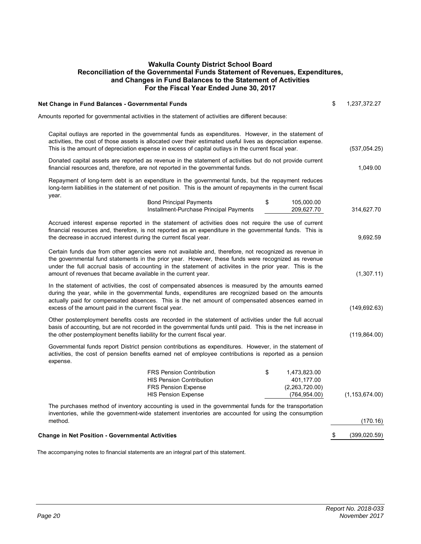#### <span id="page-25-0"></span>**Wakulla County District School Board Reconciliation of the Governmental Funds Statement of Revenues, Expenditures, and Changes in Fund Balances to the Statement of Activities For the Fiscal Year Ended June 30, 2017**

| Amounts reported for governmental activities in the statement of activities are different because:<br>Capital outlays are reported in the governmental funds as expenditures. However, in the statement of<br>activities, the cost of those assets is allocated over their estimated useful lives as depreciation expense.<br>This is the amount of depreciation expense in excess of capital outlays in the current fiscal year.<br>Donated capital assets are reported as revenue in the statement of activities but do not provide current<br>financial resources and, therefore, are not reported in the governmental funds.<br>Repayment of long-term debt is an expenditure in the governmental funds, but the repayment reduces<br>long-term liabilities in the statement of net position. This is the amount of repayments in the current fiscal<br>year.<br>\$<br><b>Bond Principal Payments</b><br>105,000.00<br>Installment-Purchase Principal Payments<br>209,627.70<br>Accrued interest expense reported in the statement of activities does not require the use of current<br>financial resources and, therefore, is not reported as an expenditure in the governmental funds. This is<br>the decrease in accrued interest during the current fiscal year.<br>Certain funds due from other agencies were not available and, therefore, not recognized as revenue in<br>the governmental fund statements in the prior year. However, these funds were recognized as revenue<br>under the full accrual basis of accounting in the statement of activities in the prior year. This is the<br>amount of revenues that became available in the current year.<br>In the statement of activities, the cost of compensated absences is measured by the amounts earned<br>during the year, while in the governmental funds, expenditures are recognized based on the amounts<br>actually paid for compensated absences. This is the net amount of compensated absences earned in<br>excess of the amount paid in the current fiscal year.<br>Other postemployment benefits costs are recorded in the statement of activities under the full accrual<br>basis of accounting, but are not recorded in the governmental funds until paid. This is the net increase in<br>the other postemployment benefits liability for the current fiscal year.<br>Governmental funds report District pension contributions as expenditures. However, in the statement of<br>activities, the cost of pension benefits earned net of employee contributions is reported as a pension<br>expense.<br><b>FRS Pension Contribution</b><br>\$<br>1,473,823.00<br><b>HIS Pension Contribution</b><br>401,177.00<br>(2,263,720.00)<br><b>FRS Pension Expense</b><br><b>HIS Pension Expense</b><br>(764, 954.00)<br>The purchases method of inventory accounting is used in the governmental funds for the transportation<br>inventories, while the government-wide statement inventories are accounted for using the consumption<br>method.<br>Change in Net Position - Governmental Activities | Net Change in Fund Balances - Governmental Funds |  |  | \$ | 1,237,372.27     |
|------------------------------------------------------------------------------------------------------------------------------------------------------------------------------------------------------------------------------------------------------------------------------------------------------------------------------------------------------------------------------------------------------------------------------------------------------------------------------------------------------------------------------------------------------------------------------------------------------------------------------------------------------------------------------------------------------------------------------------------------------------------------------------------------------------------------------------------------------------------------------------------------------------------------------------------------------------------------------------------------------------------------------------------------------------------------------------------------------------------------------------------------------------------------------------------------------------------------------------------------------------------------------------------------------------------------------------------------------------------------------------------------------------------------------------------------------------------------------------------------------------------------------------------------------------------------------------------------------------------------------------------------------------------------------------------------------------------------------------------------------------------------------------------------------------------------------------------------------------------------------------------------------------------------------------------------------------------------------------------------------------------------------------------------------------------------------------------------------------------------------------------------------------------------------------------------------------------------------------------------------------------------------------------------------------------------------------------------------------------------------------------------------------------------------------------------------------------------------------------------------------------------------------------------------------------------------------------------------------------------------------------------------------------------------------------------------------------------------------------------------------------------------------------------------------------------------------------------------------------------------------------------------------------------------------------------------------------------------------------------------------------------------------------------------------------------------|--------------------------------------------------|--|--|----|------------------|
|                                                                                                                                                                                                                                                                                                                                                                                                                                                                                                                                                                                                                                                                                                                                                                                                                                                                                                                                                                                                                                                                                                                                                                                                                                                                                                                                                                                                                                                                                                                                                                                                                                                                                                                                                                                                                                                                                                                                                                                                                                                                                                                                                                                                                                                                                                                                                                                                                                                                                                                                                                                                                                                                                                                                                                                                                                                                                                                                                                                                                                                                              |                                                  |  |  |    |                  |
|                                                                                                                                                                                                                                                                                                                                                                                                                                                                                                                                                                                                                                                                                                                                                                                                                                                                                                                                                                                                                                                                                                                                                                                                                                                                                                                                                                                                                                                                                                                                                                                                                                                                                                                                                                                                                                                                                                                                                                                                                                                                                                                                                                                                                                                                                                                                                                                                                                                                                                                                                                                                                                                                                                                                                                                                                                                                                                                                                                                                                                                                              |                                                  |  |  |    | (537, 054.25)    |
|                                                                                                                                                                                                                                                                                                                                                                                                                                                                                                                                                                                                                                                                                                                                                                                                                                                                                                                                                                                                                                                                                                                                                                                                                                                                                                                                                                                                                                                                                                                                                                                                                                                                                                                                                                                                                                                                                                                                                                                                                                                                                                                                                                                                                                                                                                                                                                                                                                                                                                                                                                                                                                                                                                                                                                                                                                                                                                                                                                                                                                                                              |                                                  |  |  |    | 1,049.00         |
|                                                                                                                                                                                                                                                                                                                                                                                                                                                                                                                                                                                                                                                                                                                                                                                                                                                                                                                                                                                                                                                                                                                                                                                                                                                                                                                                                                                                                                                                                                                                                                                                                                                                                                                                                                                                                                                                                                                                                                                                                                                                                                                                                                                                                                                                                                                                                                                                                                                                                                                                                                                                                                                                                                                                                                                                                                                                                                                                                                                                                                                                              |                                                  |  |  |    |                  |
|                                                                                                                                                                                                                                                                                                                                                                                                                                                                                                                                                                                                                                                                                                                                                                                                                                                                                                                                                                                                                                                                                                                                                                                                                                                                                                                                                                                                                                                                                                                                                                                                                                                                                                                                                                                                                                                                                                                                                                                                                                                                                                                                                                                                                                                                                                                                                                                                                                                                                                                                                                                                                                                                                                                                                                                                                                                                                                                                                                                                                                                                              |                                                  |  |  |    | 314,627.70       |
|                                                                                                                                                                                                                                                                                                                                                                                                                                                                                                                                                                                                                                                                                                                                                                                                                                                                                                                                                                                                                                                                                                                                                                                                                                                                                                                                                                                                                                                                                                                                                                                                                                                                                                                                                                                                                                                                                                                                                                                                                                                                                                                                                                                                                                                                                                                                                                                                                                                                                                                                                                                                                                                                                                                                                                                                                                                                                                                                                                                                                                                                              |                                                  |  |  |    | 9,692.59         |
|                                                                                                                                                                                                                                                                                                                                                                                                                                                                                                                                                                                                                                                                                                                                                                                                                                                                                                                                                                                                                                                                                                                                                                                                                                                                                                                                                                                                                                                                                                                                                                                                                                                                                                                                                                                                                                                                                                                                                                                                                                                                                                                                                                                                                                                                                                                                                                                                                                                                                                                                                                                                                                                                                                                                                                                                                                                                                                                                                                                                                                                                              |                                                  |  |  |    | (1,307.11)       |
|                                                                                                                                                                                                                                                                                                                                                                                                                                                                                                                                                                                                                                                                                                                                                                                                                                                                                                                                                                                                                                                                                                                                                                                                                                                                                                                                                                                                                                                                                                                                                                                                                                                                                                                                                                                                                                                                                                                                                                                                                                                                                                                                                                                                                                                                                                                                                                                                                                                                                                                                                                                                                                                                                                                                                                                                                                                                                                                                                                                                                                                                              |                                                  |  |  |    | (149, 692.63)    |
|                                                                                                                                                                                                                                                                                                                                                                                                                                                                                                                                                                                                                                                                                                                                                                                                                                                                                                                                                                                                                                                                                                                                                                                                                                                                                                                                                                                                                                                                                                                                                                                                                                                                                                                                                                                                                                                                                                                                                                                                                                                                                                                                                                                                                                                                                                                                                                                                                                                                                                                                                                                                                                                                                                                                                                                                                                                                                                                                                                                                                                                                              |                                                  |  |  |    | (119, 864.00)    |
|                                                                                                                                                                                                                                                                                                                                                                                                                                                                                                                                                                                                                                                                                                                                                                                                                                                                                                                                                                                                                                                                                                                                                                                                                                                                                                                                                                                                                                                                                                                                                                                                                                                                                                                                                                                                                                                                                                                                                                                                                                                                                                                                                                                                                                                                                                                                                                                                                                                                                                                                                                                                                                                                                                                                                                                                                                                                                                                                                                                                                                                                              |                                                  |  |  |    |                  |
|                                                                                                                                                                                                                                                                                                                                                                                                                                                                                                                                                                                                                                                                                                                                                                                                                                                                                                                                                                                                                                                                                                                                                                                                                                                                                                                                                                                                                                                                                                                                                                                                                                                                                                                                                                                                                                                                                                                                                                                                                                                                                                                                                                                                                                                                                                                                                                                                                                                                                                                                                                                                                                                                                                                                                                                                                                                                                                                                                                                                                                                                              |                                                  |  |  |    | (1, 153, 674.00) |
|                                                                                                                                                                                                                                                                                                                                                                                                                                                                                                                                                                                                                                                                                                                                                                                                                                                                                                                                                                                                                                                                                                                                                                                                                                                                                                                                                                                                                                                                                                                                                                                                                                                                                                                                                                                                                                                                                                                                                                                                                                                                                                                                                                                                                                                                                                                                                                                                                                                                                                                                                                                                                                                                                                                                                                                                                                                                                                                                                                                                                                                                              |                                                  |  |  |    | (170.16)         |
|                                                                                                                                                                                                                                                                                                                                                                                                                                                                                                                                                                                                                                                                                                                                                                                                                                                                                                                                                                                                                                                                                                                                                                                                                                                                                                                                                                                                                                                                                                                                                                                                                                                                                                                                                                                                                                                                                                                                                                                                                                                                                                                                                                                                                                                                                                                                                                                                                                                                                                                                                                                                                                                                                                                                                                                                                                                                                                                                                                                                                                                                              |                                                  |  |  |    | (399, 020.59)    |
|                                                                                                                                                                                                                                                                                                                                                                                                                                                                                                                                                                                                                                                                                                                                                                                                                                                                                                                                                                                                                                                                                                                                                                                                                                                                                                                                                                                                                                                                                                                                                                                                                                                                                                                                                                                                                                                                                                                                                                                                                                                                                                                                                                                                                                                                                                                                                                                                                                                                                                                                                                                                                                                                                                                                                                                                                                                                                                                                                                                                                                                                              |                                                  |  |  |    |                  |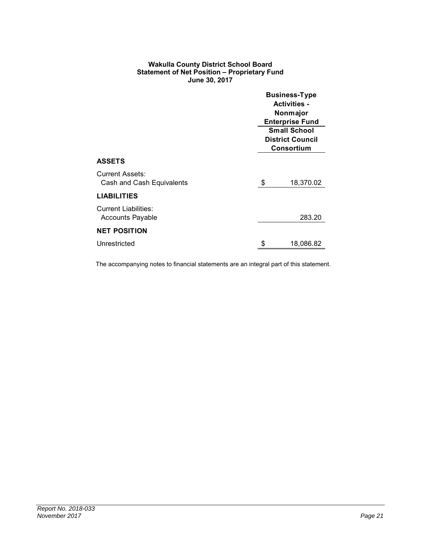#### **Wakulla County District School Board Statement of Net Position – Proprietary Fund June 30, 2017**

<span id="page-26-0"></span>

|                                                        | <b>Business-Type</b><br><b>Activities -</b><br>Nonmajor<br><b>Enterprise Fund</b><br><b>Small School</b><br><b>District Council</b><br>Consortium |           |
|--------------------------------------------------------|---------------------------------------------------------------------------------------------------------------------------------------------------|-----------|
| <b>ASSETS</b>                                          |                                                                                                                                                   |           |
| <b>Current Assets:</b><br>Cash and Cash Equivalents    | \$                                                                                                                                                | 18,370.02 |
| <b>LIABILITIES</b>                                     |                                                                                                                                                   |           |
| <b>Current Liabilities:</b><br><b>Accounts Payable</b> |                                                                                                                                                   | 283.20    |
| <b>NET POSITION</b>                                    |                                                                                                                                                   |           |
| Unrestricted                                           | \$                                                                                                                                                | 18,086.82 |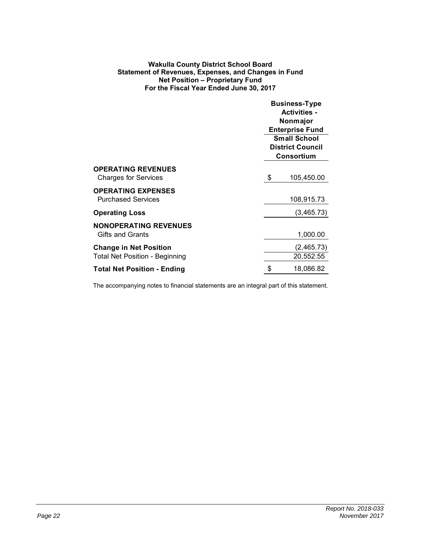#### <span id="page-27-0"></span>**Wakulla County District School Board Statement of Revenues, Expenses, and Changes in Fund Net Position – Proprietary Fund For the Fiscal Year Ended June 30, 2017**

|                                                                        | <b>Business-Type</b><br><b>Activities -</b><br>Nonmajor<br><b>Enterprise Fund</b> |  |  |
|------------------------------------------------------------------------|-----------------------------------------------------------------------------------|--|--|
|                                                                        | <b>Small School</b><br><b>District Council</b><br>Consortium                      |  |  |
| <b>OPERATING REVENUES</b><br><b>Charges for Services</b>               | \$<br>105,450.00                                                                  |  |  |
| <b>OPERATING EXPENSES</b><br><b>Purchased Services</b>                 | 108,915.73                                                                        |  |  |
| <b>Operating Loss</b>                                                  | (3,465.73)                                                                        |  |  |
| <b>NONOPERATING REVENUES</b><br>Gifts and Grants                       | 1,000.00                                                                          |  |  |
| <b>Change in Net Position</b><br><b>Total Net Position - Beginning</b> | (2,465.73)<br>20,552.55                                                           |  |  |
| <b>Total Net Position - Ending</b>                                     | \$<br>18,086.82                                                                   |  |  |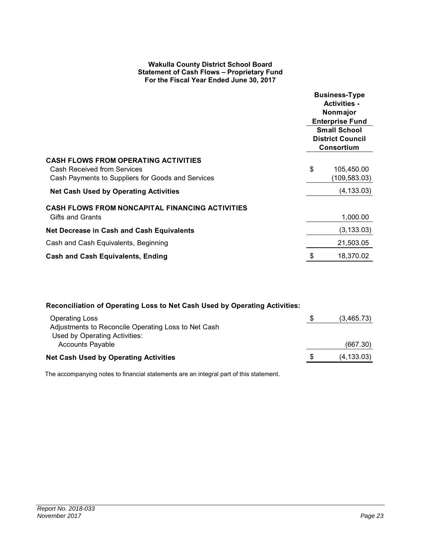#### **Wakulla County District School Board Statement of Cash Flows – Proprietary Fund For the Fiscal Year Ended June 30, 2017**

<span id="page-28-0"></span>

|                                                                                                                                        | <b>Business-Type</b><br><b>Activities -</b><br>Nonmajor<br><b>Enterprise Fund</b><br><b>Small School</b><br><b>District Council</b><br>Consortium |                            |  |
|----------------------------------------------------------------------------------------------------------------------------------------|---------------------------------------------------------------------------------------------------------------------------------------------------|----------------------------|--|
| <b>CASH FLOWS FROM OPERATING ACTIVITIES</b><br><b>Cash Received from Services</b><br>Cash Payments to Suppliers for Goods and Services | \$                                                                                                                                                | 105,450.00<br>(109,583.03) |  |
| <b>Net Cash Used by Operating Activities</b>                                                                                           |                                                                                                                                                   | (4, 133.03)                |  |
| <b>CASH FLOWS FROM NONCAPITAL FINANCING ACTIVITIES</b><br><b>Gifts and Grants</b>                                                      |                                                                                                                                                   | 1,000.00                   |  |
| Net Decrease in Cash and Cash Equivalents                                                                                              |                                                                                                                                                   | (3, 133.03)                |  |
| Cash and Cash Equivalents, Beginning                                                                                                   |                                                                                                                                                   | 21,503.05                  |  |
| <b>Cash and Cash Equivalents, Ending</b>                                                                                               | \$                                                                                                                                                | 18,370.02                  |  |

#### **Reconciliation of Operating Loss to Net Cash Used by Operating Activities:** Operating Loss (3,465.73) Adjustments to Reconcile Operating Loss to Net Cash Used by Operating Activities: Accounts Payable (667.30) **Net Cash Used by Operating Activities 1988** (4,133.03)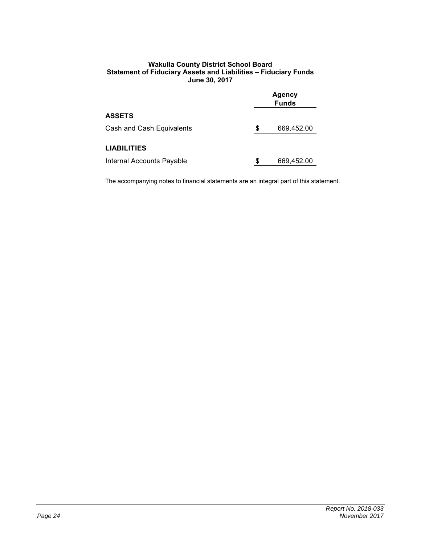#### <span id="page-29-0"></span>**Wakulla County District School Board Statement of Fiduciary Assets and Liabilities – Fiduciary Funds June 30, 2017**

|                           |     | <b>Agency</b><br><b>Funds</b> |
|---------------------------|-----|-------------------------------|
| <b>ASSETS</b>             |     |                               |
| Cash and Cash Equivalents | \$. | 669,452.00                    |
| <b>LIABILITIES</b>        |     |                               |
| Internal Accounts Payable | \$  | 669,452.00                    |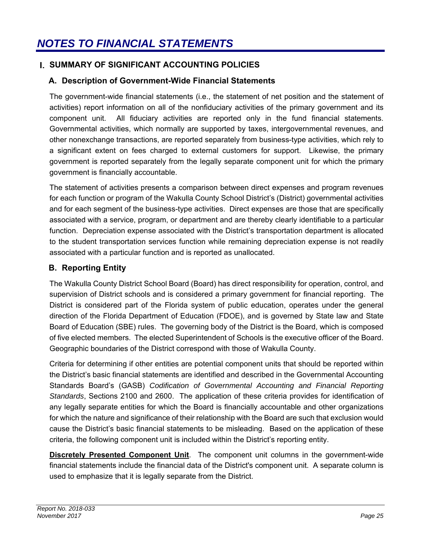#### <span id="page-30-0"></span> **SUMMARY OF SIGNIFICANT ACCOUNTING POLICIES**

#### **A. Description of Government-Wide Financial Statements**

The government-wide financial statements (i.e., the statement of net position and the statement of activities) report information on all of the nonfiduciary activities of the primary government and its component unit. All fiduciary activities are reported only in the fund financial statements. Governmental activities, which normally are supported by taxes, intergovernmental revenues, and other nonexchange transactions, are reported separately from business-type activities, which rely to a significant extent on fees charged to external customers for support. Likewise, the primary government is reported separately from the legally separate component unit for which the primary government is financially accountable.

The statement of activities presents a comparison between direct expenses and program revenues for each function or program of the Wakulla County School District's (District) governmental activities and for each segment of the business-type activities. Direct expenses are those that are specifically associated with a service, program, or department and are thereby clearly identifiable to a particular function. Depreciation expense associated with the District's transportation department is allocated to the student transportation services function while remaining depreciation expense is not readily associated with a particular function and is reported as unallocated.

#### **B. Reporting Entity**

The Wakulla County District School Board (Board) has direct responsibility for operation, control, and supervision of District schools and is considered a primary government for financial reporting. The District is considered part of the Florida system of public education, operates under the general direction of the Florida Department of Education (FDOE), and is governed by State law and State Board of Education (SBE) rules. The governing body of the District is the Board, which is composed of five elected members. The elected Superintendent of Schools is the executive officer of the Board. Geographic boundaries of the District correspond with those of Wakulla County.

Criteria for determining if other entities are potential component units that should be reported within the District's basic financial statements are identified and described in the Governmental Accounting Standards Board's (GASB) *Codification of Governmental Accounting and Financial Reporting Standards*, Sections 2100 and 2600. The application of these criteria provides for identification of any legally separate entities for which the Board is financially accountable and other organizations for which the nature and significance of their relationship with the Board are such that exclusion would cause the District's basic financial statements to be misleading. Based on the application of these criteria, the following component unit is included within the District's reporting entity.

**Discretely Presented Component Unit**. The component unit columns in the government-wide financial statements include the financial data of the District's component unit. A separate column is used to emphasize that it is legally separate from the District.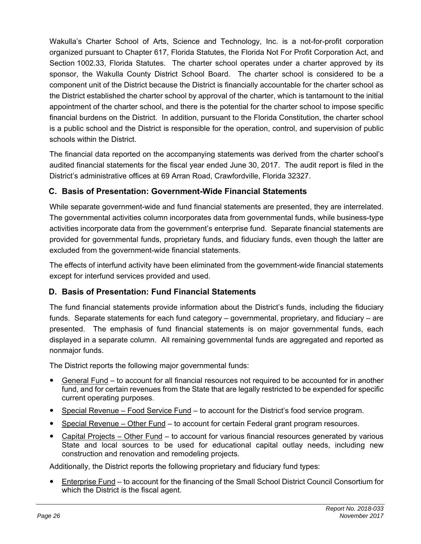Wakulla's Charter School of Arts, Science and Technology, Inc. is a not-for-profit corporation organized pursuant to Chapter 617, Florida Statutes, the Florida Not For Profit Corporation Act, and Section 1002.33, Florida Statutes. The charter school operates under a charter approved by its sponsor, the Wakulla County District School Board. The charter school is considered to be a component unit of the District because the District is financially accountable for the charter school as the District established the charter school by approval of the charter, which is tantamount to the initial appointment of the charter school, and there is the potential for the charter school to impose specific financial burdens on the District. In addition, pursuant to the Florida Constitution, the charter school is a public school and the District is responsible for the operation, control, and supervision of public schools within the District.

The financial data reported on the accompanying statements was derived from the charter school's audited financial statements for the fiscal year ended June 30, 2017. The audit report is filed in the District's administrative offices at 69 Arran Road, Crawfordville, Florida 32327.

#### **C. Basis of Presentation: Government-Wide Financial Statements**

While separate government-wide and fund financial statements are presented, they are interrelated. The governmental activities column incorporates data from governmental funds, while business-type activities incorporate data from the government's enterprise fund. Separate financial statements are provided for governmental funds, proprietary funds, and fiduciary funds, even though the latter are excluded from the government-wide financial statements.

The effects of interfund activity have been eliminated from the government-wide financial statements except for interfund services provided and used.

## **D. Basis of Presentation: Fund Financial Statements**

The fund financial statements provide information about the District's funds, including the fiduciary funds. Separate statements for each fund category – governmental, proprietary, and fiduciary – are presented. The emphasis of fund financial statements is on major governmental funds, each displayed in a separate column. All remaining governmental funds are aggregated and reported as nonmajor funds.

The District reports the following major governmental funds:

- General Fund to account for all financial resources not required to be accounted for in another fund, and for certain revenues from the State that are legally restricted to be expended for specific current operating purposes.
- Special Revenue Food Service Fund to account for the District's food service program.
- Special Revenue Other Fund to account for certain Federal grant program resources.
- Capital Projects Other Fund to account for various financial resources generated by various State and local sources to be used for educational capital outlay needs, including new construction and renovation and remodeling projects.

Additionally, the District reports the following proprietary and fiduciary fund types:

 Enterprise Fund – to account for the financing of the Small School District Council Consortium for which the District is the fiscal agent.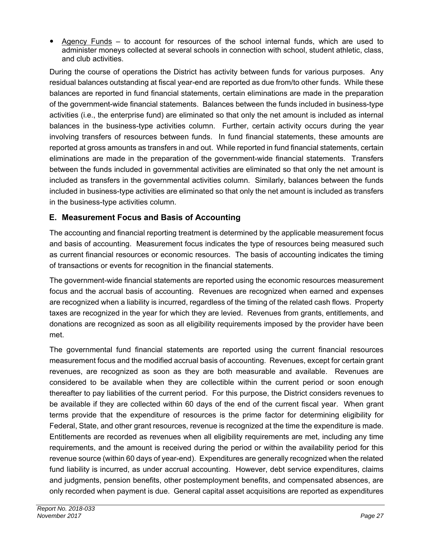Agency Funds – to account for resources of the school internal funds, which are used to administer moneys collected at several schools in connection with school, student athletic, class, and club activities.

During the course of operations the District has activity between funds for various purposes. Any residual balances outstanding at fiscal year-end are reported as due from/to other funds. While these balances are reported in fund financial statements, certain eliminations are made in the preparation of the government-wide financial statements. Balances between the funds included in business-type activities (i.e., the enterprise fund) are eliminated so that only the net amount is included as internal balances in the business-type activities column. Further, certain activity occurs during the year involving transfers of resources between funds. In fund financial statements, these amounts are reported at gross amounts as transfers in and out. While reported in fund financial statements, certain eliminations are made in the preparation of the government-wide financial statements. Transfers between the funds included in governmental activities are eliminated so that only the net amount is included as transfers in the governmental activities column. Similarly, balances between the funds included in business-type activities are eliminated so that only the net amount is included as transfers in the business-type activities column.

## **E. Measurement Focus and Basis of Accounting**

The accounting and financial reporting treatment is determined by the applicable measurement focus and basis of accounting. Measurement focus indicates the type of resources being measured such as current financial resources or economic resources. The basis of accounting indicates the timing of transactions or events for recognition in the financial statements.

The government-wide financial statements are reported using the economic resources measurement focus and the accrual basis of accounting. Revenues are recognized when earned and expenses are recognized when a liability is incurred, regardless of the timing of the related cash flows. Property taxes are recognized in the year for which they are levied. Revenues from grants, entitlements, and donations are recognized as soon as all eligibility requirements imposed by the provider have been met.

The governmental fund financial statements are reported using the current financial resources measurement focus and the modified accrual basis of accounting. Revenues, except for certain grant revenues, are recognized as soon as they are both measurable and available. Revenues are considered to be available when they are collectible within the current period or soon enough thereafter to pay liabilities of the current period. For this purpose, the District considers revenues to be available if they are collected within 60 days of the end of the current fiscal year. When grant terms provide that the expenditure of resources is the prime factor for determining eligibility for Federal, State, and other grant resources, revenue is recognized at the time the expenditure is made. Entitlements are recorded as revenues when all eligibility requirements are met, including any time requirements, and the amount is received during the period or within the availability period for this revenue source (within 60 days of year-end). Expenditures are generally recognized when the related fund liability is incurred, as under accrual accounting. However, debt service expenditures, claims and judgments, pension benefits, other postemployment benefits, and compensated absences, are only recorded when payment is due. General capital asset acquisitions are reported as expenditures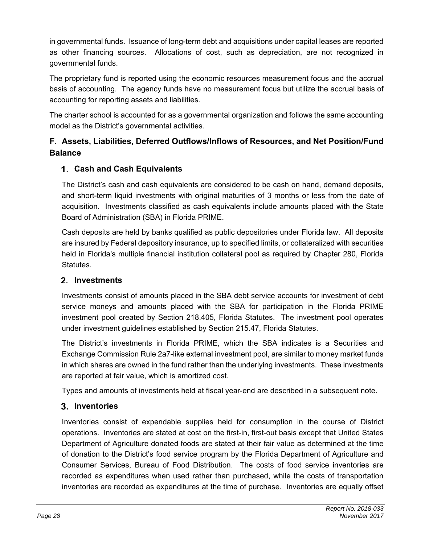in governmental funds. Issuance of long-term debt and acquisitions under capital leases are reported as other financing sources. Allocations of cost, such as depreciation, are not recognized in governmental funds.

The proprietary fund is reported using the economic resources measurement focus and the accrual basis of accounting. The agency funds have no measurement focus but utilize the accrual basis of accounting for reporting assets and liabilities.

The charter school is accounted for as a governmental organization and follows the same accounting model as the District's governmental activities.

## **F. Assets, Liabilities, Deferred Outflows/Inflows of Resources, and Net Position/Fund Balance**

#### **Cash and Cash Equivalents**

The District's cash and cash equivalents are considered to be cash on hand, demand deposits, and short-term liquid investments with original maturities of 3 months or less from the date of acquisition. Investments classified as cash equivalents include amounts placed with the State Board of Administration (SBA) in Florida PRIME.

Cash deposits are held by banks qualified as public depositories under Florida law. All deposits are insured by Federal depository insurance, up to specified limits, or collateralized with securities held in Florida's multiple financial institution collateral pool as required by Chapter 280, Florida Statutes.

#### **Investments**

Investments consist of amounts placed in the SBA debt service accounts for investment of debt service moneys and amounts placed with the SBA for participation in the Florida PRIME investment pool created by Section 218.405, Florida Statutes. The investment pool operates under investment guidelines established by Section 215.47, Florida Statutes.

The District's investments in Florida PRIME, which the SBA indicates is a Securities and Exchange Commission Rule 2a7-like external investment pool, are similar to money market funds in which shares are owned in the fund rather than the underlying investments. These investments are reported at fair value, which is amortized cost.

Types and amounts of investments held at fiscal year-end are described in a subsequent note.

#### **Inventories**

Inventories consist of expendable supplies held for consumption in the course of District operations. Inventories are stated at cost on the first-in, first-out basis except that United States Department of Agriculture donated foods are stated at their fair value as determined at the time of donation to the District's food service program by the Florida Department of Agriculture and Consumer Services, Bureau of Food Distribution. The costs of food service inventories are recorded as expenditures when used rather than purchased, while the costs of transportation inventories are recorded as expenditures at the time of purchase. Inventories are equally offset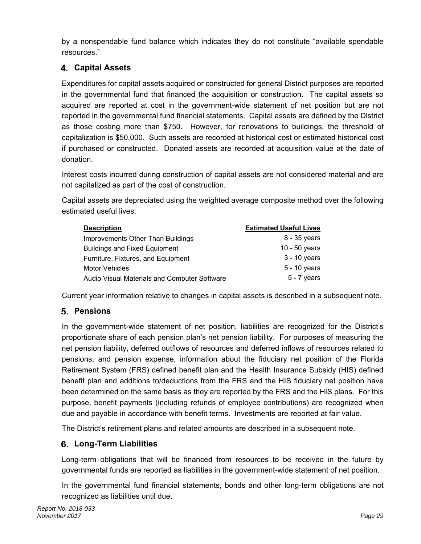by a nonspendable fund balance which indicates they do not constitute "available spendable resources."

## **Capital Assets**

Expenditures for capital assets acquired or constructed for general District purposes are reported in the governmental fund that financed the acquisition or construction. The capital assets so acquired are reported at cost in the government-wide statement of net position but are not reported in the governmental fund financial statements. Capital assets are defined by the District as those costing more than \$750. However, for renovations to buildings, the threshold of capitalization is \$50,000. Such assets are recorded at historical cost or estimated historical cost if purchased or constructed. Donated assets are recorded at acquisition value at the date of donation.

Interest costs incurred during construction of capital assets are not considered material and are not capitalized as part of the cost of construction.

Capital assets are depreciated using the weighted average composite method over the following estimated useful lives:

| <b>Description</b>                           | <b>Estimated Useful Lives</b> |
|----------------------------------------------|-------------------------------|
| Improvements Other Than Buildings            | 8 - 35 years                  |
| <b>Buildings and Fixed Equipment</b>         | 10 - 50 years                 |
| Furniture, Fixtures, and Equipment           | 3 - 10 years                  |
| <b>Motor Vehicles</b>                        | 5 - 10 years                  |
| Audio Visual Materials and Computer Software | $5 - 7$ years                 |

Current year information relative to changes in capital assets is described in a subsequent note.

## **Pensions**

In the government-wide statement of net position, liabilities are recognized for the District's proportionate share of each pension plan's net pension liability. For purposes of measuring the net pension liability, deferred outflows of resources and deferred inflows of resources related to pensions, and pension expense, information about the fiduciary net position of the Florida Retirement System (FRS) defined benefit plan and the Health Insurance Subsidy (HIS) defined benefit plan and additions to/deductions from the FRS and the HIS fiduciary net position have been determined on the same basis as they are reported by the FRS and the HIS plans. For this purpose, benefit payments (including refunds of employee contributions) are recognized when due and payable in accordance with benefit terms. Investments are reported at fair value.

The District's retirement plans and related amounts are described in a subsequent note.

## **Long-Term Liabilities**

Long-term obligations that will be financed from resources to be received in the future by governmental funds are reported as liabilities in the government-wide statement of net position.

In the governmental fund financial statements, bonds and other long-term obligations are not recognized as liabilities until due.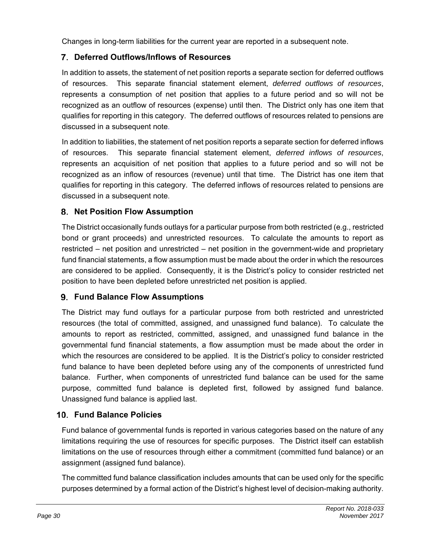Changes in long-term liabilities for the current year are reported in a subsequent note.

## **Deferred Outflows/Inflows of Resources**

In addition to assets, the statement of net position reports a separate section for deferred outflows of resources. This separate financial statement element, *deferred outflows of resources*, represents a consumption of net position that applies to a future period and so will not be recognized as an outflow of resources (expense) until then. The District only has one item that qualifies for reporting in this category. The deferred outflows of resources related to pensions are discussed in a subsequent note.

In addition to liabilities, the statement of net position reports a separate section for deferred inflows of resources. This separate financial statement element, *deferred inflows of resources*, represents an acquisition of net position that applies to a future period and so will not be recognized as an inflow of resources (revenue) until that time. The District has one item that qualifies for reporting in this category. The deferred inflows of resources related to pensions are discussed in a subsequent note.

## **Net Position Flow Assumption**

The District occasionally funds outlays for a particular purpose from both restricted (e.g., restricted bond or grant proceeds) and unrestricted resources. To calculate the amounts to report as restricted – net position and unrestricted – net position in the government-wide and proprietary fund financial statements, a flow assumption must be made about the order in which the resources are considered to be applied. Consequently, it is the District's policy to consider restricted net position to have been depleted before unrestricted net position is applied.

## **Fund Balance Flow Assumptions**

The District may fund outlays for a particular purpose from both restricted and unrestricted resources (the total of committed, assigned, and unassigned fund balance). To calculate the amounts to report as restricted, committed, assigned, and unassigned fund balance in the governmental fund financial statements, a flow assumption must be made about the order in which the resources are considered to be applied. It is the District's policy to consider restricted fund balance to have been depleted before using any of the components of unrestricted fund balance. Further, when components of unrestricted fund balance can be used for the same purpose, committed fund balance is depleted first, followed by assigned fund balance. Unassigned fund balance is applied last.

## **Fund Balance Policies**

Fund balance of governmental funds is reported in various categories based on the nature of any limitations requiring the use of resources for specific purposes. The District itself can establish limitations on the use of resources through either a commitment (committed fund balance) or an assignment (assigned fund balance).

The committed fund balance classification includes amounts that can be used only for the specific purposes determined by a formal action of the District's highest level of decision-making authority.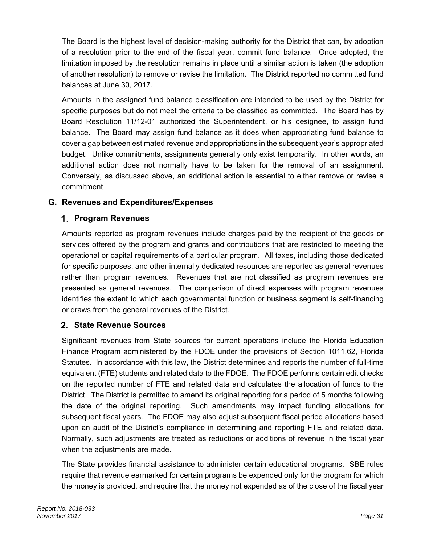The Board is the highest level of decision-making authority for the District that can, by adoption of a resolution prior to the end of the fiscal year, commit fund balance. Once adopted, the limitation imposed by the resolution remains in place until a similar action is taken (the adoption of another resolution) to remove or revise the limitation. The District reported no committed fund balances at June 30, 2017.

Amounts in the assigned fund balance classification are intended to be used by the District for specific purposes but do not meet the criteria to be classified as committed. The Board has by Board Resolution 11/12-01 authorized the Superintendent, or his designee, to assign fund balance. The Board may assign fund balance as it does when appropriating fund balance to cover a gap between estimated revenue and appropriations in the subsequent year's appropriated budget. Unlike commitments, assignments generally only exist temporarily. In other words, an additional action does not normally have to be taken for the removal of an assignment. Conversely, as discussed above, an additional action is essential to either remove or revise a commitment.

## **G. Revenues and Expenditures/Expenses**

## **Program Revenues**

Amounts reported as program revenues include charges paid by the recipient of the goods or services offered by the program and grants and contributions that are restricted to meeting the operational or capital requirements of a particular program. All taxes, including those dedicated for specific purposes, and other internally dedicated resources are reported as general revenues rather than program revenues. Revenues that are not classified as program revenues are presented as general revenues. The comparison of direct expenses with program revenues identifies the extent to which each governmental function or business segment is self-financing or draws from the general revenues of the District.

## **State Revenue Sources**

Significant revenues from State sources for current operations include the Florida Education Finance Program administered by the FDOE under the provisions of Section 1011.62, Florida Statutes. In accordance with this law, the District determines and reports the number of full-time equivalent (FTE) students and related data to the FDOE. The FDOE performs certain edit checks on the reported number of FTE and related data and calculates the allocation of funds to the District. The District is permitted to amend its original reporting for a period of 5 months following the date of the original reporting. Such amendments may impact funding allocations for subsequent fiscal years. The FDOE may also adjust subsequent fiscal period allocations based upon an audit of the District's compliance in determining and reporting FTE and related data. Normally, such adjustments are treated as reductions or additions of revenue in the fiscal year when the adjustments are made.

The State provides financial assistance to administer certain educational programs. SBE rules require that revenue earmarked for certain programs be expended only for the program for which the money is provided, and require that the money not expended as of the close of the fiscal year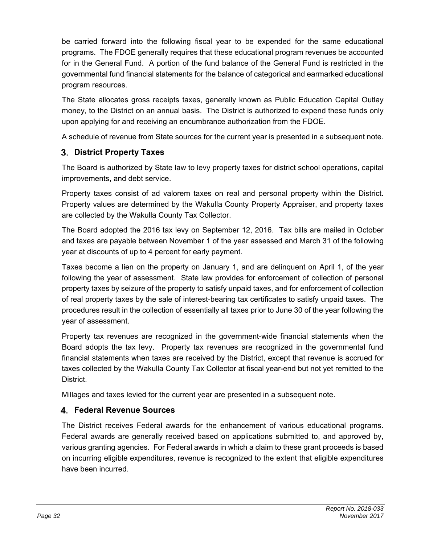be carried forward into the following fiscal year to be expended for the same educational programs. The FDOE generally requires that these educational program revenues be accounted for in the General Fund. A portion of the fund balance of the General Fund is restricted in the governmental fund financial statements for the balance of categorical and earmarked educational program resources.

The State allocates gross receipts taxes, generally known as Public Education Capital Outlay money, to the District on an annual basis. The District is authorized to expend these funds only upon applying for and receiving an encumbrance authorization from the FDOE.

A schedule of revenue from State sources for the current year is presented in a subsequent note.

## **District Property Taxes**

The Board is authorized by State law to levy property taxes for district school operations, capital improvements, and debt service.

Property taxes consist of ad valorem taxes on real and personal property within the District. Property values are determined by the Wakulla County Property Appraiser, and property taxes are collected by the Wakulla County Tax Collector.

The Board adopted the 2016 tax levy on September 12, 2016. Tax bills are mailed in October and taxes are payable between November 1 of the year assessed and March 31 of the following year at discounts of up to 4 percent for early payment.

Taxes become a lien on the property on January 1, and are delinquent on April 1, of the year following the year of assessment. State law provides for enforcement of collection of personal property taxes by seizure of the property to satisfy unpaid taxes, and for enforcement of collection of real property taxes by the sale of interest-bearing tax certificates to satisfy unpaid taxes. The procedures result in the collection of essentially all taxes prior to June 30 of the year following the year of assessment.

Property tax revenues are recognized in the government-wide financial statements when the Board adopts the tax levy. Property tax revenues are recognized in the governmental fund financial statements when taxes are received by the District, except that revenue is accrued for taxes collected by the Wakulla County Tax Collector at fiscal year-end but not yet remitted to the District.

Millages and taxes levied for the current year are presented in a subsequent note.

#### **Federal Revenue Sources**

The District receives Federal awards for the enhancement of various educational programs. Federal awards are generally received based on applications submitted to, and approved by, various granting agencies. For Federal awards in which a claim to these grant proceeds is based on incurring eligible expenditures, revenue is recognized to the extent that eligible expenditures have been incurred.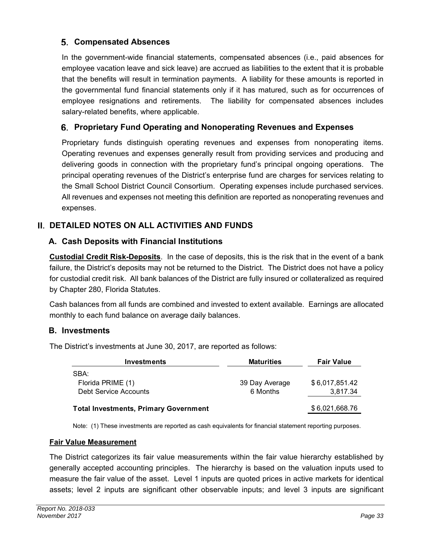#### **Compensated Absences**

In the government-wide financial statements, compensated absences (i.e., paid absences for employee vacation leave and sick leave) are accrued as liabilities to the extent that it is probable that the benefits will result in termination payments. A liability for these amounts is reported in the governmental fund financial statements only if it has matured, such as for occurrences of employee resignations and retirements. The liability for compensated absences includes salary-related benefits, where applicable.

#### **Proprietary Fund Operating and Nonoperating Revenues and Expenses**

Proprietary funds distinguish operating revenues and expenses from nonoperating items. Operating revenues and expenses generally result from providing services and producing and delivering goods in connection with the proprietary fund's principal ongoing operations. The principal operating revenues of the District's enterprise fund are charges for services relating to the Small School District Council Consortium. Operating expenses include purchased services. All revenues and expenses not meeting this definition are reported as nonoperating revenues and expenses.

#### **DETAILED NOTES ON ALL ACTIVITIES AND FUNDS**

#### **A. Cash Deposits with Financial Institutions**

**Custodial Credit Risk-Deposits**. In the case of deposits, this is the risk that in the event of a bank failure, the District's deposits may not be returned to the District. The District does not have a policy for custodial credit risk. All bank balances of the District are fully insured or collateralized as required by Chapter 280, Florida Statutes.

Cash balances from all funds are combined and invested to extent available. Earnings are allocated monthly to each fund balance on average daily balances.

#### **B. Investments**

The District's investments at June 30, 2017, are reported as follows:

| <b>Investments</b>                           | <b>Maturities</b> | <b>Fair Value</b> |
|----------------------------------------------|-------------------|-------------------|
| SBA:                                         |                   |                   |
| Florida PRIME (1)                            | 39 Day Average    | \$6,017,851.42    |
| Debt Service Accounts                        | 6 Months          | 3,817.34          |
|                                              |                   |                   |
| <b>Total Investments, Primary Government</b> |                   | \$6,021,668.76    |

Note: (1) These investments are reported as cash equivalents for financial statement reporting purposes.

#### **Fair Value Measurement**

The District categorizes its fair value measurements within the fair value hierarchy established by generally accepted accounting principles. The hierarchy is based on the valuation inputs used to measure the fair value of the asset. Level 1 inputs are quoted prices in active markets for identical assets; level 2 inputs are significant other observable inputs; and level 3 inputs are significant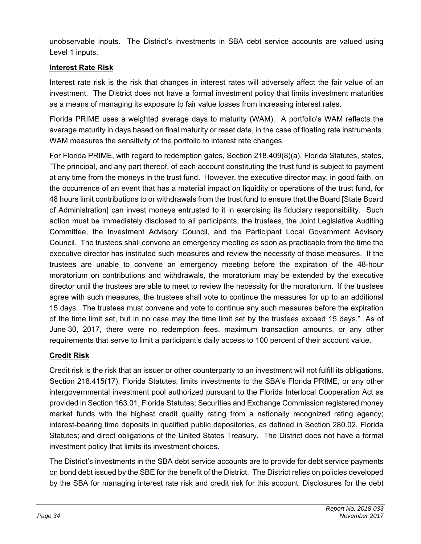unobservable inputs. The District's investments in SBA debt service accounts are valued using Level 1 inputs.

#### **Interest Rate Risk**

Interest rate risk is the risk that changes in interest rates will adversely affect the fair value of an investment. The District does not have a formal investment policy that limits investment maturities as a means of managing its exposure to fair value losses from increasing interest rates.

Florida PRIME uses a weighted average days to maturity (WAM). A portfolio's WAM reflects the average maturity in days based on final maturity or reset date, in the case of floating rate instruments. WAM measures the sensitivity of the portfolio to interest rate changes.

For Florida PRIME, with regard to redemption gates, Section 218.409(8)(a), Florida Statutes, states, "The principal, and any part thereof, of each account constituting the trust fund is subject to payment at any time from the moneys in the trust fund. However, the executive director may, in good faith, on the occurrence of an event that has a material impact on liquidity or operations of the trust fund, for 48 hours limit contributions to or withdrawals from the trust fund to ensure that the Board [State Board of Administration] can invest moneys entrusted to it in exercising its fiduciary responsibility. Such action must be immediately disclosed to all participants, the trustees, the Joint Legislative Auditing Committee, the Investment Advisory Council, and the Participant Local Government Advisory Council. The trustees shall convene an emergency meeting as soon as practicable from the time the executive director has instituted such measures and review the necessity of those measures. If the trustees are unable to convene an emergency meeting before the expiration of the 48-hour moratorium on contributions and withdrawals, the moratorium may be extended by the executive director until the trustees are able to meet to review the necessity for the moratorium. If the trustees agree with such measures, the trustees shall vote to continue the measures for up to an additional 15 days. The trustees must convene and vote to continue any such measures before the expiration of the time limit set, but in no case may the time limit set by the trustees exceed 15 days." As of June 30, 2017, there were no redemption fees, maximum transaction amounts, or any other requirements that serve to limit a participant's daily access to 100 percent of their account value.

#### **Credit Risk**

Credit risk is the risk that an issuer or other counterparty to an investment will not fulfill its obligations. Section 218.415(17), Florida Statutes, limits investments to the SBA's Florida PRIME, or any other intergovernmental investment pool authorized pursuant to the Florida Interlocal Cooperation Act as provided in Section 163.01, Florida Statutes; Securities and Exchange Commission registered money market funds with the highest credit quality rating from a nationally recognized rating agency; interest-bearing time deposits in qualified public depositories, as defined in Section 280.02, Florida Statutes; and direct obligations of the United States Treasury. The District does not have a formal investment policy that limits its investment choices.

The District's investments in the SBA debt service accounts are to provide for debt service payments on bond debt issued by the SBE for the benefit of the District. The District relies on policies developed by the SBA for managing interest rate risk and credit risk for this account. Disclosures for the debt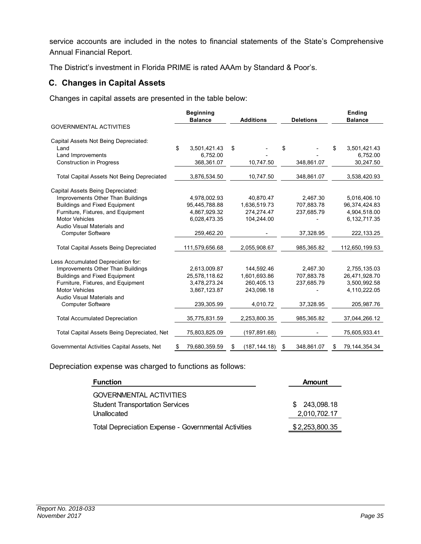service accounts are included in the notes to financial statements of the State's Comprehensive Annual Financial Report.

The District's investment in Florida PRIME is rated AAAm by Standard & Poor's.

#### **C. Changes in Capital Assets**

Changes in capital assets are presented in the table below:

|                                                   | <b>Beginning</b>    |                     |                  | <b>Ending</b>          |
|---------------------------------------------------|---------------------|---------------------|------------------|------------------------|
|                                                   | <b>Balance</b>      | <b>Additions</b>    | <b>Deletions</b> | <b>Balance</b>         |
| <b>GOVERNMENTAL ACTIVITIES</b>                    |                     |                     |                  |                        |
| Capital Assets Not Being Depreciated:             |                     |                     |                  |                        |
| Land                                              | \$<br>3,501,421.43  | \$                  | \$               | \$<br>3,501,421.43     |
| Land Improvements                                 | 6.752.00            |                     |                  | 6.752.00               |
| <b>Construction in Progress</b>                   | 368,361.07          | 10,747.50           | 348,861.07       | 30,247.50              |
| <b>Total Capital Assets Not Being Depreciated</b> | 3,876,534.50        | 10,747.50           | 348,861.07       | 3,538,420.93           |
| Capital Assets Being Depreciated:                 |                     |                     |                  |                        |
| Improvements Other Than Buildings                 | 4,978,002.93        | 40,870.47           | 2,467.30         | 5,016,406.10           |
| <b>Buildings and Fixed Equipment</b>              | 95,445,788.88       | 1,636,519.73        | 707,883.78       | 96,374,424.83          |
| Furniture, Fixtures, and Equipment                | 4,867,929.32        | 274,274.47          | 237,685.79       | 4,904,518.00           |
| <b>Motor Vehicles</b>                             | 6,028,473.35        | 104,244.00          |                  | 6,132,717.35           |
| Audio Visual Materials and                        |                     |                     |                  |                        |
| <b>Computer Software</b>                          | 259,462.20          |                     | 37,328.95        | 222, 133.25            |
| <b>Total Capital Assets Being Depreciated</b>     | 111,579,656.68      | 2,055,908.67        | 985,365.82       | 112,650,199.53         |
| Less Accumulated Depreciation for:                |                     |                     |                  |                        |
| Improvements Other Than Buildings                 | 2,613,009.87        | 144,592.46          | 2,467.30         | 2,755,135.03           |
| <b>Buildings and Fixed Equipment</b>              | 25,578,118.62       | 1,601,693.86        | 707,883.78       | 26,471,928.70          |
| Furniture, Fixtures, and Equipment                | 3,478,273.24        | 260,405.13          | 237,685.79       | 3,500,992.58           |
| <b>Motor Vehicles</b>                             | 3,867,123.87        | 243,098.18          |                  | 4,110,222.05           |
| Audio Visual Materials and                        |                     |                     |                  |                        |
| <b>Computer Software</b>                          | 239,305.99          | 4,010.72            | 37,328.95        | 205,987.76             |
| <b>Total Accumulated Depreciation</b>             | 35,775,831.59       | 2,253,800.35        | 985,365.82       | 37,044,266.12          |
| Total Capital Assets Being Depreciated, Net       | 75,803,825.09       | (197,891.68)        |                  | 75,605,933.41          |
| Governmental Activities Capital Assets, Net       | \$<br>79,680,359.59 | \$<br>(187, 144.18) | \$<br>348,861.07 | \$<br>79, 144, 354. 34 |

Depreciation expense was charged to functions as follows:

| <b>Function</b>                                             | Amount         |
|-------------------------------------------------------------|----------------|
| <b>GOVERNMENTAL ACTIVITIES</b>                              |                |
| <b>Student Transportation Services</b>                      | \$243,098.18   |
| Unallocated                                                 | 2,010,702.17   |
| <b>Total Depreciation Expense - Governmental Activities</b> | \$2,253,800.35 |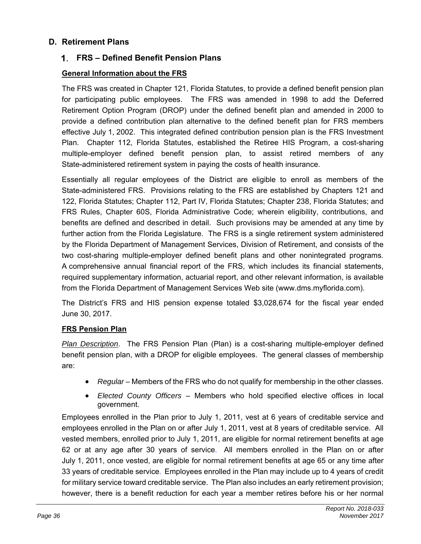#### **D. Retirement Plans**

#### **FRS – Defined Benefit Pension Plans**

#### **General Information about the FRS**

The FRS was created in Chapter 121, Florida Statutes, to provide a defined benefit pension plan for participating public employees. The FRS was amended in 1998 to add the Deferred Retirement Option Program (DROP) under the defined benefit plan and amended in 2000 to provide a defined contribution plan alternative to the defined benefit plan for FRS members effective July 1, 2002. This integrated defined contribution pension plan is the FRS Investment Plan. Chapter 112, Florida Statutes, established the Retiree HIS Program, a cost-sharing multiple-employer defined benefit pension plan, to assist retired members of any State-administered retirement system in paying the costs of health insurance.

Essentially all regular employees of the District are eligible to enroll as members of the State-administered FRS. Provisions relating to the FRS are established by Chapters 121 and 122, Florida Statutes; Chapter 112, Part IV, Florida Statutes; Chapter 238, Florida Statutes; and FRS Rules, Chapter 60S, Florida Administrative Code; wherein eligibility, contributions, and benefits are defined and described in detail. Such provisions may be amended at any time by further action from the Florida Legislature. The FRS is a single retirement system administered by the Florida Department of Management Services, Division of Retirement, and consists of the two cost-sharing multiple-employer defined benefit plans and other nonintegrated programs. A comprehensive annual financial report of the FRS, which includes its financial statements, required supplementary information, actuarial report, and other relevant information, is available from the Florida Department of Management Services Web site (www.dms.myflorida.com).

The District's FRS and HIS pension expense totaled \$3,028,674 for the fiscal year ended June 30, 2017.

#### **FRS Pension Plan**

*Plan Description*. The FRS Pension Plan (Plan) is a cost-sharing multiple-employer defined benefit pension plan, with a DROP for eligible employees. The general classes of membership are:

- Regular Members of the FRS who do not qualify for membership in the other classes.
- *Elected County Officers*  Members who hold specified elective offices in local government.

Employees enrolled in the Plan prior to July 1, 2011, vest at 6 years of creditable service and employees enrolled in the Plan on or after July 1, 2011, vest at 8 years of creditable service. All vested members, enrolled prior to July 1, 2011, are eligible for normal retirement benefits at age 62 or at any age after 30 years of service. All members enrolled in the Plan on or after July 1, 2011, once vested, are eligible for normal retirement benefits at age 65 or any time after 33 years of creditable service. Employees enrolled in the Plan may include up to 4 years of credit for military service toward creditable service. The Plan also includes an early retirement provision; however, there is a benefit reduction for each year a member retires before his or her normal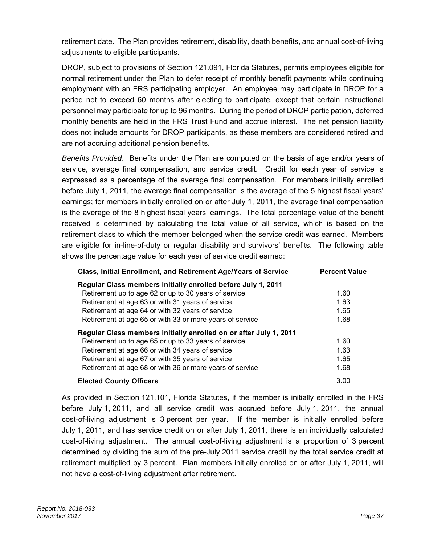retirement date. The Plan provides retirement, disability, death benefits, and annual cost-of-living adjustments to eligible participants.

DROP, subject to provisions of Section 121.091, Florida Statutes, permits employees eligible for normal retirement under the Plan to defer receipt of monthly benefit payments while continuing employment with an FRS participating employer. An employee may participate in DROP for a period not to exceed 60 months after electing to participate, except that certain instructional personnel may participate for up to 96 months. During the period of DROP participation, deferred monthly benefits are held in the FRS Trust Fund and accrue interest. The net pension liability does not include amounts for DROP participants, as these members are considered retired and are not accruing additional pension benefits.

*Benefits Provided*. Benefits under the Plan are computed on the basis of age and/or years of service, average final compensation, and service credit. Credit for each year of service is expressed as a percentage of the average final compensation. For members initially enrolled before July 1, 2011, the average final compensation is the average of the 5 highest fiscal years' earnings; for members initially enrolled on or after July 1, 2011, the average final compensation is the average of the 8 highest fiscal years' earnings. The total percentage value of the benefit received is determined by calculating the total value of all service, which is based on the retirement class to which the member belonged when the service credit was earned. Members are eligible for in-line-of-duty or regular disability and survivors' benefits. The following table shows the percentage value for each year of service credit earned:

| Class, Initial Enrollment, and Retirement Age/Years of Service    | <b>Percent Value</b> |
|-------------------------------------------------------------------|----------------------|
| Regular Class members initially enrolled before July 1, 2011      |                      |
| Retirement up to age 62 or up to 30 years of service              | 1.60                 |
| Retirement at age 63 or with 31 years of service                  | 1.63                 |
| Retirement at age 64 or with 32 years of service                  | 1.65                 |
| Retirement at age 65 or with 33 or more years of service          | 1.68                 |
| Regular Class members initially enrolled on or after July 1, 2011 |                      |
| Retirement up to age 65 or up to 33 years of service              | 1.60                 |
| Retirement at age 66 or with 34 years of service                  | 1.63                 |
| Retirement at age 67 or with 35 years of service                  | 1.65                 |
| Retirement at age 68 or with 36 or more years of service          | 1.68                 |
| <b>Elected County Officers</b>                                    | 3.00                 |

As provided in Section 121.101, Florida Statutes, if the member is initially enrolled in the FRS before July 1, 2011, and all service credit was accrued before July 1, 2011, the annual cost-of-living adjustment is 3 percent per year. If the member is initially enrolled before July 1, 2011, and has service credit on or after July 1, 2011, there is an individually calculated cost-of-living adjustment. The annual cost-of-living adjustment is a proportion of 3 percent determined by dividing the sum of the pre-July 2011 service credit by the total service credit at retirement multiplied by 3 percent. Plan members initially enrolled on or after July 1, 2011, will not have a cost-of-living adjustment after retirement.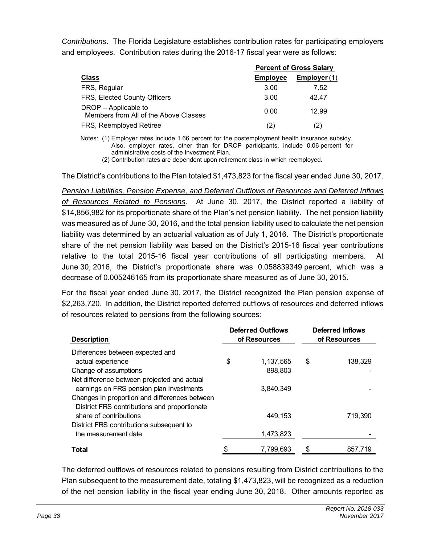*Contributions*. The Florida Legislature establishes contribution rates for participating employers and employees. Contribution rates during the 2016-17 fiscal year were as follows:

|                                                               |                 | <b>Percent of Gross Salary</b> |  |  |  |
|---------------------------------------------------------------|-----------------|--------------------------------|--|--|--|
| <b>Class</b>                                                  | <b>Employee</b> | Emplayer(1)                    |  |  |  |
| FRS, Regular                                                  | 3.00            | 7.52                           |  |  |  |
| FRS, Elected County Officers                                  | 3.00            | 42.47                          |  |  |  |
| DROP - Applicable to<br>Members from All of the Above Classes | 0.00            | 12.99                          |  |  |  |
| FRS, Reemployed Retiree                                       | (2)             | (2)                            |  |  |  |

Notes: (1) Employer rates include 1.66 percent for the postemployment health insurance subsidy. Also, employer rates, other than for DROP participants, include 0.06 percent for administrative costs of the Investment Plan.

(2) Contribution rates are dependent upon retirement class in which reemployed.

The District's contributions to the Plan totaled \$1,473,823 for the fiscal year ended June 30, 2017.

*Pension Liabilities, Pension Expense, and Deferred Outflows of Resources and Deferred Inflows of Resources Related to Pensions*. At June 30, 2017, the District reported a liability of \$14,856,982 for its proportionate share of the Plan's net pension liability. The net pension liability was measured as of June 30, 2016, and the total pension liability used to calculate the net pension liability was determined by an actuarial valuation as of July 1, 2016. The District's proportionate share of the net pension liability was based on the District's 2015-16 fiscal year contributions relative to the total 2015-16 fiscal year contributions of all participating members. At June 30, 2016, the District's proportionate share was 0.058839349 percent, which was a decrease of 0.005246165 from its proportionate share measured as of June 30, 2015.

For the fiscal year ended June 30, 2017, the District recognized the Plan pension expense of \$2,263,720. In addition, the District reported deferred outflows of resources and deferred inflows of resources related to pensions from the following sources:

| <b>Description</b>                            |    | <b>Deferred Outflows</b><br>of Resources | <b>Deferred Inflows</b><br>of Resources |         |
|-----------------------------------------------|----|------------------------------------------|-----------------------------------------|---------|
| Differences between expected and              |    |                                          |                                         |         |
| actual experience                             | \$ | 1,137,565                                | \$                                      | 138,329 |
| Change of assumptions                         |    | 898,803                                  |                                         |         |
| Net difference between projected and actual   |    |                                          |                                         |         |
| earnings on FRS pension plan investments      |    | 3,840,349                                |                                         |         |
| Changes in proportion and differences between |    |                                          |                                         |         |
| District FRS contributions and proportionate  |    |                                          |                                         |         |
| share of contributions                        |    | 449,153                                  |                                         | 719,390 |
| District FRS contributions subsequent to      |    |                                          |                                         |         |
| the measurement date                          |    | 1,473,823                                |                                         |         |
| Total                                         | \$ | 7,799,693                                |                                         | 857,719 |

The deferred outflows of resources related to pensions resulting from District contributions to the Plan subsequent to the measurement date, totaling \$1,473,823, will be recognized as a reduction of the net pension liability in the fiscal year ending June 30, 2018. Other amounts reported as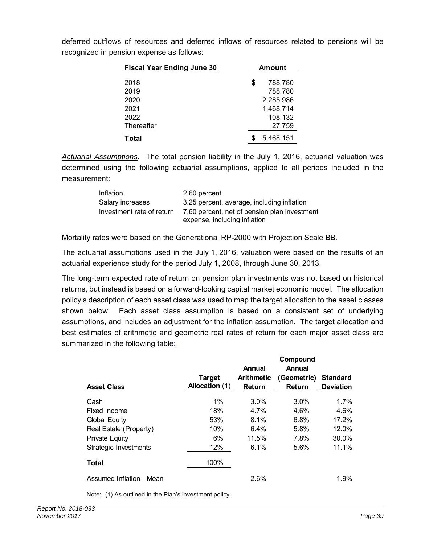deferred outflows of resources and deferred inflows of resources related to pensions will be recognized in pension expense as follows:

| <b>Fiscal Year Ending June 30</b> | Amount        |  |  |
|-----------------------------------|---------------|--|--|
| 2018                              | \$<br>788,780 |  |  |
| 2019                              | 788,780       |  |  |
| 2020                              | 2,285,986     |  |  |
| 2021                              | 1,468,714     |  |  |
| 2022                              | 108,132       |  |  |
| Thereafter                        | 27,759        |  |  |
| Total                             | 5,468,151     |  |  |

*Actuarial Assumptions*. The total pension liability in the July 1, 2016, actuarial valuation was determined using the following actuarial assumptions, applied to all periods included in the measurement:

| Inflation                 | 2.60 percent                                 |
|---------------------------|----------------------------------------------|
| Salary increases          | 3.25 percent, average, including inflation   |
| Investment rate of return | 7.60 percent, net of pension plan investment |
|                           | expense, including inflation                 |

Mortality rates were based on the Generational RP-2000 with Projection Scale BB.

The actuarial assumptions used in the July 1, 2016, valuation were based on the results of an actuarial experience study for the period July 1, 2008, through June 30, 2013.

The long-term expected rate of return on pension plan investments was not based on historical returns, but instead is based on a forward-looking capital market economic model. The allocation policy's description of each asset class was used to map the target allocation to the asset classes shown below. Each asset class assumption is based on a consistent set of underlying assumptions, and includes an adjustment for the inflation assumption. The target allocation and best estimates of arithmetic and geometric real rates of return for each major asset class are summarized in the following table:

|                          |                       | Annual            | Compound<br>Annual |                  |
|--------------------------|-----------------------|-------------------|--------------------|------------------|
|                          | <b>Target</b>         | <b>Arithmetic</b> | (Geometric)        | <b>Standard</b>  |
| <b>Asset Class</b>       | <b>Allocation (1)</b> | Return            | Return             | <b>Deviation</b> |
| Cash                     | $1\%$                 | $3.0\%$           | 3.0%               | 1.7%             |
| Fixed Income             | 18%                   | 4.7%              | 4.6%               | 4.6%             |
| <b>Global Equity</b>     | 53%                   | 8.1%              | 6.8%               | $17.2\%$         |
| Real Estate (Property)   | 10%                   | 6.4%              | 5.8%               | 12.0%            |
| <b>Private Equity</b>    | 6%                    | 11.5%             | 7.8%               | 30.0%            |
| Strategic Investments    | 12%                   | $6.1\%$           | 5.6%               | $11.1\%$         |
| <b>Total</b>             | 100%                  |                   |                    |                  |
| Assumed Inflation - Mean |                       | 2.6%              |                    | 1.9%             |

Note: (1) As outlined in the Plan's investment policy.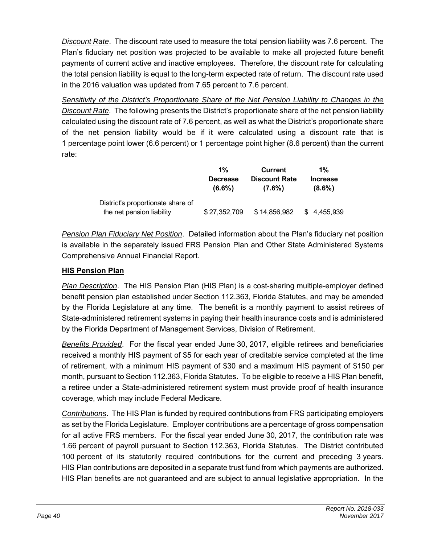*Discount Rate*. The discount rate used to measure the total pension liability was 7.6 percent. The Plan's fiduciary net position was projected to be available to make all projected future benefit payments of current active and inactive employees. Therefore, the discount rate for calculating the total pension liability is equal to the long-term expected rate of return. The discount rate used in the 2016 valuation was updated from 7.65 percent to 7.6 percent.

*Sensitivity of the District's Proportionate Share of the Net Pension Liability to Changes in the Discount Rate*. The following presents the District's proportionate share of the net pension liability calculated using the discount rate of 7.6 percent, as well as what the District's proportionate share of the net pension liability would be if it were calculated using a discount rate that is 1 percentage point lower (6.6 percent) or 1 percentage point higher (8.6 percent) than the current rate:

|                                                                | $1\%$                        | <b>Current</b>                    | 1%                        |
|----------------------------------------------------------------|------------------------------|-----------------------------------|---------------------------|
|                                                                | <b>Decrease</b><br>$(6.6\%)$ | <b>Discount Rate</b><br>$(7.6\%)$ | <b>Increase</b><br>(8.6%) |
| District's proportionate share of<br>the net pension liability | \$27,352,709                 | \$14,856,982                      | \$4,455,939               |

*Pension Plan Fiduciary Net Position*. Detailed information about the Plan's fiduciary net position is available in the separately issued FRS Pension Plan and Other State Administered Systems Comprehensive Annual Financial Report.

#### **HIS Pension Plan**

*Plan Description*. The HIS Pension Plan (HIS Plan) is a cost-sharing multiple-employer defined benefit pension plan established under Section 112.363, Florida Statutes, and may be amended by the Florida Legislature at any time. The benefit is a monthly payment to assist retirees of State-administered retirement systems in paying their health insurance costs and is administered by the Florida Department of Management Services, Division of Retirement.

*Benefits Provided*. For the fiscal year ended June 30, 2017, eligible retirees and beneficiaries received a monthly HIS payment of \$5 for each year of creditable service completed at the time of retirement, with a minimum HIS payment of \$30 and a maximum HIS payment of \$150 per month, pursuant to Section 112.363, Florida Statutes. To be eligible to receive a HIS Plan benefit, a retiree under a State-administered retirement system must provide proof of health insurance coverage, which may include Federal Medicare.

*Contributions*. The HIS Plan is funded by required contributions from FRS participating employers as set by the Florida Legislature. Employer contributions are a percentage of gross compensation for all active FRS members. For the fiscal year ended June 30, 2017, the contribution rate was 1.66 percent of payroll pursuant to Section 112.363, Florida Statutes. The District contributed 100 percent of its statutorily required contributions for the current and preceding 3 years. HIS Plan contributions are deposited in a separate trust fund from which payments are authorized. HIS Plan benefits are not guaranteed and are subject to annual legislative appropriation. In the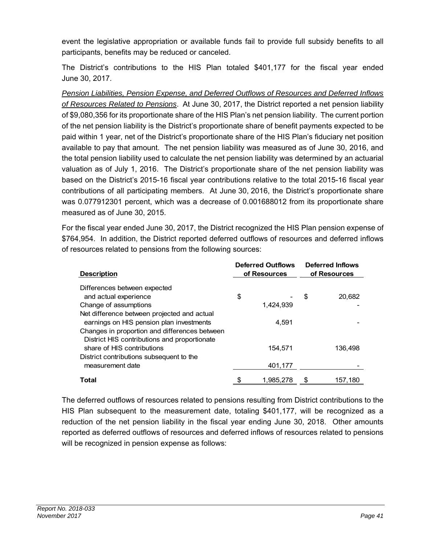event the legislative appropriation or available funds fail to provide full subsidy benefits to all participants, benefits may be reduced or canceled.

The District's contributions to the HIS Plan totaled \$401,177 for the fiscal year ended June 30, 2017.

*Pension Liabilities, Pension Expense, and Deferred Outflows of Resources and Deferred Inflows of Resources Related to Pensions*. At June 30, 2017, the District reported a net pension liability of \$9,080,356 for its proportionate share of the HIS Plan's net pension liability. The current portion of the net pension liability is the District's proportionate share of benefit payments expected to be paid within 1 year, net of the District's proportionate share of the HIS Plan's fiduciary net position available to pay that amount. The net pension liability was measured as of June 30, 2016, and the total pension liability used to calculate the net pension liability was determined by an actuarial valuation as of July 1, 2016. The District's proportionate share of the net pension liability was based on the District's 2015-16 fiscal year contributions relative to the total 2015-16 fiscal year contributions of all participating members. At June 30, 2016, the District's proportionate share was 0.077912301 percent, which was a decrease of 0.001688012 from its proportionate share measured as of June 30, 2015.

For the fiscal year ended June 30, 2017, the District recognized the HIS Plan pension expense of \$764,954. In addition, the District reported deferred outflows of resources and deferred inflows of resources related to pensions from the following sources:

| <b>Description</b>                                                                            |    | <b>Deferred Outflows</b><br>of Resources |    | <b>Deferred Inflows</b><br>of Resources |  |
|-----------------------------------------------------------------------------------------------|----|------------------------------------------|----|-----------------------------------------|--|
| Differences between expected                                                                  |    |                                          |    |                                         |  |
| and actual experience                                                                         | \$ |                                          | \$ | 20,682                                  |  |
| Change of assumptions                                                                         |    | 1,424,939                                |    |                                         |  |
| Net difference between projected and actual                                                   |    |                                          |    |                                         |  |
| earnings on HIS pension plan investments                                                      |    | 4.591                                    |    |                                         |  |
| Changes in proportion and differences between<br>District HIS contributions and proportionate |    |                                          |    |                                         |  |
| share of HIS contributions                                                                    |    | 154,571                                  |    | 136,498                                 |  |
| District contributions subsequent to the                                                      |    |                                          |    |                                         |  |
| measurement date                                                                              |    | 401,177                                  |    |                                         |  |
| Total                                                                                         |    | 1,985,278                                |    | 157,180                                 |  |

The deferred outflows of resources related to pensions resulting from District contributions to the HIS Plan subsequent to the measurement date, totaling \$401,177, will be recognized as a reduction of the net pension liability in the fiscal year ending June 30, 2018. Other amounts reported as deferred outflows of resources and deferred inflows of resources related to pensions will be recognized in pension expense as follows: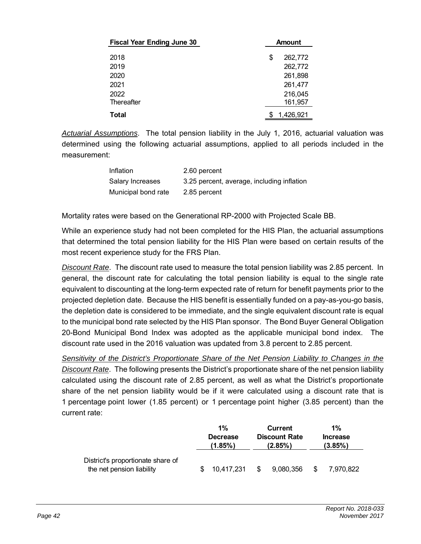| <b>Fiscal Year Ending June 30</b> |    | <b>Amount</b> |  |  |
|-----------------------------------|----|---------------|--|--|
| 2018                              | \$ | 262,772       |  |  |
| 2019                              |    | 262,772       |  |  |
| 2020                              |    | 261,898       |  |  |
| 2021                              |    | 261,477       |  |  |
| 2022                              |    | 216,045       |  |  |
| Thereafter                        |    | 161,957       |  |  |
| <b>Total</b>                      |    | 1,426,921     |  |  |

*Actuarial Assumptions*. The total pension liability in the July 1, 2016, actuarial valuation was determined using the following actuarial assumptions, applied to all periods included in the measurement:

| Inflation           | 2.60 percent                               |
|---------------------|--------------------------------------------|
| Salary Increases    | 3.25 percent, average, including inflation |
| Municipal bond rate | 2.85 percent                               |

Mortality rates were based on the Generational RP-2000 with Projected Scale BB.

While an experience study had not been completed for the HIS Plan, the actuarial assumptions that determined the total pension liability for the HIS Plan were based on certain results of the most recent experience study for the FRS Plan.

*Discount Rate*. The discount rate used to measure the total pension liability was 2.85 percent. In general, the discount rate for calculating the total pension liability is equal to the single rate equivalent to discounting at the long-term expected rate of return for benefit payments prior to the projected depletion date. Because the HIS benefit is essentially funded on a pay-as-you-go basis, the depletion date is considered to be immediate, and the single equivalent discount rate is equal to the municipal bond rate selected by the HIS Plan sponsor. The Bond Buyer General Obligation 20-Bond Municipal Bond Index was adopted as the applicable municipal bond index. The discount rate used in the 2016 valuation was updated from 3.8 percent to 2.85 percent.

*Sensitivity of the District's Proportionate Share of the Net Pension Liability to Changes in the Discount Rate*. The following presents the District's proportionate share of the net pension liability calculated using the discount rate of 2.85 percent, as well as what the District's proportionate share of the net pension liability would be if it were calculated using a discount rate that is 1 percentage point lower (1.85 percent) or 1 percentage point higher (3.85 percent) than the current rate:

|                                                                | $1\%$<br><b>Decrease</b><br>(1.85%) |   | <b>Current</b><br><b>Discount Rate</b><br>$(2.85\%)$ |      | $1\%$<br><b>Increase</b><br>$(3.85\%)$ |
|----------------------------------------------------------------|-------------------------------------|---|------------------------------------------------------|------|----------------------------------------|
| District's proportionate share of<br>the net pension liability | 10,417,231                          | S | 9.080.356                                            | - \$ | 7.970.822                              |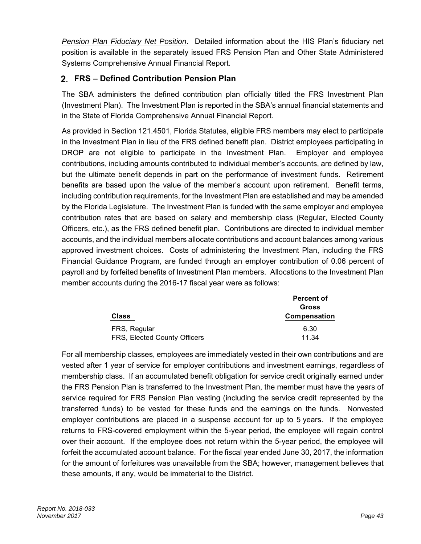*Pension Plan Fiduciary Net Position*. Detailed information about the HIS Plan's fiduciary net position is available in the separately issued FRS Pension Plan and Other State Administered Systems Comprehensive Annual Financial Report.

## **FRS – Defined Contribution Pension Plan**

The SBA administers the defined contribution plan officially titled the FRS Investment Plan (Investment Plan). The Investment Plan is reported in the SBA's annual financial statements and in the State of Florida Comprehensive Annual Financial Report.

As provided in Section 121.4501, Florida Statutes, eligible FRS members may elect to participate in the Investment Plan in lieu of the FRS defined benefit plan. District employees participating in DROP are not eligible to participate in the Investment Plan. Employer and employee contributions, including amounts contributed to individual member's accounts, are defined by law, but the ultimate benefit depends in part on the performance of investment funds. Retirement benefits are based upon the value of the member's account upon retirement. Benefit terms, including contribution requirements, for the Investment Plan are established and may be amended by the Florida Legislature. The Investment Plan is funded with the same employer and employee contribution rates that are based on salary and membership class (Regular, Elected County Officers, etc.), as the FRS defined benefit plan. Contributions are directed to individual member accounts, and the individual members allocate contributions and account balances among various approved investment choices. Costs of administering the Investment Plan, including the FRS Financial Guidance Program, are funded through an employer contribution of 0.06 percent of payroll and by forfeited benefits of Investment Plan members. Allocations to the Investment Plan member accounts during the 2016-17 fiscal year were as follows:

|                              | <b>Percent of</b> |
|------------------------------|-------------------|
|                              | Gross             |
| <b>Class</b>                 | Compensation      |
| FRS, Regular                 | 6.30              |
| FRS, Elected County Officers | 11.34             |

For all membership classes, employees are immediately vested in their own contributions and are vested after 1 year of service for employer contributions and investment earnings, regardless of membership class. If an accumulated benefit obligation for service credit originally earned under the FRS Pension Plan is transferred to the Investment Plan, the member must have the years of service required for FRS Pension Plan vesting (including the service credit represented by the transferred funds) to be vested for these funds and the earnings on the funds. Nonvested employer contributions are placed in a suspense account for up to 5 years. If the employee returns to FRS-covered employment within the 5-year period, the employee will regain control over their account. If the employee does not return within the 5-year period, the employee will forfeit the accumulated account balance. For the fiscal year ended June 30, 2017, the information for the amount of forfeitures was unavailable from the SBA; however, management believes that these amounts, if any, would be immaterial to the District.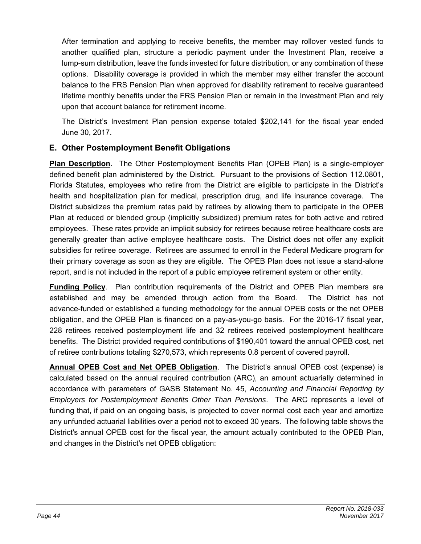After termination and applying to receive benefits, the member may rollover vested funds to another qualified plan, structure a periodic payment under the Investment Plan, receive a lump-sum distribution, leave the funds invested for future distribution, or any combination of these options. Disability coverage is provided in which the member may either transfer the account balance to the FRS Pension Plan when approved for disability retirement to receive guaranteed lifetime monthly benefits under the FRS Pension Plan or remain in the Investment Plan and rely upon that account balance for retirement income.

The District's Investment Plan pension expense totaled \$202,141 for the fiscal year ended June 30, 2017.

#### **E. Other Postemployment Benefit Obligations**

**Plan Description**. The Other Postemployment Benefits Plan (OPEB Plan) is a single-employer defined benefit plan administered by the District. Pursuant to the provisions of Section 112.0801, Florida Statutes, employees who retire from the District are eligible to participate in the District's health and hospitalization plan for medical, prescription drug, and life insurance coverage. The District subsidizes the premium rates paid by retirees by allowing them to participate in the OPEB Plan at reduced or blended group (implicitly subsidized) premium rates for both active and retired employees. These rates provide an implicit subsidy for retirees because retiree healthcare costs are generally greater than active employee healthcare costs. The District does not offer any explicit subsidies for retiree coverage. Retirees are assumed to enroll in the Federal Medicare program for their primary coverage as soon as they are eligible. The OPEB Plan does not issue a stand-alone report, and is not included in the report of a public employee retirement system or other entity.

**Funding Policy**. Plan contribution requirements of the District and OPEB Plan members are established and may be amended through action from the Board. The District has not advance-funded or established a funding methodology for the annual OPEB costs or the net OPEB obligation, and the OPEB Plan is financed on a pay-as-you-go basis. For the 2016-17 fiscal year, 228 retirees received postemployment life and 32 retirees received postemployment healthcare benefits. The District provided required contributions of \$190,401 toward the annual OPEB cost, net of retiree contributions totaling \$270,573, which represents 0.8 percent of covered payroll.

**Annual OPEB Cost and Net OPEB Obligation**. The District's annual OPEB cost (expense) is calculated based on the annual required contribution (ARC), an amount actuarially determined in accordance with parameters of GASB Statement No. 45, *Accounting and Financial Reporting by Employers for Postemployment Benefits Other Than Pensions*. The ARC represents a level of funding that, if paid on an ongoing basis, is projected to cover normal cost each year and amortize any unfunded actuarial liabilities over a period not to exceed 30 years. The following table shows the District's annual OPEB cost for the fiscal year, the amount actually contributed to the OPEB Plan, and changes in the District's net OPEB obligation: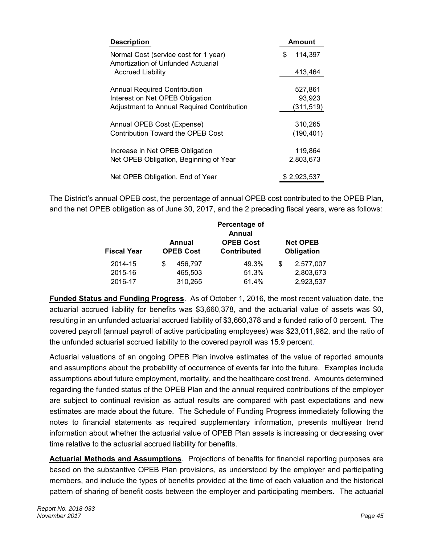| <b>Description</b>                                                          | <b>Amount</b> |
|-----------------------------------------------------------------------------|---------------|
| Normal Cost (service cost for 1 year)<br>Amortization of Unfunded Actuarial | 114,397<br>\$ |
| <b>Accrued Liability</b>                                                    | 413,464       |
| <b>Annual Required Contribution</b>                                         | 527,861       |
| Interest on Net OPEB Obligation                                             | 93,923        |
| Adjustment to Annual Required Contribution                                  | (311, 519)    |
| Annual OPEB Cost (Expense)                                                  | 310,265       |
| <b>Contribution Toward the OPEB Cost</b>                                    | (190, 401)    |
|                                                                             |               |
| Increase in Net OPEB Obligation                                             | 119,864       |
| Net OPEB Obligation, Beginning of Year                                      | 2,803,673     |
| Net OPEB Obligation, End of Year                                            | \$2,923,537   |

The District's annual OPEB cost, the percentage of annual OPEB cost contributed to the OPEB Plan, and the net OPEB obligation as of June 30, 2017, and the 2 preceding fiscal years, were as follows:

| <b>Fiscal Year</b> | Annual<br><b>OPEB Cost</b> | Percentage of<br>Annual<br><b>OPEB Cost</b><br><b>Contributed</b> | <b>Net OPEB</b><br>Obligation |                        |  |  |
|--------------------|----------------------------|-------------------------------------------------------------------|-------------------------------|------------------------|--|--|
| 2014-15<br>2015-16 | \$<br>456,797<br>465,503   | 49.3%<br>51.3%                                                    | \$                            | 2,577,007<br>2,803,673 |  |  |
| 2016-17            | 310,265                    | 61.4%                                                             |                               | 2,923,537              |  |  |

**Funded Status and Funding Progress**. As of October 1, 2016, the most recent valuation date, the actuarial accrued liability for benefits was \$3,660,378, and the actuarial value of assets was \$0, resulting in an unfunded actuarial accrued liability of \$3,660,378 and a funded ratio of 0 percent. The covered payroll (annual payroll of active participating employees) was \$23,011,982, and the ratio of the unfunded actuarial accrued liability to the covered payroll was 15.9 percent.

Actuarial valuations of an ongoing OPEB Plan involve estimates of the value of reported amounts and assumptions about the probability of occurrence of events far into the future. Examples include assumptions about future employment, mortality, and the healthcare cost trend. Amounts determined regarding the funded status of the OPEB Plan and the annual required contributions of the employer are subject to continual revision as actual results are compared with past expectations and new estimates are made about the future. The Schedule of Funding Progress immediately following the notes to financial statements as required supplementary information, presents multiyear trend information about whether the actuarial value of OPEB Plan assets is increasing or decreasing over time relative to the actuarial accrued liability for benefits.

**Actuarial Methods and Assumptions**. Projections of benefits for financial reporting purposes are based on the substantive OPEB Plan provisions, as understood by the employer and participating members, and include the types of benefits provided at the time of each valuation and the historical pattern of sharing of benefit costs between the employer and participating members. The actuarial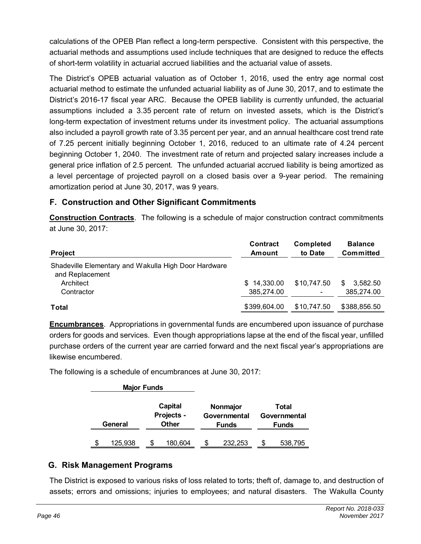calculations of the OPEB Plan reflect a long-term perspective. Consistent with this perspective, the actuarial methods and assumptions used include techniques that are designed to reduce the effects of short-term volatility in actuarial accrued liabilities and the actuarial value of assets.

The District's OPEB actuarial valuation as of October 1, 2016, used the entry age normal cost actuarial method to estimate the unfunded actuarial liability as of June 30, 2017, and to estimate the District's 2016-17 fiscal year ARC. Because the OPEB liability is currently unfunded, the actuarial assumptions included a 3.35 percent rate of return on invested assets, which is the District's long-term expectation of investment returns under its investment policy. The actuarial assumptions also included a payroll growth rate of 3.35 percent per year, and an annual healthcare cost trend rate of 7.25 percent initially beginning October 1, 2016, reduced to an ultimate rate of 4.24 percent beginning October 1, 2040. The investment rate of return and projected salary increases include a general price inflation of 2.5 percent. The unfunded actuarial accrued liability is being amortized as a level percentage of projected payroll on a closed basis over a 9-year period. The remaining amortization period at June 30, 2017, was 9 years.

#### **F. Construction and Other Significant Commitments**

**Construction Contracts**. The following is a schedule of major construction contract commitments at June 30, 2017:

| <b>Project</b>                                                          | <b>Contract</b><br>Amount | Completed<br>to Date | <b>Balance</b><br>Committed |
|-------------------------------------------------------------------------|---------------------------|----------------------|-----------------------------|
| Shadeville Elementary and Wakulla High Door Hardware<br>and Replacement |                           |                      |                             |
| Architect                                                               | \$14,330.00               | \$10,747.50          | 3,582.50<br>S               |
| Contractor                                                              | 385,274.00                |                      | 385,274.00                  |
| Total                                                                   | \$399,604.00              | \$10,747.50          | \$388,856.50                |

**Encumbrances**. Appropriations in governmental funds are encumbered upon issuance of purchase orders for goods and services. Even though appropriations lapse at the end of the fiscal year, unfilled purchase orders of the current year are carried forward and the next fiscal year's appropriations are likewise encumbered.

The following is a schedule of encumbrances at June 30, 2017:

|                                           | <b>Major Funds</b> |                                          |         |                                       |         |    |         |
|-------------------------------------------|--------------------|------------------------------------------|---------|---------------------------------------|---------|----|---------|
| Capital<br>Projects -<br>Other<br>General |                    | Nonmajor<br>Governmental<br><b>Funds</b> |         | Total<br>Governmental<br><b>Funds</b> |         |    |         |
| S                                         | 125,938            | S                                        | 180,604 | S                                     | 232,253 | \$ | 538,795 |

#### **G. Risk Management Programs**

The District is exposed to various risks of loss related to torts; theft of, damage to, and destruction of assets; errors and omissions; injuries to employees; and natural disasters. The Wakulla County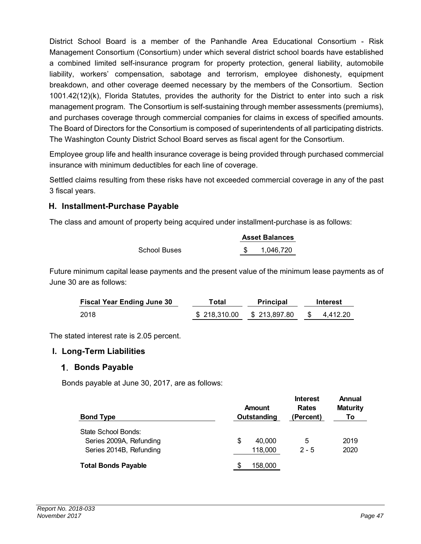District School Board is a member of the Panhandle Area Educational Consortium - Risk Management Consortium (Consortium) under which several district school boards have established a combined limited self-insurance program for property protection, general liability, automobile liability, workers' compensation, sabotage and terrorism, employee dishonesty, equipment breakdown, and other coverage deemed necessary by the members of the Consortium. Section 1001.42(12)(k), Florida Statutes, provides the authority for the District to enter into such a risk management program. The Consortium is self-sustaining through member assessments (premiums), and purchases coverage through commercial companies for claims in excess of specified amounts. The Board of Directors for the Consortium is composed of superintendents of all participating districts. The Washington County District School Board serves as fiscal agent for the Consortium.

Employee group life and health insurance coverage is being provided through purchased commercial insurance with minimum deductibles for each line of coverage.

Settled claims resulting from these risks have not exceeded commercial coverage in any of the past 3 fiscal years.

#### **H. Installment-Purchase Payable**

The class and amount of property being acquired under installment-purchase is as follows:

|              | <b>Asset Balances</b> |  |  |
|--------------|-----------------------|--|--|
| School Buses | 1.046.720             |  |  |

Future minimum capital lease payments and the present value of the minimum lease payments as of June 30 are as follows:

| <b>Fiscal Year Ending June 30</b> | Total        | <b>Principal</b> | <b>Interest</b> |
|-----------------------------------|--------------|------------------|-----------------|
| 2018                              | \$218.310.00 | \$213.897.80     | 4.412.20        |

The stated interest rate is 2.05 percent.

## **I. Long-Term Liabilities**

## **Bonds Payable**

Bonds payable at June 30, 2017, are as follows:

| <b>Bond Type</b>           | Amount<br>Outstanding | <b>Interest</b><br><b>Rates</b><br>(Percent) | Annual<br><b>Maturity</b><br>To |
|----------------------------|-----------------------|----------------------------------------------|---------------------------------|
| State School Bonds:        |                       |                                              |                                 |
| Series 2009A, Refunding    | \$<br>40,000          | 5                                            | 2019                            |
| Series 2014B, Refunding    | 118,000               | $2 - 5$                                      | 2020                            |
| <b>Total Bonds Payable</b> | 158,000               |                                              |                                 |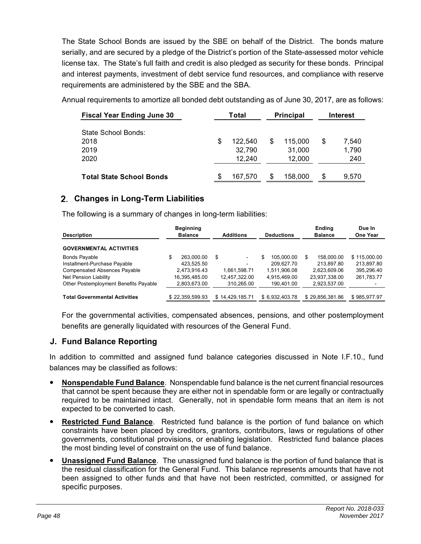The State School Bonds are issued by the SBE on behalf of the District. The bonds mature serially, and are secured by a pledge of the District's portion of the State-assessed motor vehicle license tax. The State's full faith and credit is also pledged as security for these bonds. Principal and interest payments, investment of debt service fund resources, and compliance with reserve requirements are administered by the SBE and the SBA.

Annual requirements to amortize all bonded debt outstanding as of June 30, 2017, are as follows:

| <b>Fiscal Year Ending June 30</b> | Total         | <b>Principal</b> |         | <b>Interest</b> |       |
|-----------------------------------|---------------|------------------|---------|-----------------|-------|
| State School Bonds:               |               |                  |         |                 |       |
| 2018                              | \$<br>122,540 | \$               | 115,000 | \$              | 7,540 |
| 2019                              | 32,790        |                  | 31,000  |                 | 1,790 |
| 2020                              | 12.240        |                  | 12.000  |                 | 240   |
|                                   |               |                  |         |                 |       |
| <b>Total State School Bonds</b>   | \$<br>167.570 | S                | 158,000 | S               | 9.570 |

#### **Changes in Long-Term Liabilities**

The following is a summary of changes in long-term liabilities:

| <b>Description</b>                    | <b>Beginning</b><br><b>Balance</b> | <b>Additions</b>     | <b>Deductions</b> | <b>Ending</b><br><b>Balance</b> | Due In<br><b>One Year</b> |
|---------------------------------------|------------------------------------|----------------------|-------------------|---------------------------------|---------------------------|
| <b>GOVERNMENTAL ACTIVITIES</b>        |                                    |                      |                   |                                 |                           |
| <b>Bonds Payable</b>                  | 263.000.00<br>\$                   | \$<br>$\blacksquare$ | \$<br>105.000.00  | 158.000.00<br>S                 | \$115,000.00              |
| Installment-Purchase Payable          | 423.525.50                         |                      | 209.627.70        | 213,897.80                      | 213,897.80                |
| <b>Compensated Absences Payable</b>   | 2.473.916.43                       | 1.661.598.71         | 1.511.906.08      | 2.623.609.06                    | 395,296.40                |
| Net Pension Liability                 | 16.395.485.00                      | 12.457.322.00        | 4.915.469.00      | 23.937.338.00                   | 261,783.77                |
| Other Postemployment Benefits Payable | 2,803,673.00                       | 310.265.00           | 190.401.00        | 2,923,537.00                    | ۰                         |
| <b>Total Governmental Activities</b>  | \$22,359,599.93                    | \$14,429,185.71      | \$6,932,403.78    | \$29,856,381.86                 | \$985,977.97              |

For the governmental activities, compensated absences, pensions, and other postemployment benefits are generally liquidated with resources of the General Fund.

#### **J. Fund Balance Reporting**

In addition to committed and assigned fund balance categories discussed in Note I.F.10., fund balances may be classified as follows:

- **Nonspendable Fund Balance**. Nonspendable fund balance is the net current financial resources that cannot be spent because they are either not in spendable form or are legally or contractually required to be maintained intact. Generally, not in spendable form means that an item is not expected to be converted to cash.
- **Restricted Fund Balance**. Restricted fund balance is the portion of fund balance on which constraints have been placed by creditors, grantors, contributors, laws or regulations of other governments, constitutional provisions, or enabling legislation. Restricted fund balance places the most binding level of constraint on the use of fund balance.
- **Unassigned Fund Balance**. The unassigned fund balance is the portion of fund balance that is the residual classification for the General Fund. This balance represents amounts that have not been assigned to other funds and that have not been restricted, committed, or assigned for specific purposes.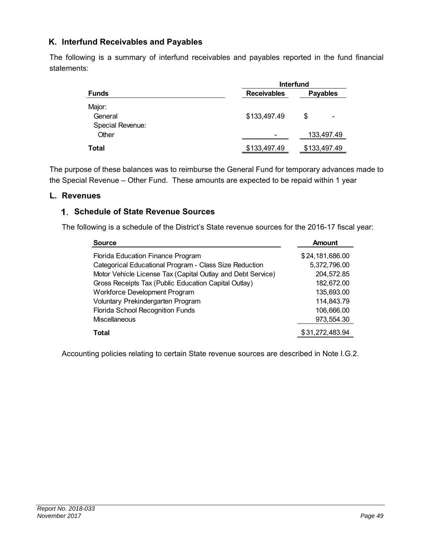#### **K. Interfund Receivables and Payables**

The following is a summary of interfund receivables and payables reported in the fund financial statements:

|                  | <b>Interfund</b>   |                               |  |  |  |
|------------------|--------------------|-------------------------------|--|--|--|
| <b>Funds</b>     | <b>Receivables</b> | <b>Payables</b>               |  |  |  |
| Major:           |                    |                               |  |  |  |
| General          | \$133,497.49       | S<br>$\overline{\phantom{0}}$ |  |  |  |
| Special Revenue: |                    |                               |  |  |  |
| Other            |                    | 133,497.49                    |  |  |  |
| Total            | \$133,497.49       | \$133,497.49                  |  |  |  |

The purpose of these balances was to reimburse the General Fund for temporary advances made to the Special Revenue – Other Fund. These amounts are expected to be repaid within 1 year

#### **L. Revenues**

#### **Schedule of State Revenue Sources**

The following is a schedule of the District's State revenue sources for the 2016-17 fiscal year:

| <b>Source</b>                                               | <b>Amount</b>   |
|-------------------------------------------------------------|-----------------|
| Florida Education Finance Program                           | \$24,181,686.00 |
| Categorical Educational Program - Class Size Reduction      | 5,372,796.00    |
| Motor Vehicle License Tax (Capital Outlay and Debt Service) | 204,572.85      |
| Gross Receipts Tax (Public Education Capital Outlay)        | 182,672.00      |
| Workforce Development Program                               | 135,693.00      |
| Voluntary Prekindergarten Program                           | 114,843.79      |
| Florida School Recognition Funds                            | 106,666.00      |
| <b>Miscellaneous</b>                                        | 973,554.30      |
| Total                                                       | \$31,272,483.94 |

Accounting policies relating to certain State revenue sources are described in Note I.G.2.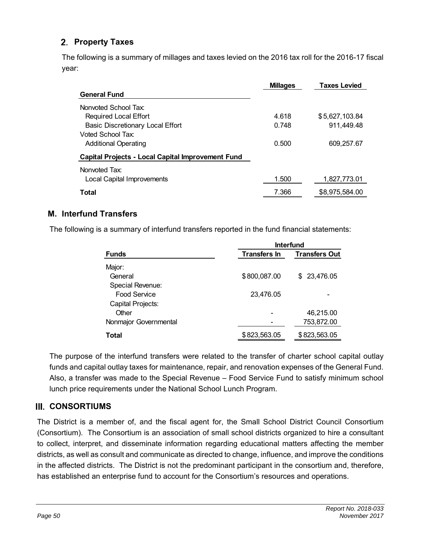## **Property Taxes**

The following is a summary of millages and taxes levied on the 2016 tax roll for the 2016-17 fiscal year:

|                                                          | <b>Millages</b> | <b>Taxes Levied</b> |
|----------------------------------------------------------|-----------------|---------------------|
| <b>General Fund</b>                                      |                 |                     |
| Nonvoted School Tax:                                     |                 |                     |
| Required Local Effort                                    | 4.618           | \$5,627,103.84      |
| <b>Basic Discretionary Local Effort</b>                  | 0.748           | 911,449.48          |
| Voted School Tax:                                        |                 |                     |
| <b>Additional Operating</b>                              | 0.500           | 609.257.67          |
| <b>Capital Projects - Local Capital Improvement Fund</b> |                 |                     |
| Nonvoted Tax:                                            |                 |                     |
| Local Capital Improvements                               | 1.500           | 1,827,773.01        |
| Total                                                    | 7.366           | \$8.975.584.00      |

#### **M. Interfund Transfers**

The following is a summary of interfund transfers reported in the fund financial statements:

|                       |                     | <b>Interfund</b>     |  |  |  |
|-----------------------|---------------------|----------------------|--|--|--|
| <b>Funds</b>          | <b>Transfers In</b> | <b>Transfers Out</b> |  |  |  |
| Major:                |                     |                      |  |  |  |
| General               | \$800,087.00        | \$23,476.05          |  |  |  |
| Special Revenue:      |                     |                      |  |  |  |
| Food Service          | 23,476.05           |                      |  |  |  |
| Capital Projects:     |                     |                      |  |  |  |
| Other                 |                     | 46,215.00            |  |  |  |
| Nonmajor Governmental |                     | 753,872.00           |  |  |  |
| Total                 | \$823,563.05        | \$823,563.05         |  |  |  |

The purpose of the interfund transfers were related to the transfer of charter school capital outlay funds and capital outlay taxes for maintenance, repair, and renovation expenses of the General Fund. Also, a transfer was made to the Special Revenue – Food Service Fund to satisfy minimum school lunch price requirements under the National School Lunch Program.

## **CONSORTIUMS**

The District is a member of, and the fiscal agent for, the Small School District Council Consortium (Consortium). The Consortium is an association of small school districts organized to hire a consultant to collect, interpret, and disseminate information regarding educational matters affecting the member districts, as well as consult and communicate as directed to change, influence, and improve the conditions in the affected districts. The District is not the predominant participant in the consortium and, therefore, has established an enterprise fund to account for the Consortium's resources and operations.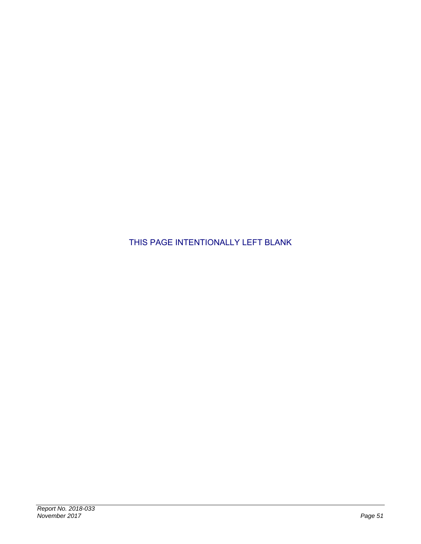THIS PAGE INTENTIONALLY LEFT BLANK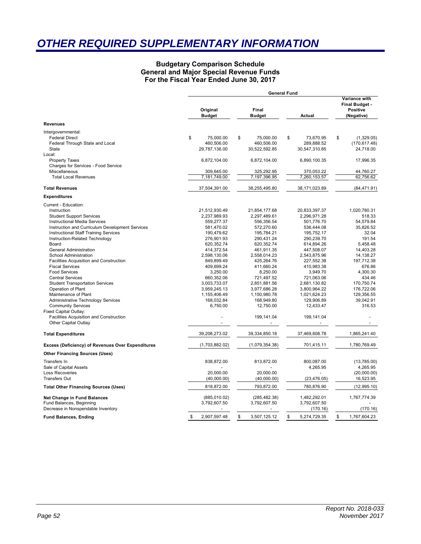## <span id="page-57-0"></span>*OTHER REQUIRED SUPPLEMENTARY INFORMATION*

#### **Budgetary Comparison Schedule General and Major Special Revenue Funds For the Fiscal Year Ended June 30, 2017**

|                                                                                                                                                                                                                                                                                                                                                                                                                                                                                                                                                                                                                                                                                                                           | <b>General Fund</b>                                                                                                                                                                                                                                               |                                                                                                                                                                                                                                                                                  |                                                                                                                                                                                                                                                                                  |                                                                                                                                                                                                                          |  |
|---------------------------------------------------------------------------------------------------------------------------------------------------------------------------------------------------------------------------------------------------------------------------------------------------------------------------------------------------------------------------------------------------------------------------------------------------------------------------------------------------------------------------------------------------------------------------------------------------------------------------------------------------------------------------------------------------------------------------|-------------------------------------------------------------------------------------------------------------------------------------------------------------------------------------------------------------------------------------------------------------------|----------------------------------------------------------------------------------------------------------------------------------------------------------------------------------------------------------------------------------------------------------------------------------|----------------------------------------------------------------------------------------------------------------------------------------------------------------------------------------------------------------------------------------------------------------------------------|--------------------------------------------------------------------------------------------------------------------------------------------------------------------------------------------------------------------------|--|
|                                                                                                                                                                                                                                                                                                                                                                                                                                                                                                                                                                                                                                                                                                                           | Original<br><b>Budget</b>                                                                                                                                                                                                                                         | Final<br><b>Budget</b>                                                                                                                                                                                                                                                           | Actual                                                                                                                                                                                                                                                                           | Variance with<br><b>Final Budget -</b><br><b>Positive</b><br>(Negative)                                                                                                                                                  |  |
| <b>Revenues</b>                                                                                                                                                                                                                                                                                                                                                                                                                                                                                                                                                                                                                                                                                                           |                                                                                                                                                                                                                                                                   |                                                                                                                                                                                                                                                                                  |                                                                                                                                                                                                                                                                                  |                                                                                                                                                                                                                          |  |
| Intergovernmental:<br><b>Federal Direct</b><br>Federal Through State and Local<br><b>State</b>                                                                                                                                                                                                                                                                                                                                                                                                                                                                                                                                                                                                                            | \$<br>75.000.00<br>460.506.00<br>29,787,136.00                                                                                                                                                                                                                    | \$<br>75.000.00<br>460,506.00<br>30,522,592.85                                                                                                                                                                                                                                   | \$<br>73.670.95<br>289,888.52<br>30,547,310.85                                                                                                                                                                                                                                   | \$<br>(1,329.05)<br>(170, 617.48)<br>24,718.00                                                                                                                                                                           |  |
| Local:<br><b>Property Taxes</b><br>Charges for Services - Food Service                                                                                                                                                                                                                                                                                                                                                                                                                                                                                                                                                                                                                                                    | 6,872,104.00                                                                                                                                                                                                                                                      | 6,872,104.00                                                                                                                                                                                                                                                                     | 6,890,100.35                                                                                                                                                                                                                                                                     | 17,996.35                                                                                                                                                                                                                |  |
| Miscellaneous                                                                                                                                                                                                                                                                                                                                                                                                                                                                                                                                                                                                                                                                                                             | 309,645.00                                                                                                                                                                                                                                                        | 325,292.95                                                                                                                                                                                                                                                                       | 370,053.22                                                                                                                                                                                                                                                                       | 44,760.27                                                                                                                                                                                                                |  |
| <b>Total Local Revenues</b>                                                                                                                                                                                                                                                                                                                                                                                                                                                                                                                                                                                                                                                                                               | 7,181,749.00                                                                                                                                                                                                                                                      | 7,197,396.95                                                                                                                                                                                                                                                                     | 7,260,153.57                                                                                                                                                                                                                                                                     | 62,756.62                                                                                                                                                                                                                |  |
| <b>Total Revenues</b>                                                                                                                                                                                                                                                                                                                                                                                                                                                                                                                                                                                                                                                                                                     | 37,504,391.00                                                                                                                                                                                                                                                     | 38,255,495.80                                                                                                                                                                                                                                                                    | 38,171,023.89                                                                                                                                                                                                                                                                    | (84, 471.91)                                                                                                                                                                                                             |  |
| <b>Expenditures</b>                                                                                                                                                                                                                                                                                                                                                                                                                                                                                                                                                                                                                                                                                                       |                                                                                                                                                                                                                                                                   |                                                                                                                                                                                                                                                                                  |                                                                                                                                                                                                                                                                                  |                                                                                                                                                                                                                          |  |
| Current - Education:<br>Instruction<br><b>Student Support Services</b><br><b>Instructional Media Services</b><br>Instruction and Curriculum Development Services<br><b>Instructional Staff Training Services</b><br>Instruction-Related Technology<br>Board<br><b>General Administration</b><br><b>School Administration</b><br>Facilities Acquisition and Construction<br><b>Fiscal Services</b><br><b>Food Services</b><br><b>Central Services</b><br><b>Student Transportation Services</b><br>Operation of Plant<br>Maintenance of Plant<br><b>Administrative Technology Services</b><br><b>Community Services</b><br>Fixed Capital Outlay:<br>Facilities Acquisition and Construction<br><b>Other Capital Outlay</b> | 21,512,930.49<br>2,237,989.93<br>559,277.37<br>581,470.02<br>190,479.62<br>276,901.93<br>620,352.74<br>414.372.54<br>2,598,130.06<br>849,899.49<br>409,699.24<br>3,250.00<br>660,352.06<br>3,003,733.07<br>3,959,245.13<br>1,155,406.49<br>168,032.84<br>6,750.00 | 21,854,177.68<br>2,297,489.61<br>556,356.54<br>572,270.60<br>195,784.21<br>290,431.24<br>620,352.74<br>461,911.35<br>2,558,014.23<br>425,264.76<br>411,660.24<br>8,250.00<br>721,497.52<br>2,851,881.56<br>3,977,686.28<br>1,150,980.78<br>168,949.80<br>12,750.00<br>199,141.04 | 20,833,397.37<br>2,296,971.28<br>501,776.70<br>536,444.08<br>195,752.17<br>290,239.70<br>614,894.26<br>447.508.07<br>2,543,875.96<br>227,552.38<br>410,983.38<br>3,949.70<br>721,063.06<br>2,681,130.82<br>3,800,964.22<br>1,021,624.23<br>129,906.89<br>12,433.47<br>199,141.04 | 1,020,780.31<br>518.33<br>54,579.84<br>35,826.52<br>32.04<br>191.54<br>5,458.48<br>14.403.28<br>14,138.27<br>197.712.38<br>676.86<br>4,300.30<br>434.46<br>170,750.74<br>176,722.06<br>129,356.55<br>39,042.91<br>316.53 |  |
| <b>Total Expenditures</b>                                                                                                                                                                                                                                                                                                                                                                                                                                                                                                                                                                                                                                                                                                 | 39,208,273.02                                                                                                                                                                                                                                                     | 39,334,850.18                                                                                                                                                                                                                                                                    | 37,469,608.78                                                                                                                                                                                                                                                                    | 1,865,241.40                                                                                                                                                                                                             |  |
| <b>Excess (Deficiency) of Revenues Over Expenditures</b>                                                                                                                                                                                                                                                                                                                                                                                                                                                                                                                                                                                                                                                                  | (1,703,882.02)                                                                                                                                                                                                                                                    | (1,079,354.38)                                                                                                                                                                                                                                                                   | 701,415.11                                                                                                                                                                                                                                                                       | 1,780,769.49                                                                                                                                                                                                             |  |
| <b>Other Financing Sources (Uses)</b>                                                                                                                                                                                                                                                                                                                                                                                                                                                                                                                                                                                                                                                                                     |                                                                                                                                                                                                                                                                   |                                                                                                                                                                                                                                                                                  |                                                                                                                                                                                                                                                                                  |                                                                                                                                                                                                                          |  |
| Transfers In<br>Sale of Capital Assets<br><b>Loss Recoveries</b><br><b>Transfers Out</b>                                                                                                                                                                                                                                                                                                                                                                                                                                                                                                                                                                                                                                  | 838,872.00<br>20.000.00<br>(40,000.00)                                                                                                                                                                                                                            | 813,872.00<br>20.000.00<br>(40,000.00)                                                                                                                                                                                                                                           | 800,087.00<br>4,265.95<br>(23, 476.05)                                                                                                                                                                                                                                           | (13,785.00)<br>4,265.95<br>(20,000.00)<br>16,523.95                                                                                                                                                                      |  |
| <b>Total Other Financing Sources (Uses)</b>                                                                                                                                                                                                                                                                                                                                                                                                                                                                                                                                                                                                                                                                               | 818,872.00                                                                                                                                                                                                                                                        | 793,872.00                                                                                                                                                                                                                                                                       | 780,876.90                                                                                                                                                                                                                                                                       | (12, 995.10)                                                                                                                                                                                                             |  |
| <b>Net Change in Fund Balances</b><br>Fund Balances, Beginning<br>Decrease in Nonspendable Inventory                                                                                                                                                                                                                                                                                                                                                                                                                                                                                                                                                                                                                      | (885,010.02)<br>3,792,607.50                                                                                                                                                                                                                                      | (285, 482.38)<br>3,792,607.50                                                                                                                                                                                                                                                    | 1,482,292.01<br>3,792,607.50<br>(170.16)                                                                                                                                                                                                                                         | 1,767,774.39<br>(170.16)                                                                                                                                                                                                 |  |
| <b>Fund Balances, Ending</b>                                                                                                                                                                                                                                                                                                                                                                                                                                                                                                                                                                                                                                                                                              | 2,907,597.48<br>\$                                                                                                                                                                                                                                                | 3,507,125.12<br>\$                                                                                                                                                                                                                                                               | \$<br>5,274,729.35                                                                                                                                                                                                                                                               | \$<br>1,767,604.23                                                                                                                                                                                                       |  |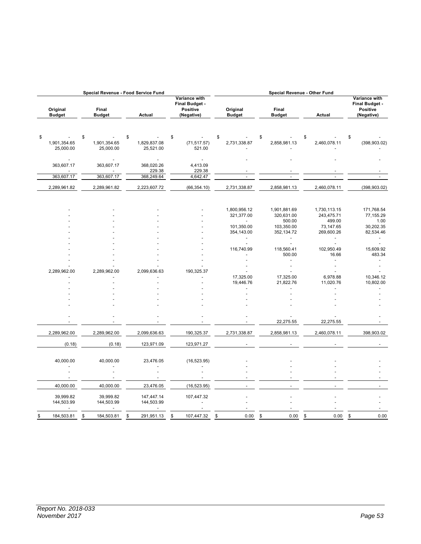| Special Revenue - Food Service Fund |                           |    |                           |    |                           |    | Special Revenue - Other Fund                                     |    |                                                        |    |                                                                   |    |                                                                 |    |                                                           |  |
|-------------------------------------|---------------------------|----|---------------------------|----|---------------------------|----|------------------------------------------------------------------|----|--------------------------------------------------------|----|-------------------------------------------------------------------|----|-----------------------------------------------------------------|----|-----------------------------------------------------------|--|
|                                     | Original<br><b>Budget</b> |    | Final<br><b>Budget</b>    |    | Actual                    |    | Variance with<br>Final Budget -<br><b>Positive</b><br>(Negative) |    | Original<br><b>Budget</b>                              |    | Final<br><b>Budget</b>                                            |    | Actual                                                          |    | Variance with<br>Final Budget -<br>Positive<br>(Negative) |  |
| \$                                  | 1,901,354.65<br>25,000.00 | \$ | 1,901,354.65<br>25,000.00 | \$ | 1,829,837.08<br>25,521.00 | \$ | (71, 517.57)<br>521.00                                           | \$ | 2,731,338.87                                           | \$ | 2,858,981.13                                                      | \$ | 2,460,078.11                                                    | \$ | (398, 903.02)                                             |  |
|                                     | 363,607.17                |    | 363,607.17                |    | 368,020.26<br>229.38      |    | 4,413.09<br>229.38                                               |    |                                                        |    |                                                                   |    |                                                                 |    |                                                           |  |
|                                     | 363,607.17                |    | 363,607.17                |    | 368,249.64                |    | 4,642.47                                                         |    |                                                        |    |                                                                   |    |                                                                 |    |                                                           |  |
|                                     | 2,289,961.82              |    | 2,289,961.82              |    | 2,223,607.72              |    | (66, 354.10)                                                     |    | 2,731,338.87                                           |    | 2,858,981.13                                                      |    | 2,460,078.11                                                    |    | (398, 903.02)                                             |  |
|                                     |                           |    |                           |    |                           |    |                                                                  |    | 1,800,956.12<br>321,377.00<br>101,350.00<br>354,143.00 |    | 1,901,881.69<br>320,631.00<br>500.00<br>103,350.00<br>352, 134.72 |    | 1,730,113.15<br>243,475.71<br>499.00<br>73,147.65<br>269,600.26 |    | 171,768.54<br>77,155.29<br>1.00<br>30,202.35<br>82,534.46 |  |
|                                     |                           |    |                           |    |                           |    |                                                                  |    |                                                        |    |                                                                   |    |                                                                 |    |                                                           |  |
|                                     |                           |    |                           |    |                           |    |                                                                  |    | 116,740.99                                             |    | 118,560.41<br>500.00                                              |    | 102,950.49<br>16.66                                             |    | 15,609.92<br>483.34                                       |  |
|                                     |                           |    |                           |    |                           |    |                                                                  |    |                                                        |    | $\overline{a}$                                                    |    | $\overline{a}$                                                  |    | $\blacksquare$                                            |  |
|                                     | 2,289,962.00              |    | 2,289,962.00              |    | 2,099,636.63              |    | 190,325.37                                                       |    |                                                        |    |                                                                   |    |                                                                 |    |                                                           |  |
|                                     |                           |    |                           |    |                           |    |                                                                  |    | 17,325.00<br>19,446.76                                 |    | 17,325.00<br>21,822.76                                            |    | 6,978.88<br>11,020.76                                           |    | 10,346.12<br>10,802.00                                    |  |
|                                     |                           |    |                           |    |                           |    |                                                                  |    |                                                        |    |                                                                   |    |                                                                 |    |                                                           |  |
|                                     |                           |    |                           |    |                           |    |                                                                  |    |                                                        |    |                                                                   |    |                                                                 |    |                                                           |  |
|                                     |                           |    |                           |    |                           |    |                                                                  |    |                                                        |    |                                                                   |    |                                                                 |    |                                                           |  |
|                                     |                           |    |                           |    |                           |    |                                                                  |    |                                                        |    | 22,275.55                                                         |    | 22,275.55                                                       |    |                                                           |  |
|                                     | 2,289,962.00              |    | 2,289,962.00              |    | 2,099,636.63              |    | 190,325.37                                                       |    | 2,731,338.87                                           |    | 2,858,981.13                                                      |    | 2,460,078.11                                                    |    | 398,903.02                                                |  |
|                                     | (0.18)                    |    | (0.18)                    |    | 123,971.09                |    | 123,971.27                                                       |    |                                                        |    |                                                                   |    |                                                                 |    |                                                           |  |
|                                     | 40,000.00                 |    | 40,000.00                 |    | 23,476.05                 |    | (16, 523.95)                                                     |    |                                                        |    |                                                                   |    |                                                                 |    |                                                           |  |
|                                     |                           |    |                           |    |                           |    |                                                                  |    |                                                        |    |                                                                   |    |                                                                 |    |                                                           |  |
|                                     |                           |    |                           |    |                           |    |                                                                  |    |                                                        |    |                                                                   |    |                                                                 |    |                                                           |  |
|                                     | 40,000.00                 |    | 40,000.00                 |    | 23,476.05                 |    | (16, 523.95)                                                     |    |                                                        |    |                                                                   |    |                                                                 |    |                                                           |  |
|                                     | 39,999.82<br>144,503.99   |    | 39,999.82<br>144,503.99   |    | 147,447.14<br>144,503.99  |    | 107,447.32                                                       |    |                                                        |    |                                                                   |    |                                                                 |    |                                                           |  |
|                                     |                           |    |                           |    |                           |    |                                                                  |    |                                                        |    |                                                                   |    |                                                                 |    |                                                           |  |
| \$                                  | 184,503.81                | \$ | 184,503.81                | \$ | 291,951.13                | \$ | 107,447.32                                                       | \$ | 0.00                                                   | \$ | 0.00                                                              | \$ | 0.00                                                            | \$ | 0.00                                                      |  |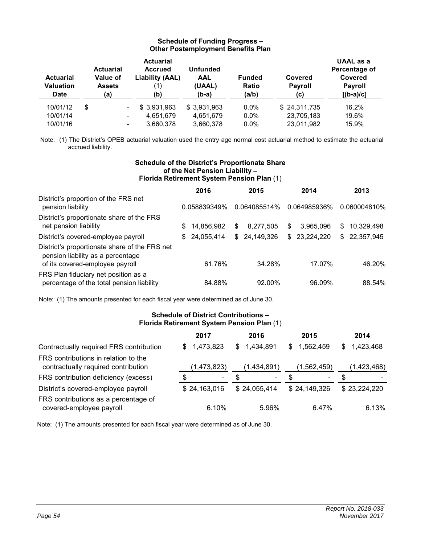#### **Schedule of Funding Progress – Other Postemployment Benefits Plan**

<span id="page-59-0"></span>

| <b>Actuarial</b><br>Valuation<br><b>Date</b> | <b>Actuarial</b><br>Value of<br><b>Assets</b><br>(a) |    | <b>Actuarial</b><br><b>Accrued</b><br>Liability (AAL)<br>(1)<br>(b) | <b>Unfunded</b><br><b>AAL</b><br>(UAAL)<br>(b-a) | <b>Funded</b><br><b>Ratio</b><br>(a/b) | Covered<br><b>Payroll</b><br>(c) | UAAL as a<br>Percentage of<br><b>Covered</b><br><b>Payroll</b><br>$[(b-a)/c]$ |  |
|----------------------------------------------|------------------------------------------------------|----|---------------------------------------------------------------------|--------------------------------------------------|----------------------------------------|----------------------------------|-------------------------------------------------------------------------------|--|
| 10/01/12                                     | \$                                                   | ۰. | \$3,931,963                                                         | \$3,931,963                                      | $0.0\%$                                | \$24,311,735                     | 16.2%                                                                         |  |
| 10/01/14                                     |                                                      | ۰. | 4,651,679                                                           | 4,651,679                                        | $0.0\%$                                | 23,705,183                       | 19.6%                                                                         |  |
| 10/01/16                                     |                                                      | ۰. | 3.660.378                                                           | 3,660,378                                        | $0.0\%$                                | 23,011,982                       | 15.9%                                                                         |  |

Note: (1) The District's OPEB actuarial valuation used the entry age normal cost actuarial method to estimate the actuarial accrued liability.

#### **Schedule of the District's Proportionate Share of the Net Pension Liability – Florida Retirement System Pension Plan** (1)

|                                                                                                                       |    | 2016         | 2015            | 2014            |     | 2013         |
|-----------------------------------------------------------------------------------------------------------------------|----|--------------|-----------------|-----------------|-----|--------------|
| District's proportion of the FRS net<br>pension liability                                                             |    | 0.058839349% | 0.064085514%    | 0.064985936%    |     | 0.060004810% |
| District's proportionate share of the FRS<br>net pension liability                                                    | S  | 14,856,982   | \$<br>8.277.505 | \$<br>3,965,096 | \$  | 10,329,498   |
| District's covered-employee payroll                                                                                   | S. | 24,055,414   | \$24,149,326    | \$23,224,220    | \$. | 22,357,945   |
| District's proportionate share of the FRS net<br>pension liability as a percentage<br>of its covered-employee payroll |    | 61.76%       | 34.28%          | 17.07%          |     | 46.20%       |
| FRS Plan fiduciary net position as a<br>percentage of the total pension liability                                     |    | 84.88%       | $92.00\%$       | 96.09%          |     | 88.54%       |

Note: (1) The amounts presented for each fiscal year were determined as of June 30.

#### **Schedule of District Contributions – Florida Retirement System Pension Plan** (1)

|                                                                             | 2017                 | 2016            | 2015                 | 2014            |
|-----------------------------------------------------------------------------|----------------------|-----------------|----------------------|-----------------|
| Contractually required FRS contribution                                     | 1,473,823<br>S       | 1,434,891<br>\$ | 1.562.459<br>\$.     | 1,423,468<br>\$ |
| FRS contributions in relation to the<br>contractually required contribution | (1, 473, 823)        | (1,434,891)     | (1,562,459)          | (1,423,468)     |
| FRS contribution deficiency (excess)                                        | \$<br>$\blacksquare$ | \$<br>۰         | \$<br>$\blacksquare$ | \$.             |
| District's covered-employee payroll                                         | \$24,163,016         | \$24,055,414    | \$24,149,326         | \$23,224,220    |
| FRS contributions as a percentage of<br>covered-employee payroll            | 6.10%                | 5.96%           | 6.47%                | 6.13%           |

Note: (1) The amounts presented for each fiscal year were determined as of June 30.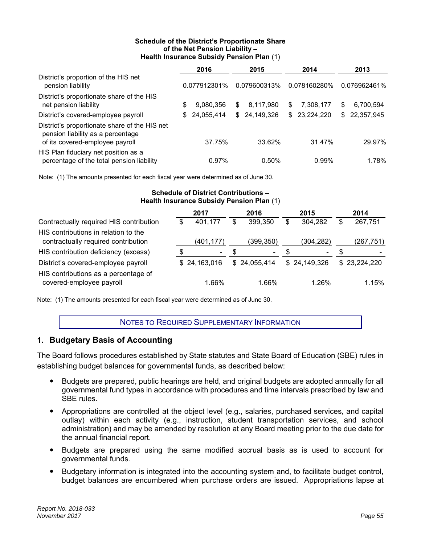#### **Schedule of the District's Proportionate Share of the Net Pension Liability – Health Insurance Subsidy Pension Plan** (1)

<span id="page-60-0"></span>

|                                                                                                                       | 2016             | 2015           | 2014           | 2013             |
|-----------------------------------------------------------------------------------------------------------------------|------------------|----------------|----------------|------------------|
| District's proportion of the HIS net<br>pension liability                                                             | 0.077912301%     | 0.079600313%   | 0.078160280%   | 0.076962461%     |
| District's proportionate share of the HIS<br>net pension liability                                                    | 9,080,356<br>\$  | 8,117,980<br>S | 7,308,177<br>S | 6,700,594<br>S   |
| District's covered-employee payroll                                                                                   | 24,055,414<br>\$ | \$24,149,326   | \$23,224,220   | 22,357,945<br>\$ |
| District's proportionate share of the HIS net<br>pension liability as a percentage<br>of its covered-employee payroll | 37.75%           | 33.62%         | 31.47%         | 29.97%           |
| HIS Plan fiduciary net position as a<br>percentage of the total pension liability                                     | 0.97%            | 0.50%          | $0.99\%$       | 1.78%            |

Note: (1) The amounts presented for each fiscal year were determined as of June 30.

#### **Schedule of District Contributions – Health Insurance Subsidy Pension Plan** (1)

|                                                                             |    | 2017                     |     | 2016           | 2015           |     | 2014         |
|-----------------------------------------------------------------------------|----|--------------------------|-----|----------------|----------------|-----|--------------|
| Contractually required HIS contribution                                     | S  | 401,177                  | \$  | 399,350        | \$<br>304,282  |     | 267,751      |
| HIS contributions in relation to the<br>contractually required contribution |    | (401,177)                |     | (399, 350)     | (304, 282)     |     | (267,751)    |
| HIS contribution deficiency (excess)                                        | \$ | $\overline{\phantom{a}}$ | -\$ | $\blacksquare$ | $\blacksquare$ | \$. |              |
| District's covered-employee payroll                                         |    | \$24,163,016             |     | \$24,055,414   | \$24,149,326   |     | \$23,224,220 |
| HIS contributions as a percentage of<br>covered-employee payroll            |    | 1.66%                    |     | 1.66%          | 1.26%          |     | 1.15%        |

Note: (1) The amounts presented for each fiscal year were determined as of June 30.

NOTES TO REQUIRED SUPPLEMENTARY INFORMATION

#### **1. Budgetary Basis of Accounting**

The Board follows procedures established by State statutes and State Board of Education (SBE) rules in establishing budget balances for governmental funds, as described below:

- Budgets are prepared, public hearings are held, and original budgets are adopted annually for all governmental fund types in accordance with procedures and time intervals prescribed by law and SBE rules.
- Appropriations are controlled at the object level (e.g., salaries, purchased services, and capital outlay) within each activity (e.g., instruction, student transportation services, and school administration) and may be amended by resolution at any Board meeting prior to the due date for the annual financial report.
- Budgets are prepared using the same modified accrual basis as is used to account for governmental funds.
- Budgetary information is integrated into the accounting system and, to facilitate budget control, budget balances are encumbered when purchase orders are issued. Appropriations lapse at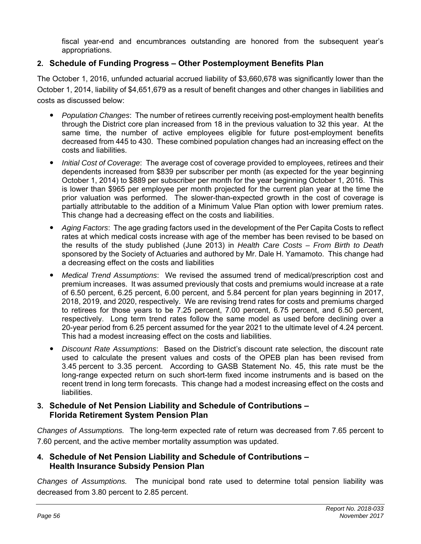fiscal year-end and encumbrances outstanding are honored from the subsequent year's appropriations.

#### **2. Schedule of Funding Progress – Other Postemployment Benefits Plan**

The October 1, 2016, unfunded actuarial accrued liability of \$3,660,678 was significantly lower than the October 1, 2014, liability of \$4,651,679 as a result of benefit changes and other changes in liabilities and costs as discussed below:

- *Population Changes*: The number of retirees currently receiving post-employment health benefits through the District core plan increased from 18 in the previous valuation to 32 this year. At the same time, the number of active employees eligible for future post-employment benefits decreased from 445 to 430. These combined population changes had an increasing effect on the costs and liabilities.
- *Initial Cost of Coverage*: The average cost of coverage provided to employees, retirees and their dependents increased from \$839 per subscriber per month (as expected for the year beginning October 1, 2014) to \$889 per subscriber per month for the year beginning October 1, 2016. This is lower than \$965 per employee per month projected for the current plan year at the time the prior valuation was performed. The slower-than-expected growth in the cost of coverage is partially attributable to the addition of a Minimum Value Plan option with lower premium rates. This change had a decreasing effect on the costs and liabilities.
- *Aging Factors*: The age grading factors used in the development of the Per Capita Costs to reflect rates at which medical costs increase with age of the member has been revised to be based on the results of the study published (June 2013) in *Health Care Costs – From Birth to Death* sponsored by the Society of Actuaries and authored by Mr. Dale H. Yamamoto. This change had a decreasing effect on the costs and liabilities
- *Medical Trend Assumptions*: We revised the assumed trend of medical/prescription cost and premium increases. It was assumed previously that costs and premiums would increase at a rate of 6.50 percent, 6.25 percent, 6.00 percent, and 5.84 percent for plan years beginning in 2017, 2018, 2019, and 2020, respectively. We are revising trend rates for costs and premiums charged to retirees for those years to be 7.25 percent, 7.00 percent, 6.75 percent, and 6.50 percent, respectively. Long term trend rates follow the same model as used before declining over a 20-year period from 6.25 percent assumed for the year 2021 to the ultimate level of 4.24 percent. This had a modest increasing effect on the costs and liabilities.
- *Discount Rate Assumptions*: Based on the District's discount rate selection, the discount rate used to calculate the present values and costs of the OPEB plan has been revised from 3.45 percent to 3.35 percent. According to GASB Statement No. 45, this rate must be the long-range expected return on such short-term fixed income instruments and is based on the recent trend in long term forecasts. This change had a modest increasing effect on the costs and liabilities.

#### **3. Schedule of Net Pension Liability and Schedule of Contributions – Florida Retirement System Pension Plan**

*Changes of Assumptions.* The long-term expected rate of return was decreased from 7.65 percent to 7.60 percent, and the active member mortality assumption was updated.

#### **4. Schedule of Net Pension Liability and Schedule of Contributions – Health Insurance Subsidy Pension Plan**

*Changes of Assumptions.* The municipal bond rate used to determine total pension liability was decreased from 3.80 percent to 2.85 percent.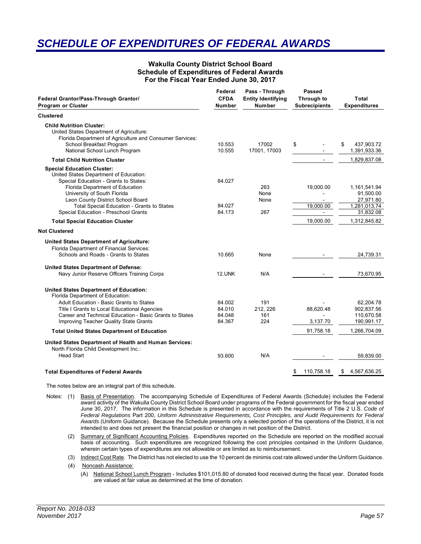## <span id="page-62-0"></span>*SCHEDULE OF EXPENDITURES OF FEDERAL AWARDS*

#### **Wakulla County District School Board Schedule of Expenditures of Federal Awards For the Fiscal Year Ended June 30, 2017**

| Federal Grantor/Pass-Through Grantor/<br><b>Program or Cluster</b>                                                                                                                                                                                                                                                | Federal<br><b>CFDA</b><br><b>Number</b> | Pass - Through<br><b>Entity Identifying</b><br><b>Number</b> | <b>Passed</b><br>Through to<br><b>Subrecipients</b> | <b>Total</b><br><b>Expenditures</b>                                 |
|-------------------------------------------------------------------------------------------------------------------------------------------------------------------------------------------------------------------------------------------------------------------------------------------------------------------|-----------------------------------------|--------------------------------------------------------------|-----------------------------------------------------|---------------------------------------------------------------------|
| Clustered                                                                                                                                                                                                                                                                                                         |                                         |                                                              |                                                     |                                                                     |
| <b>Child Nutrition Cluster:</b><br>United States Department of Agriculture:<br>Florida Department of Agriculture and Consumer Services:<br>School Breakfast Program<br>National School Lunch Program                                                                                                              | 10.553<br>10.555                        | 17002<br>17001, 17003                                        | \$                                                  | \$<br>437,903.72<br>1,391,933.36                                    |
| <b>Total Child Nutrition Cluster</b>                                                                                                                                                                                                                                                                              |                                         |                                                              | $\blacksquare$                                      | 1,829,837.08                                                        |
| <b>Special Education Cluster:</b><br>United States Department of Education:<br>Special Education - Grants to States:<br>Florida Department of Education<br>University of South Florida<br>Leon County District School Board<br>Total Special Education - Grants to States<br>Special Education - Preschool Grants | 84.027<br>84.027<br>84.173              | 263<br>None<br>None<br>267                                   | 19,000.00<br>19,000.00                              | 1,161,541.94<br>91,500.00<br>27,971.80<br>1,281,013.74<br>31,832.08 |
| <b>Total Special Education Cluster</b>                                                                                                                                                                                                                                                                            |                                         |                                                              | 19,000.00                                           | 1,312,845.82                                                        |
| <b>Not Clustered</b>                                                                                                                                                                                                                                                                                              |                                         |                                                              |                                                     |                                                                     |
| <b>United States Department of Agriculture:</b><br>Florida Department of Financial Services:<br>Schools and Roads - Grants to States                                                                                                                                                                              | 10.665                                  | None                                                         |                                                     | 24,739.31                                                           |
| <b>United States Department of Defense:</b><br>Navy Junior Reserve Officers Training Corps                                                                                                                                                                                                                        | <b>12.UNK</b>                           | N/A                                                          | $\blacksquare$                                      | 73,670.95                                                           |
| <b>United States Department of Education:</b><br>Florida Department of Education:                                                                                                                                                                                                                                 |                                         |                                                              |                                                     |                                                                     |
| Adult Education - Basic Grants to States<br>Title I Grants to Local Educational Agencies<br>Career and Technical Education - Basic Grants to States<br>Improving Teacher Quality State Grants                                                                                                                     | 84.002<br>84.010<br>84.048<br>84.367    | 191<br>212, 226<br>161<br>224                                | 88,620.48<br>3,137.70                               | 62.204.78<br>902,837.56<br>110,670.58<br>190,991.17                 |
|                                                                                                                                                                                                                                                                                                                   |                                         |                                                              |                                                     |                                                                     |
| <b>Total United States Department of Education</b>                                                                                                                                                                                                                                                                |                                         |                                                              | 91,758.18                                           | 1,266,704.09                                                        |
| United States Department of Health and Human Services:<br>North Florida Child Development Inc.:<br><b>Head Start</b>                                                                                                                                                                                              | 93.600                                  | N/A                                                          |                                                     | 59.839.00                                                           |
| <b>Total Expenditures of Federal Awards</b>                                                                                                                                                                                                                                                                       |                                         |                                                              | \$<br>110,758.18                                    | 4,567,636.25<br>\$                                                  |

The notes below are an integral part of this schedule.

- Notes: (1) Basis of Presentation. The accompanying Schedule of Expenditures of Federal Awards (Schedule) includes the Federal award activity of the Wakulla County District School Board under programs of the Federal government for the fiscal year ended June 30, 2017. The information in this Schedule is presented in accordance with the requirements of Title 2 U.S. *Code of Federal Regulations* Part 200, *Uniform Administrative Requirements, Cost Principles, and Audit Requirements for Federal Awards* (Uniform Guidance). Because the Schedule presents only a selected portion of the operations of the District, it is not intended to and does not present the financial position or changes in net position of the District.
	- (2) Summary of Significant Accounting Policies. Expenditures reported on the Schedule are reported on the modified accrual basis of accounting. Such expenditures are recognized following the cost principles contained in the Uniform Guidance, wherein certain types of expenditures are not allowable or are limited as to reimbursement.
	- (3) Indirect Cost Rate. The District has not elected to use the 10 percent de minimis cost rate allowed under the Uniform Guidance.
	- (4) Noncash Assistance:
		- (A) National School Lunch Program Includes \$101,015.80 of donated food received during the fiscal year. Donated foods are valued at fair value as determined at the time of donation.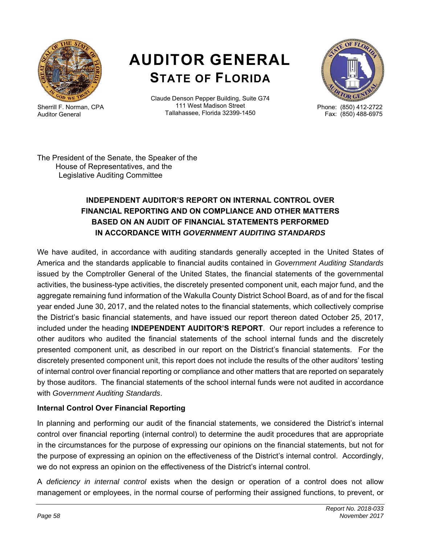<span id="page-63-0"></span>

Sherrill F. Norman, CPA Auditor General

# **AUDITOR GENERAL STATE OF FLORIDA**

Claude Denson Pepper Building, Suite G74 111 West Madison Street Tallahassee, Florida 32399-1450



Phone: (850) 412-2722 Fax: (850) 488-6975

The President of the Senate, the Speaker of the House of Representatives, and the Legislative Auditing Committee

## **INDEPENDENT AUDITOR'S REPORT ON INTERNAL CONTROL OVER FINANCIAL REPORTING AND ON COMPLIANCE AND OTHER MATTERS BASED ON AN AUDIT OF FINANCIAL STATEMENTS PERFORMED IN ACCORDANCE WITH** *GOVERNMENT AUDITING STANDARDS*

We have audited, in accordance with auditing standards generally accepted in the United States of America and the standards applicable to financial audits contained in *Government Auditing Standards* issued by the Comptroller General of the United States, the financial statements of the governmental activities, the business-type activities, the discretely presented component unit, each major fund, and the aggregate remaining fund information of the Wakulla County District School Board, as of and for the fiscal year ended June 30, 2017, and the related notes to the financial statements, which collectively comprise the District's basic financial statements, and have issued our report thereon dated October 25, 2017, included under the heading **INDEPENDENT AUDITOR'S REPORT**. Our report includes a reference to other auditors who audited the financial statements of the school internal funds and the discretely presented component unit, as described in our report on the District's financial statements. For the discretely presented component unit, this report does not include the results of the other auditors' testing of internal control over financial reporting or compliance and other matters that are reported on separately by those auditors. The financial statements of the school internal funds were not audited in accordance with *Government Auditing Standards*.

#### **Internal Control Over Financial Reporting**

In planning and performing our audit of the financial statements, we considered the District's internal control over financial reporting (internal control) to determine the audit procedures that are appropriate in the circumstances for the purpose of expressing our opinions on the financial statements, but not for the purpose of expressing an opinion on the effectiveness of the District's internal control. Accordingly, we do not express an opinion on the effectiveness of the District's internal control.

A *deficiency in internal control* exists when the design or operation of a control does not allow management or employees, in the normal course of performing their assigned functions, to prevent, or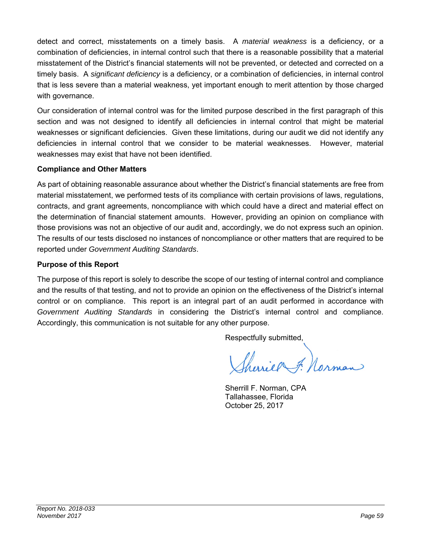detect and correct, misstatements on a timely basis. A *material weakness* is a deficiency, or a combination of deficiencies, in internal control such that there is a reasonable possibility that a material misstatement of the District's financial statements will not be prevented, or detected and corrected on a timely basis. A *significant deficiency* is a deficiency, or a combination of deficiencies, in internal control that is less severe than a material weakness, yet important enough to merit attention by those charged with governance.

Our consideration of internal control was for the limited purpose described in the first paragraph of this section and was not designed to identify all deficiencies in internal control that might be material weaknesses or significant deficiencies. Given these limitations, during our audit we did not identify any deficiencies in internal control that we consider to be material weaknesses. However, material weaknesses may exist that have not been identified.

#### **Compliance and Other Matters**

As part of obtaining reasonable assurance about whether the District's financial statements are free from material misstatement, we performed tests of its compliance with certain provisions of laws, regulations, contracts, and grant agreements, noncompliance with which could have a direct and material effect on the determination of financial statement amounts. However, providing an opinion on compliance with those provisions was not an objective of our audit and, accordingly, we do not express such an opinion. The results of our tests disclosed no instances of noncompliance or other matters that are required to be reported under *Government Auditing Standards*.

#### **Purpose of this Report**

The purpose of this report is solely to describe the scope of our testing of internal control and compliance and the results of that testing, and not to provide an opinion on the effectiveness of the District's internal control or on compliance. This report is an integral part of an audit performed in accordance with *Government Auditing Standards* in considering the District's internal control and compliance. Accordingly, this communication is not suitable for any other purpose.

Respectfully submitted,

Cherries F. Norman

Sherrill F. Norman, CPA Tallahassee, Florida October 25, 2017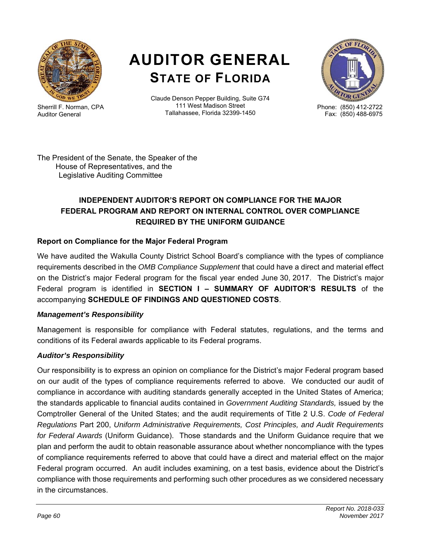<span id="page-65-0"></span>

Sherrill F. Norman, CPA Auditor General

# **AUDITOR GENERAL STATE OF FLORIDA**

Claude Denson Pepper Building, Suite G74 111 West Madison Street Tallahassee, Florida 32399-1450



Phone: (850) 412-2722 Fax: (850) 488-6975

The President of the Senate, the Speaker of the House of Representatives, and the Legislative Auditing Committee

## **INDEPENDENT AUDITOR'S REPORT ON COMPLIANCE FOR THE MAJOR FEDERAL PROGRAM AND REPORT ON INTERNAL CONTROL OVER COMPLIANCE REQUIRED BY THE UNIFORM GUIDANCE**

#### **Report on Compliance for the Major Federal Program**

We have audited the Wakulla County District School Board's compliance with the types of compliance requirements described in the *OMB Compliance Supplement* that could have a direct and material effect on the District's major Federal program for the fiscal year ended June 30, 2017. The District's major Federal program is identified in **SECTION I – SUMMARY OF AUDITOR'S RESULTS** of the accompanying **SCHEDULE OF FINDINGS AND QUESTIONED COSTS**.

#### *Management's Responsibility*

Management is responsible for compliance with Federal statutes, regulations, and the terms and conditions of its Federal awards applicable to its Federal programs.

#### *Auditor's Responsibility*

Our responsibility is to express an opinion on compliance for the District's major Federal program based on our audit of the types of compliance requirements referred to above. We conducted our audit of compliance in accordance with auditing standards generally accepted in the United States of America; the standards applicable to financial audits contained in *Government Auditing Standards,* issued by the Comptroller General of the United States; and the audit requirements of Title 2 U.S. *Code of Federal Regulations* Part 200, *Uniform Administrative Requirements, Cost Principles, and Audit Requirements for Federal Awards* (Uniform Guidance). Those standards and the Uniform Guidance require that we plan and perform the audit to obtain reasonable assurance about whether noncompliance with the types of compliance requirements referred to above that could have a direct and material effect on the major Federal program occurred. An audit includes examining, on a test basis, evidence about the District's compliance with those requirements and performing such other procedures as we considered necessary in the circumstances.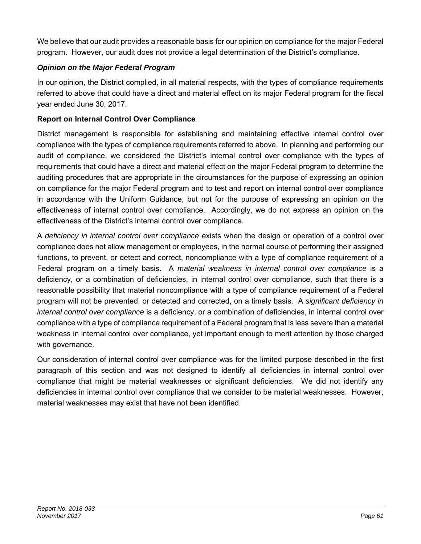We believe that our audit provides a reasonable basis for our opinion on compliance for the major Federal program. However, our audit does not provide a legal determination of the District's compliance.

#### *Opinion on the Major Federal Program*

In our opinion, the District complied, in all material respects, with the types of compliance requirements referred to above that could have a direct and material effect on its major Federal program for the fiscal year ended June 30, 2017.

#### **Report on Internal Control Over Compliance**

District management is responsible for establishing and maintaining effective internal control over compliance with the types of compliance requirements referred to above. In planning and performing our audit of compliance, we considered the District's internal control over compliance with the types of requirements that could have a direct and material effect on the major Federal program to determine the auditing procedures that are appropriate in the circumstances for the purpose of expressing an opinion on compliance for the major Federal program and to test and report on internal control over compliance in accordance with the Uniform Guidance, but not for the purpose of expressing an opinion on the effectiveness of internal control over compliance. Accordingly, we do not express an opinion on the effectiveness of the District's internal control over compliance.

A *deficiency in internal control over compliance* exists when the design or operation of a control over compliance does not allow management or employees, in the normal course of performing their assigned functions, to prevent, or detect and correct, noncompliance with a type of compliance requirement of a Federal program on a timely basis. A *material weakness in internal control over compliance* is a deficiency, or a combination of deficiencies, in internal control over compliance, such that there is a reasonable possibility that material noncompliance with a type of compliance requirement of a Federal program will not be prevented, or detected and corrected, on a timely basis. A *significant deficiency in internal control over compliance* is a deficiency, or a combination of deficiencies, in internal control over compliance with a type of compliance requirement of a Federal program that is less severe than a material weakness in internal control over compliance, yet important enough to merit attention by those charged with governance.

Our consideration of internal control over compliance was for the limited purpose described in the first paragraph of this section and was not designed to identify all deficiencies in internal control over compliance that might be material weaknesses or significant deficiencies. We did not identify any deficiencies in internal control over compliance that we consider to be material weaknesses. However, material weaknesses may exist that have not been identified.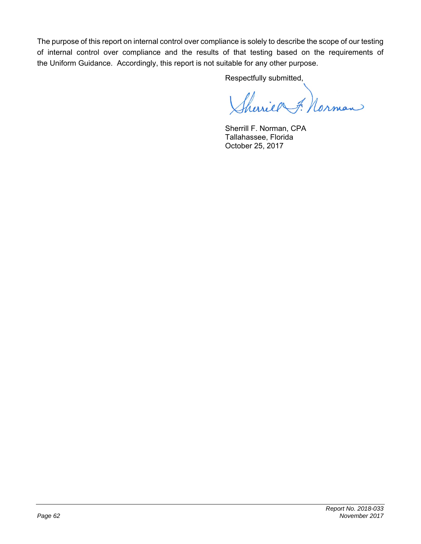The purpose of this report on internal control over compliance is solely to describe the scope of our testing of internal control over compliance and the results of that testing based on the requirements of the Uniform Guidance. Accordingly, this report is not suitable for any other purpose.

Respectfully submitted,

Cherries F. Norman

Sherrill F. Norman, CPA Tallahassee, Florida October 25, 2017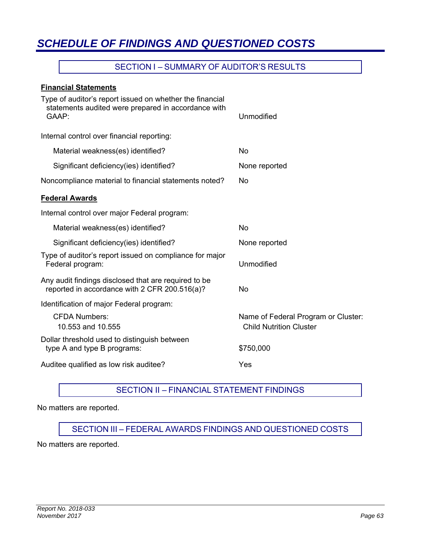# <span id="page-68-0"></span>*SCHEDULE OF FINDINGS AND QUESTIONED COSTS*

#### SECTION I – SUMMARY OF AUDITOR'S RESULTS

## **Financial Statements**  Type of auditor's report issued on whether the financial statements audited were prepared in accordance with GAAP: Unmodified Internal control over financial reporting: Material weakness(es) identified? Mo Significant deficiency(ies) identified? None reported Noncompliance material to financial statements noted? No **Federal Awards**  Internal control over major Federal program: Material weakness(es) identified? Mo Significant deficiency(ies) identified? None reported Type of auditor's report issued on compliance for major Federal program: Unmodified Any audit findings disclosed that are required to be reported in accordance with 2 CFR 200.516(a)? No Identification of major Federal program: CFDA Numbers: Name of Federal Program or Cluster: 10.553 and 10.555 Child Nutrition Cluster Dollar threshold used to distinguish between type A and type B programs:  $$750,000$ Auditee qualified as low risk auditee? Auditee was more than  $Y$ es

#### SECTION II – FINANCIAL STATEMENT FINDINGS

No matters are reported.

SECTION III – FEDERAL AWARDS FINDINGS AND QUESTIONED COSTS

No matters are reported.